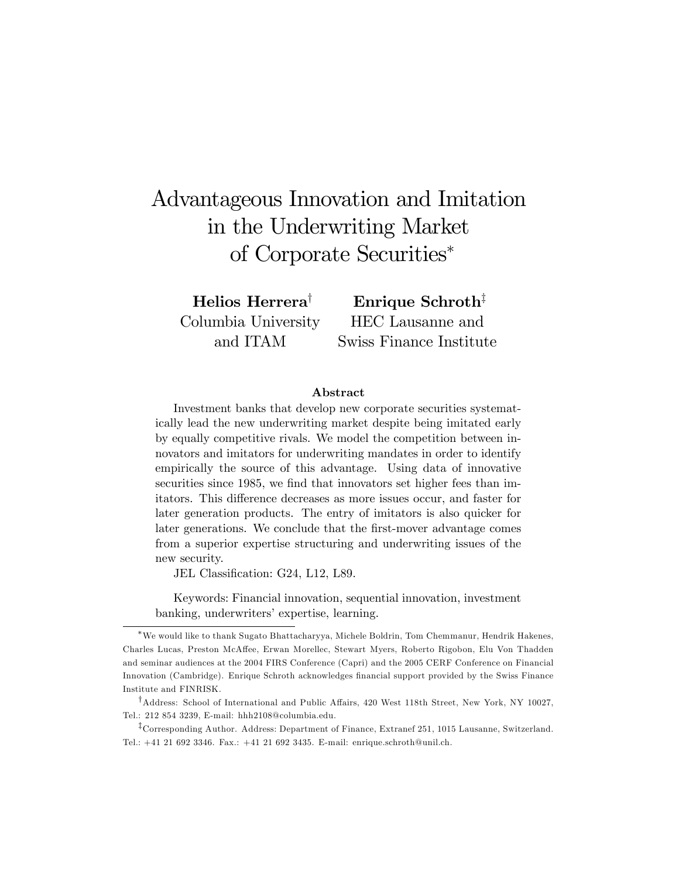# Advantageous Innovation and Imitation in the Underwriting Market of Corporate Securities

Helios Herrera<sup>†</sup> Columbia University and ITAM

Enrique Schroth<sup>‡</sup> HEC Lausanne and Swiss Finance Institute

#### Abstract

Investment banks that develop new corporate securities systematically lead the new underwriting market despite being imitated early by equally competitive rivals. We model the competition between innovators and imitators for underwriting mandates in order to identify empirically the source of this advantage. Using data of innovative securities since 1985, we find that innovators set higher fees than imitators. This difference decreases as more issues occur, and faster for later generation products. The entry of imitators is also quicker for later generations. We conclude that the first-mover advantage comes from a superior expertise structuring and underwriting issues of the new security.

JEL Classification: G24, L12, L89.

Keywords: Financial innovation, sequential innovation, investment banking, underwriters' expertise, learning.

We would like to thank Sugato Bhattacharyya, Michele Boldrin, Tom Chemmanur, Hendrik Hakenes, Charles Lucas, Preston McA§ee, Erwan Morellec, Stewart Myers, Roberto Rigobon, Elu Von Thadden and seminar audiences at the 2004 FIRS Conference (Capri) and the 2005 CERF Conference on Financial Innovation (Cambridge). Enrique Schroth acknowledges financial support provided by the Swiss Finance Institute and FINRISK.

<sup>&</sup>lt;sup>†</sup>Address: School of International and Public Affairs, 420 West 118th Street, New York, NY 10027, Tel.: 212 854 3239, E-mail: hhh2108@columbia.edu.

<sup>&</sup>lt;sup>‡</sup>Corresponding Author. Address: Department of Finance, Extranef 251, 1015 Lausanne, Switzerland. Tel.: +41 21 692 3346. Fax.: +41 21 692 3435. E-mail: enrique.schroth@unil.ch.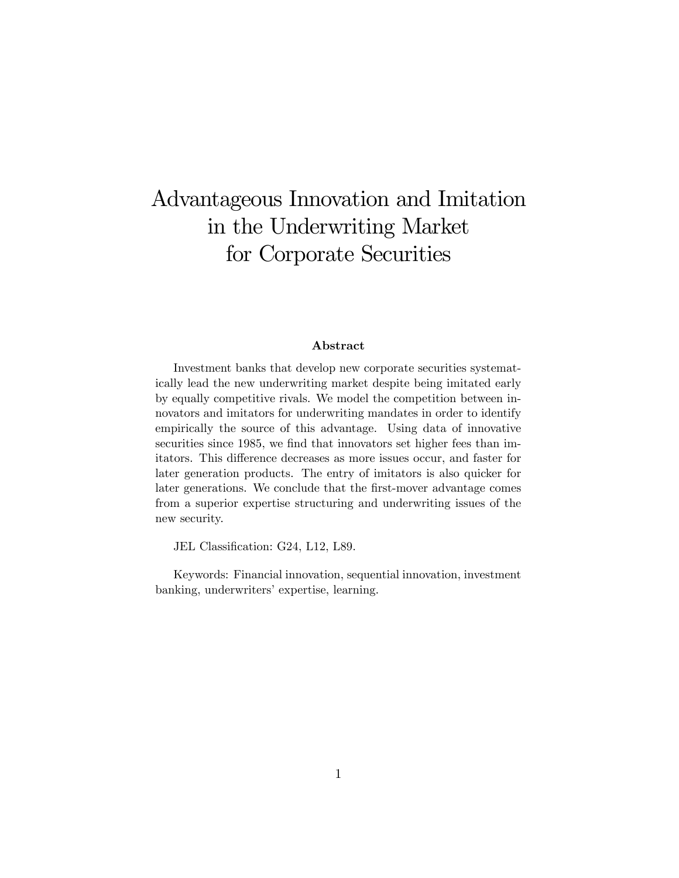# Advantageous Innovation and Imitation in the Underwriting Market for Corporate Securities

#### Abstract

Investment banks that develop new corporate securities systematically lead the new underwriting market despite being imitated early by equally competitive rivals. We model the competition between innovators and imitators for underwriting mandates in order to identify empirically the source of this advantage. Using data of innovative securities since 1985, we find that innovators set higher fees than imitators. This difference decreases as more issues occur, and faster for later generation products. The entry of imitators is also quicker for later generations. We conclude that the first-mover advantage comes from a superior expertise structuring and underwriting issues of the new security.

JEL Classification: G24, L12, L89.

Keywords: Financial innovation, sequential innovation, investment banking, underwriters' expertise, learning.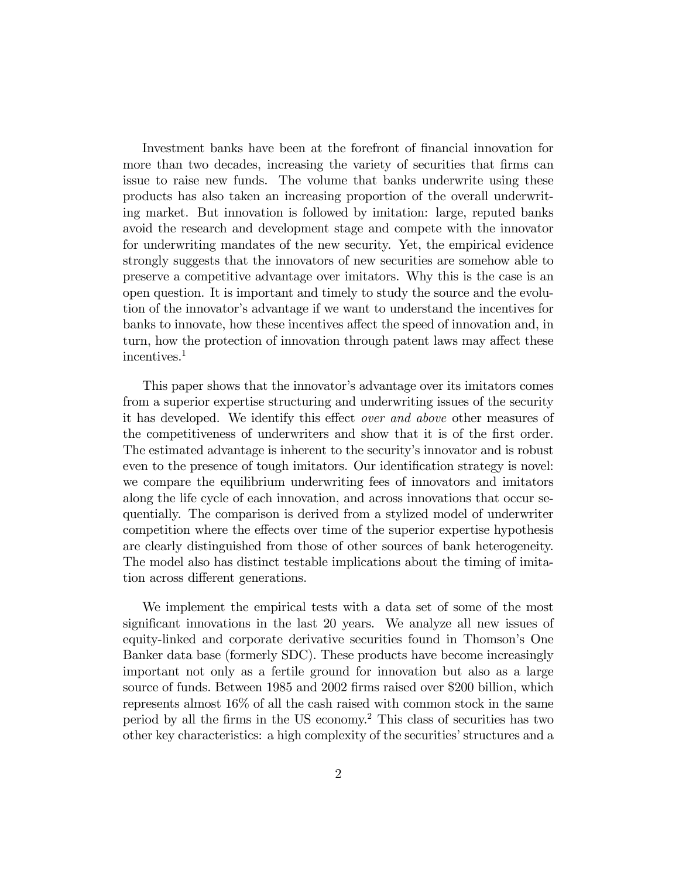Investment banks have been at the forefront of financial innovation for more than two decades, increasing the variety of securities that firms can issue to raise new funds. The volume that banks underwrite using these products has also taken an increasing proportion of the overall underwriting market. But innovation is followed by imitation: large, reputed banks avoid the research and development stage and compete with the innovator for underwriting mandates of the new security. Yet, the empirical evidence strongly suggests that the innovators of new securities are somehow able to preserve a competitive advantage over imitators. Why this is the case is an open question. It is important and timely to study the source and the evolution of the innovator's advantage if we want to understand the incentives for banks to innovate, how these incentives affect the speed of innovation and, in turn, how the protection of innovation through patent laws may affect these incentives.<sup>1</sup>

This paper shows that the innovator's advantage over its imitators comes from a superior expertise structuring and underwriting issues of the security it has developed. We identify this effect *over and above* other measures of the competitiveness of underwriters and show that it is of the first order. The estimated advantage is inherent to the security's innovator and is robust even to the presence of tough imitators. Our identification strategy is novel: we compare the equilibrium underwriting fees of innovators and imitators along the life cycle of each innovation, and across innovations that occur sequentially. The comparison is derived from a stylized model of underwriter competition where the effects over time of the superior expertise hypothesis are clearly distinguished from those of other sources of bank heterogeneity. The model also has distinct testable implications about the timing of imitation across different generations.

We implement the empirical tests with a data set of some of the most significant innovations in the last 20 years. We analyze all new issues of equity-linked and corporate derivative securities found in Thomson's One Banker data base (formerly SDC). These products have become increasingly important not only as a fertile ground for innovation but also as a large source of funds. Between 1985 and 2002 firms raised over \$200 billion, which represents almost 16% of all the cash raised with common stock in the same period by all the Örms in the US economy.<sup>2</sup> This class of securities has two other key characteristics: a high complexity of the securities' structures and a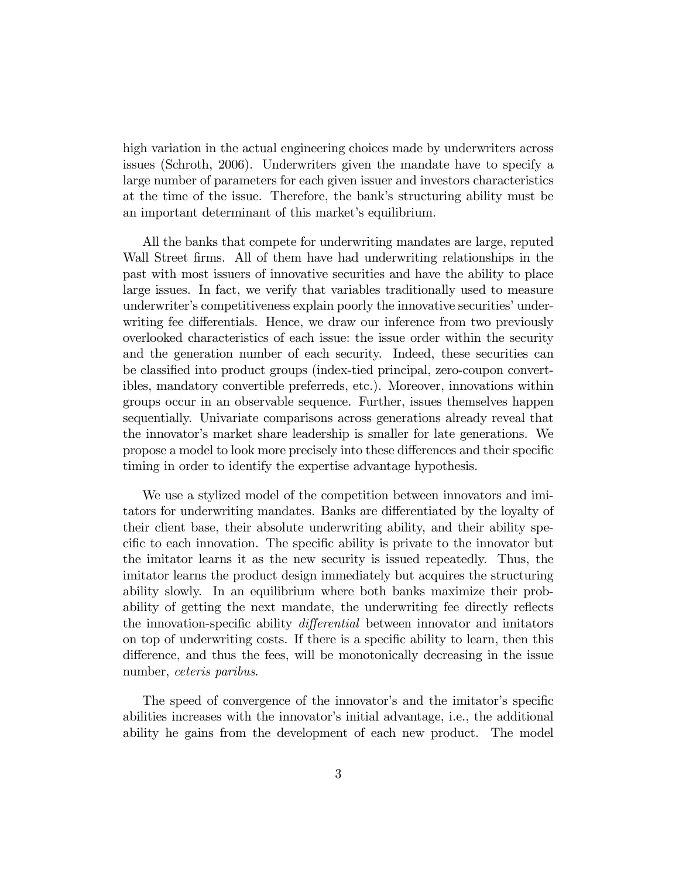high variation in the actual engineering choices made by underwriters across issues (Schroth, 2006). Underwriters given the mandate have to specify a large number of parameters for each given issuer and investors characteristics at the time of the issue. Therefore, the bankís structuring ability must be an important determinant of this market's equilibrium.

All the banks that compete for underwriting mandates are large, reputed Wall Street firms. All of them have had underwriting relationships in the past with most issuers of innovative securities and have the ability to place large issues. In fact, we verify that variables traditionally used to measure underwriter's competitiveness explain poorly the innovative securities' underwriting fee differentials. Hence, we draw our inference from two previously overlooked characteristics of each issue: the issue order within the security and the generation number of each security. Indeed, these securities can be classified into product groups (index-tied principal, zero-coupon convertibles, mandatory convertible preferreds, etc.). Moreover, innovations within groups occur in an observable sequence. Further, issues themselves happen sequentially. Univariate comparisons across generations already reveal that the innovator's market share leadership is smaller for late generations. We propose a model to look more precisely into these differences and their specific timing in order to identify the expertise advantage hypothesis.

We use a stylized model of the competition between innovators and imitators for underwriting mandates. Banks are differentiated by the loyalty of their client base, their absolute underwriting ability, and their ability specific to each innovation. The specific ability is private to the innovator but the imitator learns it as the new security is issued repeatedly. Thus, the imitator learns the product design immediately but acquires the structuring ability slowly. In an equilibrium where both banks maximize their probability of getting the next mandate, the underwriting fee directly reflects the innovation-specific ability *differential* between innovator and imitators on top of underwriting costs. If there is a specific ability to learn, then this difference, and thus the fees, will be monotonically decreasing in the issue number, ceteris paribus.

The speed of convergence of the innovator's and the imitator's specific abilities increases with the innovator's initial advantage, i.e., the additional ability he gains from the development of each new product. The model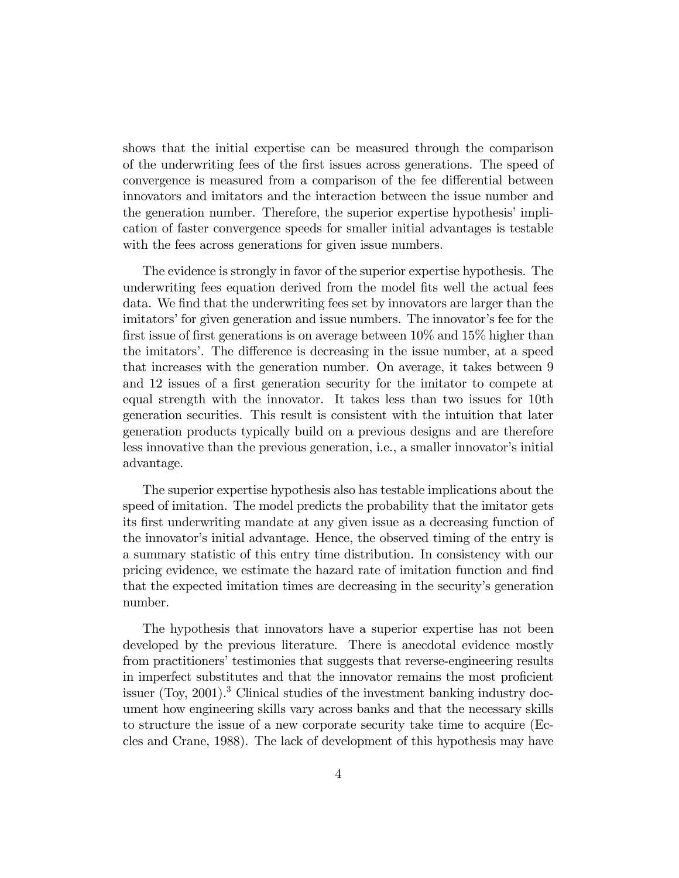shows that the initial expertise can be measured through the comparison of the underwriting fees of the first issues across generations. The speed of convergence is measured from a comparison of the fee differential between innovators and imitators and the interaction between the issue number and the generation number. Therefore, the superior expertise hypothesis' implication of faster convergence speeds for smaller initial advantages is testable with the fees across generations for given issue numbers.

The evidence is strongly in favor of the superior expertise hypothesis. The underwriting fees equation derived from the model fits well the actual fees data. We find that the underwriting fees set by innovators are larger than the imitators' for given generation and issue numbers. The innovator's fee for the first issue of first generations is on average between  $10\%$  and  $15\%$  higher than the imitators'. The difference is decreasing in the issue number, at a speed that increases with the generation number. On average, it takes between 9 and 12 issues of a first generation security for the imitator to compete at equal strength with the innovator. It takes less than two issues for 10th generation securities. This result is consistent with the intuition that later generation products typically build on a previous designs and are therefore less innovative than the previous generation, i.e., a smaller innovator's initial advantage.

The superior expertise hypothesis also has testable implications about the speed of imitation. The model predicts the probability that the imitator gets its first underwriting mandate at any given issue as a decreasing function of the innovator's initial advantage. Hence, the observed timing of the entry is a summary statistic of this entry time distribution. In consistency with our pricing evidence, we estimate the hazard rate of imitation function and Önd that the expected imitation times are decreasing in the security's generation number.

The hypothesis that innovators have a superior expertise has not been developed by the previous literature. There is anecdotal evidence mostly from practitioners' testimonies that suggests that reverse-engineering results in imperfect substitutes and that the innovator remains the most proficient issuer (Toy,  $2001$ ).<sup>3</sup> Clinical studies of the investment banking industry document how engineering skills vary across banks and that the necessary skills to structure the issue of a new corporate security take time to acquire (Eccles and Crane, 1988). The lack of development of this hypothesis may have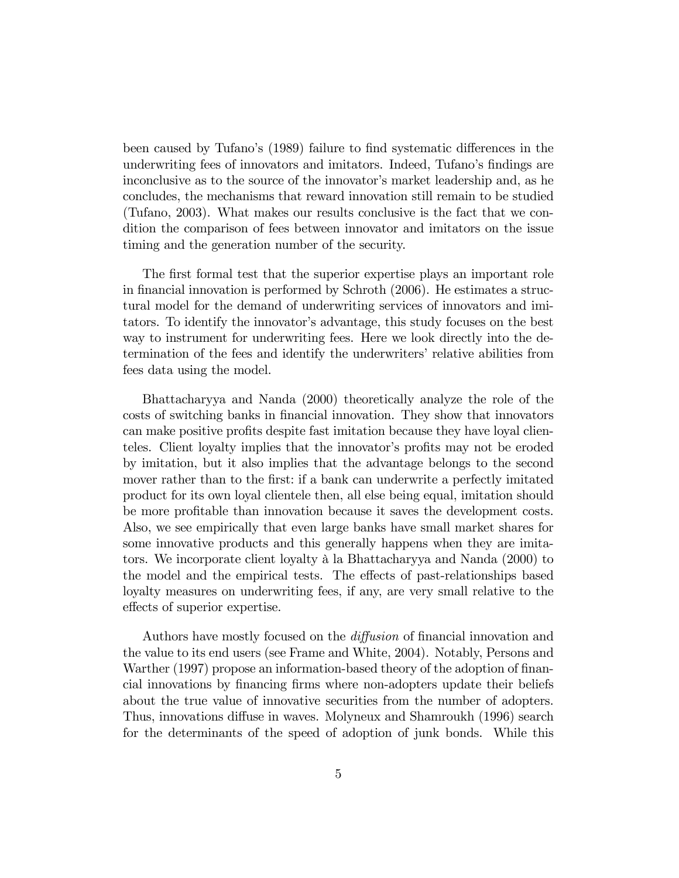been caused by Tufano's (1989) failure to find systematic differences in the underwriting fees of innovators and imitators. Indeed, Tufano's findings are inconclusive as to the source of the innovator's market leadership and, as he concludes, the mechanisms that reward innovation still remain to be studied (Tufano, 2003). What makes our results conclusive is the fact that we condition the comparison of fees between innovator and imitators on the issue timing and the generation number of the security.

The first formal test that the superior expertise plays an important role in financial innovation is performed by Schroth (2006). He estimates a structural model for the demand of underwriting services of innovators and imitators. To identify the innovator's advantage, this study focuses on the best way to instrument for underwriting fees. Here we look directly into the determination of the fees and identify the underwriters' relative abilities from fees data using the model.

Bhattacharyya and Nanda (2000) theoretically analyze the role of the costs of switching banks in Önancial innovation. They show that innovators can make positive profits despite fast imitation because they have loyal clienteles. Client loyalty implies that the innovator's profits may not be eroded by imitation, but it also implies that the advantage belongs to the second mover rather than to the first: if a bank can underwrite a perfectly imitated product for its own loyal clientele then, all else being equal, imitation should be more profitable than innovation because it saves the development costs. Also, we see empirically that even large banks have small market shares for some innovative products and this generally happens when they are imitators. We incorporate client loyalty à la Bhattacharyya and Nanda (2000) to the model and the empirical tests. The effects of past-relationships based loyalty measures on underwriting fees, if any, are very small relative to the effects of superior expertise.

Authors have mostly focused on the *diffusion* of financial innovation and the value to its end users (see Frame and White, 2004). Notably, Persons and Warther (1997) propose an information-based theory of the adoption of financial innovations by Önancing Örms where non-adopters update their beliefs about the true value of innovative securities from the number of adopters. Thus, innovations diffuse in waves. Molyneux and Shamroukh (1996) search for the determinants of the speed of adoption of junk bonds. While this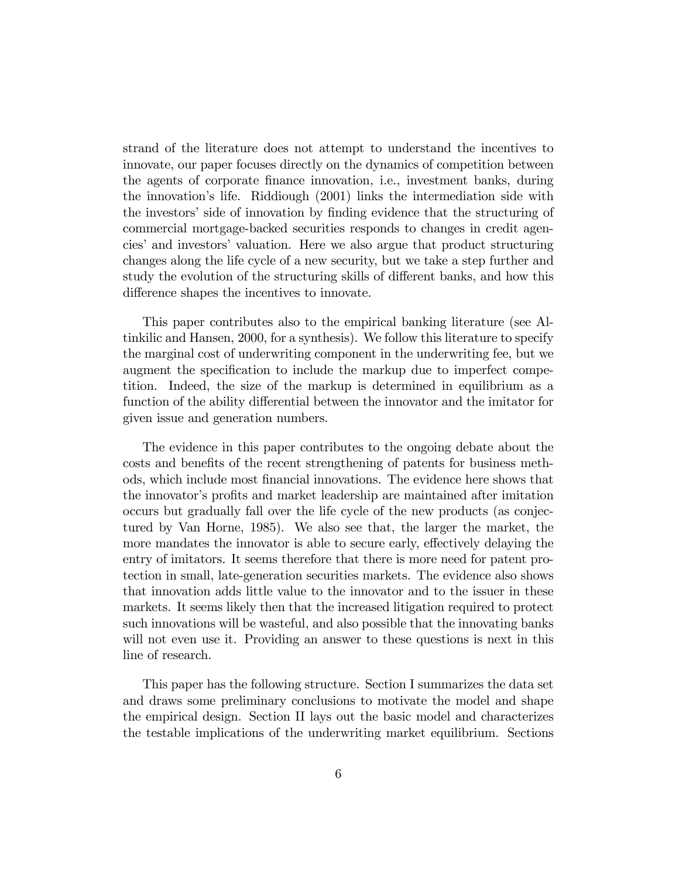strand of the literature does not attempt to understand the incentives to innovate, our paper focuses directly on the dynamics of competition between the agents of corporate Önance innovation, i.e., investment banks, during the innovationís life. Riddiough (2001) links the intermediation side with the investors' side of innovation by finding evidence that the structuring of commercial mortgage-backed securities responds to changes in credit agencies' and investors' valuation. Here we also argue that product structuring changes along the life cycle of a new security, but we take a step further and study the evolution of the structuring skills of different banks, and how this difference shapes the incentives to innovate.

This paper contributes also to the empirical banking literature (see Altinkilic and Hansen, 2000, for a synthesis). We follow this literature to specify the marginal cost of underwriting component in the underwriting fee, but we augment the specification to include the markup due to imperfect competition. Indeed, the size of the markup is determined in equilibrium as a function of the ability differential between the innovator and the imitator for given issue and generation numbers.

The evidence in this paper contributes to the ongoing debate about the costs and benefits of the recent strengthening of patents for business methods, which include most Önancial innovations. The evidence here shows that the innovator's profits and market leadership are maintained after imitation occurs but gradually fall over the life cycle of the new products (as conjectured by Van Horne, 1985). We also see that, the larger the market, the more mandates the innovator is able to secure early, effectively delaying the entry of imitators. It seems therefore that there is more need for patent protection in small, late-generation securities markets. The evidence also shows that innovation adds little value to the innovator and to the issuer in these markets. It seems likely then that the increased litigation required to protect such innovations will be wasteful, and also possible that the innovating banks will not even use it. Providing an answer to these questions is next in this line of research.

This paper has the following structure. Section I summarizes the data set and draws some preliminary conclusions to motivate the model and shape the empirical design. Section II lays out the basic model and characterizes the testable implications of the underwriting market equilibrium. Sections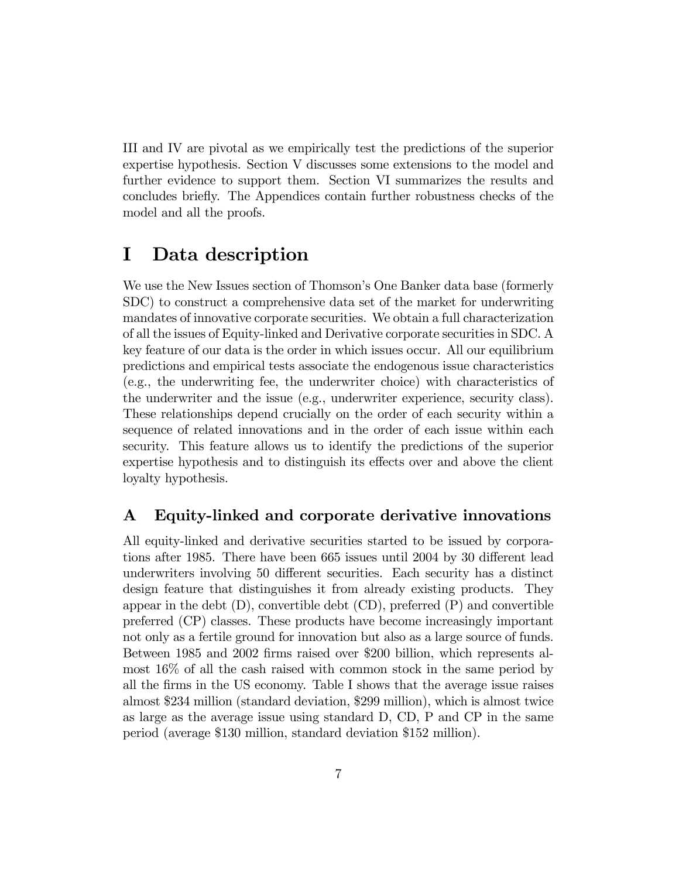III and IV are pivotal as we empirically test the predictions of the superior expertise hypothesis. Section V discusses some extensions to the model and further evidence to support them. Section VI summarizes the results and concludes brieáy. The Appendices contain further robustness checks of the model and all the proofs.

# I Data description

We use the New Issues section of Thomson's One Banker data base (formerly SDC) to construct a comprehensive data set of the market for underwriting mandates of innovative corporate securities. We obtain a full characterization of all the issues of Equity-linked and Derivative corporate securities in SDC. A key feature of our data is the order in which issues occur. All our equilibrium predictions and empirical tests associate the endogenous issue characteristics (e.g., the underwriting fee, the underwriter choice) with characteristics of the underwriter and the issue (e.g., underwriter experience, security class). These relationships depend crucially on the order of each security within a sequence of related innovations and in the order of each issue within each security. This feature allows us to identify the predictions of the superior expertise hypothesis and to distinguish its effects over and above the client loyalty hypothesis.

#### A Equity-linked and corporate derivative innovations

All equity-linked and derivative securities started to be issued by corporations after 1985. There have been 665 issues until 2004 by 30 different lead underwriters involving 50 different securities. Each security has a distinct design feature that distinguishes it from already existing products. They appear in the debt  $(D)$ , convertible debt  $(CD)$ , preferred  $(P)$  and convertible preferred (CP) classes. These products have become increasingly important not only as a fertile ground for innovation but also as a large source of funds. Between 1985 and 2002 firms raised over \$200 billion, which represents almost 16% of all the cash raised with common stock in the same period by all the Örms in the US economy. Table I shows that the average issue raises almost \$234 million (standard deviation, \$299 million), which is almost twice as large as the average issue using standard D, CD, P and CP in the same period (average \$130 million, standard deviation \$152 million).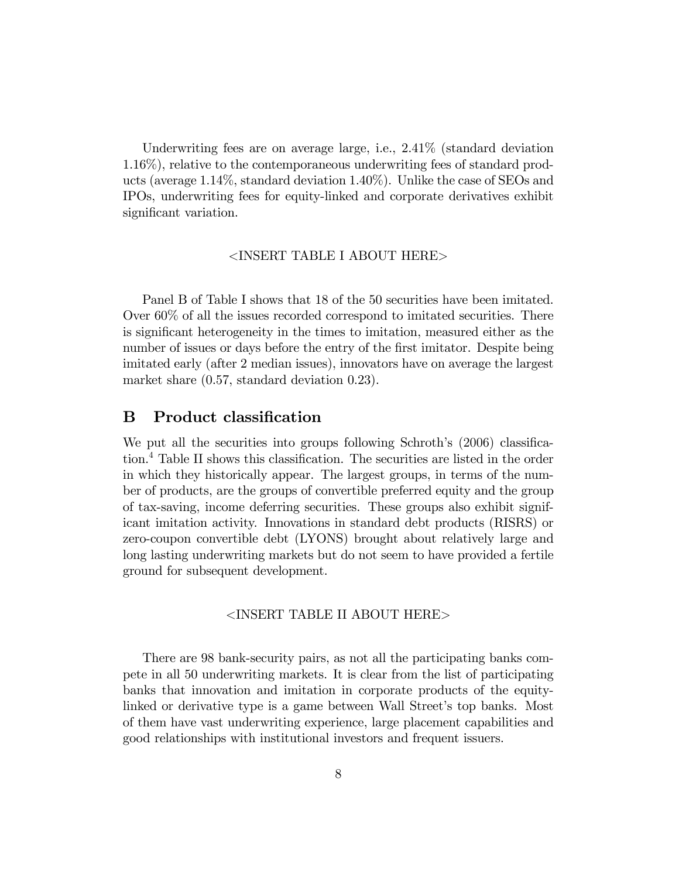Underwriting fees are on average large, i.e., 2.41\% (standard deviation 1.16%), relative to the contemporaneous underwriting fees of standard products (average 1.14%, standard deviation 1.40%). Unlike the case of SEOs and IPOs, underwriting fees for equity-linked and corporate derivatives exhibit significant variation.

#### <INSERT TABLE I ABOUT HERE>

Panel B of Table I shows that 18 of the 50 securities have been imitated. Over 60% of all the issues recorded correspond to imitated securities. There is significant heterogeneity in the times to imitation, measured either as the number of issues or days before the entry of the first imitator. Despite being imitated early (after 2 median issues), innovators have on average the largest market share (0.57, standard deviation 0.23).

#### **B** Product classification

We put all the securities into groups following Schroth's (2006) classification.<sup>4</sup> Table II shows this classification. The securities are listed in the order in which they historically appear. The largest groups, in terms of the number of products, are the groups of convertible preferred equity and the group of tax-saving, income deferring securities. These groups also exhibit significant imitation activity. Innovations in standard debt products (RISRS) or zero-coupon convertible debt (LYONS) brought about relatively large and long lasting underwriting markets but do not seem to have provided a fertile ground for subsequent development.

#### <INSERT TABLE II ABOUT HERE>

There are 98 bank-security pairs, as not all the participating banks compete in all 50 underwriting markets. It is clear from the list of participating banks that innovation and imitation in corporate products of the equitylinked or derivative type is a game between Wall Street's top banks. Most of them have vast underwriting experience, large placement capabilities and good relationships with institutional investors and frequent issuers.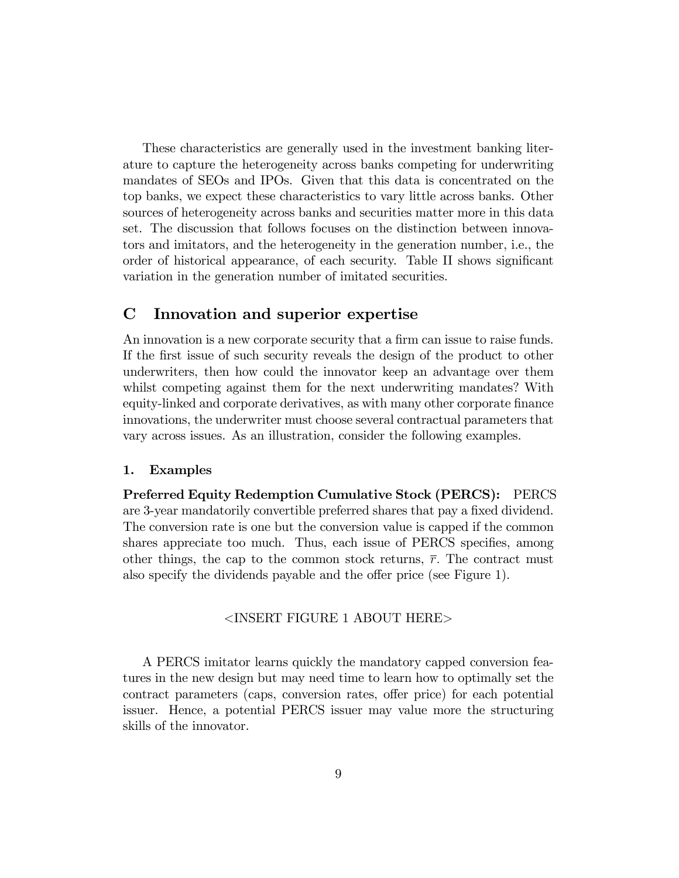These characteristics are generally used in the investment banking literature to capture the heterogeneity across banks competing for underwriting mandates of SEOs and IPOs. Given that this data is concentrated on the top banks, we expect these characteristics to vary little across banks. Other sources of heterogeneity across banks and securities matter more in this data set. The discussion that follows focuses on the distinction between innovators and imitators, and the heterogeneity in the generation number, i.e., the order of historical appearance, of each security. Table II shows significant variation in the generation number of imitated securities.

#### C Innovation and superior expertise

An innovation is a new corporate security that a firm can issue to raise funds. If the first issue of such security reveals the design of the product to other underwriters, then how could the innovator keep an advantage over them whilst competing against them for the next underwriting mandates? With equity-linked and corporate derivatives, as with many other corporate finance innovations, the underwriter must choose several contractual parameters that vary across issues. As an illustration, consider the following examples.

#### 1. Examples

Preferred Equity Redemption Cumulative Stock (PERCS): PERCS are 3-year mandatorily convertible preferred shares that pay a fixed dividend. The conversion rate is one but the conversion value is capped if the common shares appreciate too much. Thus, each issue of PERCS specifies, among other things, the cap to the common stock returns,  $\bar{r}$ . The contract must also specify the dividends payable and the offer price (see Figure 1).

#### <INSERT FIGURE 1 ABOUT HERE>

A PERCS imitator learns quickly the mandatory capped conversion features in the new design but may need time to learn how to optimally set the contract parameters (caps, conversion rates, offer price) for each potential issuer. Hence, a potential PERCS issuer may value more the structuring skills of the innovator.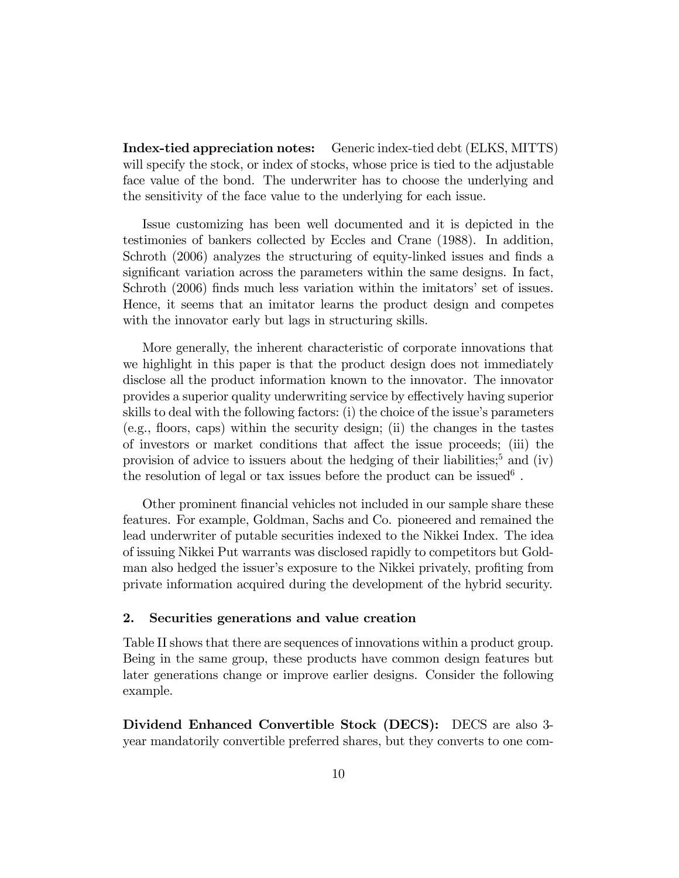Index-tied appreciation notes: Generic index-tied debt (ELKS, MITTS) will specify the stock, or index of stocks, whose price is tied to the adjustable face value of the bond. The underwriter has to choose the underlying and the sensitivity of the face value to the underlying for each issue.

Issue customizing has been well documented and it is depicted in the testimonies of bankers collected by Eccles and Crane (1988). In addition, Schroth (2006) analyzes the structuring of equity-linked issues and finds a significant variation across the parameters within the same designs. In fact, Schroth (2006) finds much less variation within the imitators' set of issues. Hence, it seems that an imitator learns the product design and competes with the innovator early but lags in structuring skills.

More generally, the inherent characteristic of corporate innovations that we highlight in this paper is that the product design does not immediately disclose all the product information known to the innovator. The innovator provides a superior quality underwriting service by effectively having superior skills to deal with the following factors:  $(i)$  the choice of the issue's parameters (e.g., áoors, caps) within the security design; (ii) the changes in the tastes of investors or market conditions that affect the issue proceeds; (iii) the provision of advice to issuers about the hedging of their liabilities;<sup>5</sup> and (iv) the resolution of legal or tax issues before the product can be issued<sup>6</sup>.

Other prominent financial vehicles not included in our sample share these features. For example, Goldman, Sachs and Co. pioneered and remained the lead underwriter of putable securities indexed to the Nikkei Index. The idea of issuing Nikkei Put warrants was disclosed rapidly to competitors but Goldman also hedged the issuer's exposure to the Nikkei privately, profiting from private information acquired during the development of the hybrid security.

#### 2. Securities generations and value creation

Table II shows that there are sequences of innovations within a product group. Being in the same group, these products have common design features but later generations change or improve earlier designs. Consider the following example.

Dividend Enhanced Convertible Stock (DECS): DECS are also 3 year mandatorily convertible preferred shares, but they converts to one com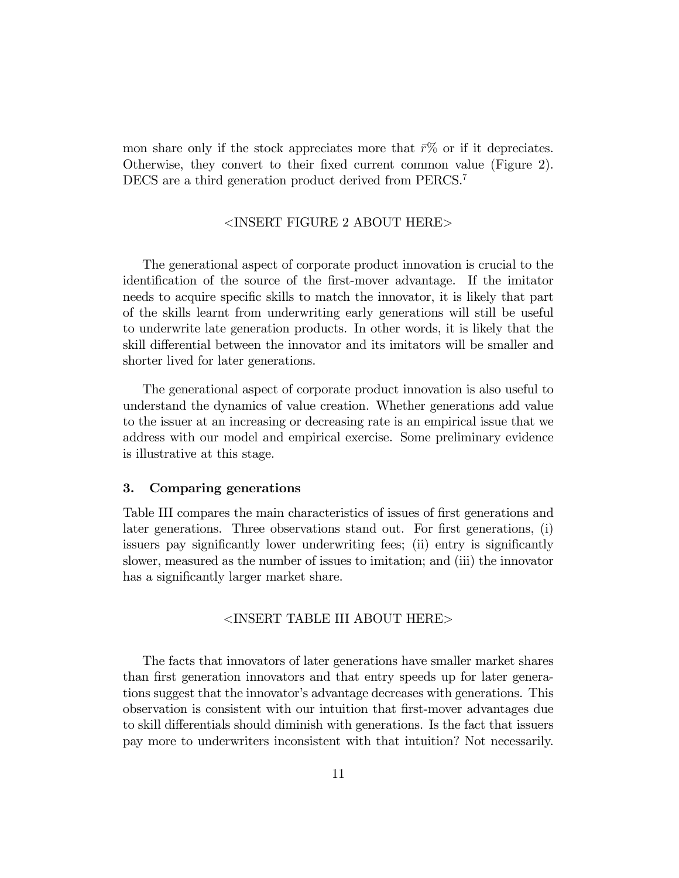mon share only if the stock appreciates more that  $\bar{r}\%$  or if it depreciates. Otherwise, they convert to their Öxed current common value (Figure 2). DECS are a third generation product derived from PERCS.<sup>7</sup>

#### <INSERT FIGURE 2 ABOUT HERE>

The generational aspect of corporate product innovation is crucial to the identification of the source of the first-mover advantage. If the imitator needs to acquire specific skills to match the innovator, it is likely that part of the skills learnt from underwriting early generations will still be useful to underwrite late generation products. In other words, it is likely that the skill differential between the innovator and its imitators will be smaller and shorter lived for later generations.

The generational aspect of corporate product innovation is also useful to understand the dynamics of value creation. Whether generations add value to the issuer at an increasing or decreasing rate is an empirical issue that we address with our model and empirical exercise. Some preliminary evidence is illustrative at this stage.

#### 3. Comparing generations

Table III compares the main characteristics of issues of first generations and later generations. Three observations stand out. For first generations, (i) issuers pay significantly lower underwriting fees; (ii) entry is significantly slower, measured as the number of issues to imitation; and (iii) the innovator has a significantly larger market share.

#### <INSERT TABLE III ABOUT HERE>

The facts that innovators of later generations have smaller market shares than first generation innovators and that entry speeds up for later generations suggest that the innovator's advantage decreases with generations. This observation is consistent with our intuition that Örst-mover advantages due to skill differentials should diminish with generations. Is the fact that issuers pay more to underwriters inconsistent with that intuition? Not necessarily.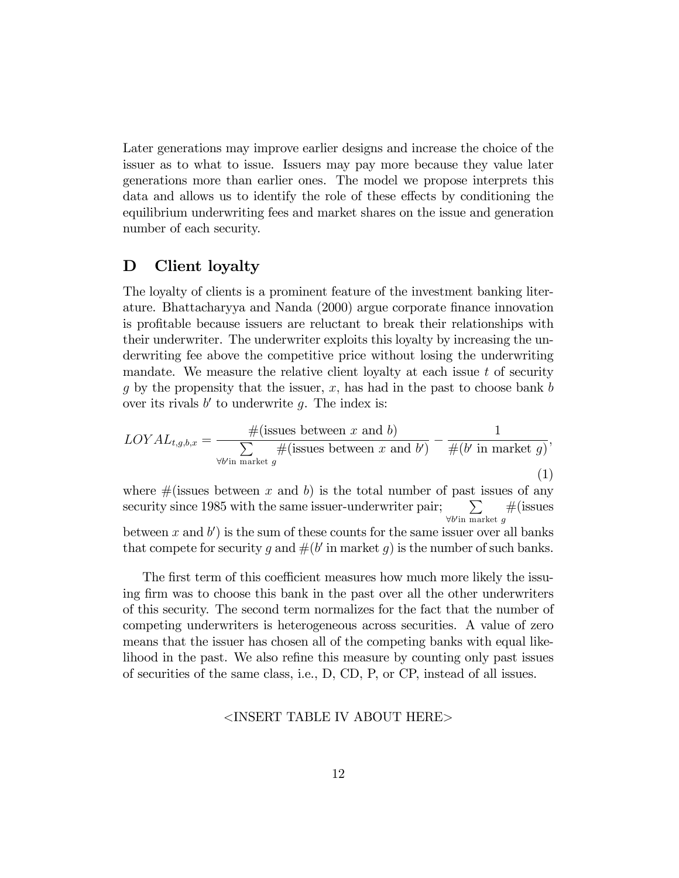Later generations may improve earlier designs and increase the choice of the issuer as to what to issue. Issuers may pay more because they value later generations more than earlier ones. The model we propose interprets this data and allows us to identify the role of these effects by conditioning the equilibrium underwriting fees and market shares on the issue and generation number of each security.

#### D Client loyalty

The loyalty of clients is a prominent feature of the investment banking literature. Bhattacharyya and Nanda (2000) argue corporate Önance innovation is proÖtable because issuers are reluctant to break their relationships with their underwriter. The underwriter exploits this loyalty by increasing the underwriting fee above the competitive price without losing the underwriting mandate. We measure the relative client loyalty at each issue  $t$  of security q by the propensity that the issuer,  $x$ , has had in the past to choose bank b over its rivals  $b'$  to underwrite g. The index is:

$$
LOYAL_{t,g,b,x} = \frac{\#(\text{issues between } x \text{ and } b)}{\sum_{\forall b' \text{in market } g} \#(\text{issues between } x \text{ and } b')} - \frac{1}{\#(b' \text{ in market } g)},\tag{1}
$$

where  $\#$  (issues between x and b) is the total number of past issues of any security since 1985 with the same issuer-underwriter pair;  $\forall b'$ in market g  $\#$ (issues between x and  $b'$ ) is the sum of these counts for the same issuer over all banks that compete for security g and  $\#(b' \text{ in market } g)$  is the number of such banks.

The first term of this coefficient measures how much more likely the issuing firm was to choose this bank in the past over all the other underwriters of this security. The second term normalizes for the fact that the number of competing underwriters is heterogeneous across securities. A value of zero means that the issuer has chosen all of the competing banks with equal likelihood in the past. We also refine this measure by counting only past issues of securities of the same class, i.e., D, CD, P, or CP, instead of all issues.

#### <INSERT TABLE IV ABOUT HERE>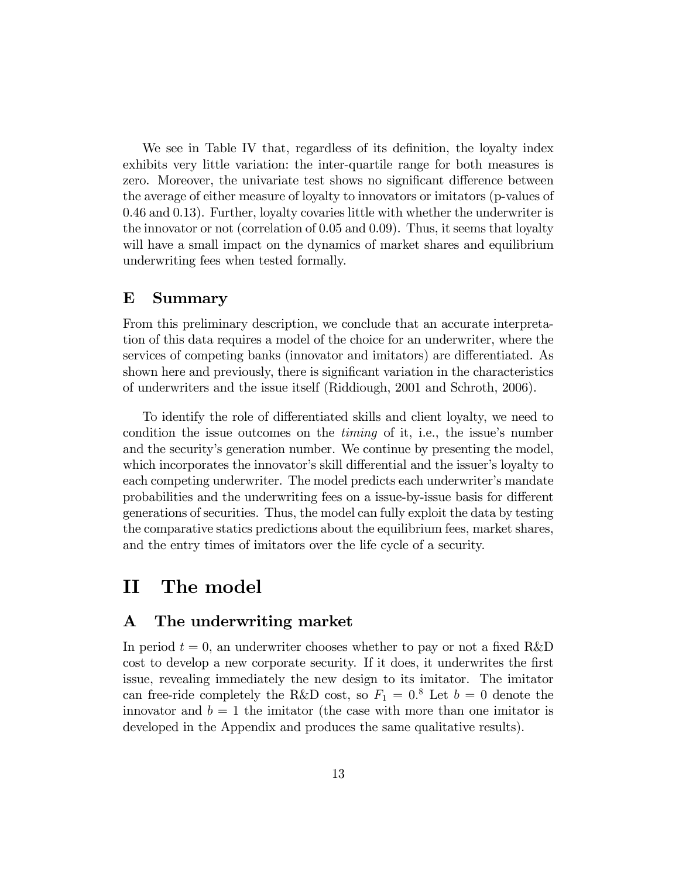We see in Table IV that, regardless of its definition, the loyalty index exhibits very little variation: the inter-quartile range for both measures is zero. Moreover, the univariate test shows no significant difference between the average of either measure of loyalty to innovators or imitators (p-values of 0.46 and 0.13). Further, loyalty covaries little with whether the underwriter is the innovator or not (correlation of 0.05 and 0.09). Thus, it seems that loyalty will have a small impact on the dynamics of market shares and equilibrium underwriting fees when tested formally.

#### E Summary

From this preliminary description, we conclude that an accurate interpretation of this data requires a model of the choice for an underwriter, where the services of competing banks (innovator and imitators) are differentiated. As shown here and previously, there is significant variation in the characteristics of underwriters and the issue itself (Riddiough, 2001 and Schroth, 2006).

To identify the role of differentiated skills and client loyalty, we need to condition the issue outcomes on the  $t_{iming}$  of it, i.e., the issue's number and the security's generation number. We continue by presenting the model, which incorporates the innovator's skill differential and the issuer's loyalty to each competing underwriter. The model predicts each underwriter's mandate probabilities and the underwriting fees on a issue-by-issue basis for different generations of securities. Thus, the model can fully exploit the data by testing the comparative statics predictions about the equilibrium fees, market shares, and the entry times of imitators over the life cycle of a security.

### II The model

#### A The underwriting market

In period  $t = 0$ , an underwriter chooses whether to pay or not a fixed R&D cost to develop a new corporate security. If it does, it underwrites the first issue, revealing immediately the new design to its imitator. The imitator can free-ride completely the R&D cost, so  $F_1 = 0.8$  Let  $b = 0$  denote the innovator and  $b = 1$  the imitator (the case with more than one imitator is developed in the Appendix and produces the same qualitative results).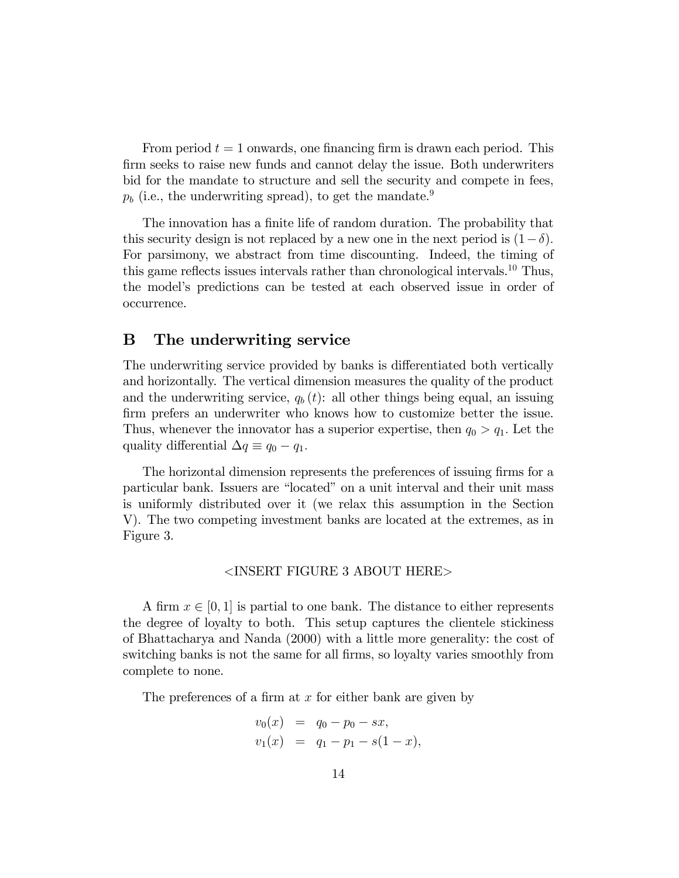From period  $t = 1$  onwards, one financing firm is drawn each period. This firm seeks to raise new funds and cannot delay the issue. Both underwriters bid for the mandate to structure and sell the security and compete in fees,  $p_b$  (i.e., the underwriting spread), to get the mandate.<sup>9</sup>

The innovation has a finite life of random duration. The probability that this security design is not replaced by a new one in the next period is  $(1-\delta)$ . For parsimony, we abstract from time discounting. Indeed, the timing of this game reflects issues intervals rather than chronological intervals.<sup>10</sup> Thus, the modelís predictions can be tested at each observed issue in order of occurrence.

#### B The underwriting service

The underwriting service provided by banks is differentiated both vertically and horizontally. The vertical dimension measures the quality of the product and the underwriting service,  $q_b(t)$ : all other things being equal, an issuing firm prefers an underwriter who knows how to customize better the issue. Thus, whenever the innovator has a superior expertise, then  $q_0 > q_1$ . Let the quality differential  $\Delta q \equiv q_0 - q_1$ .

The horizontal dimension represents the preferences of issuing firms for a particular bank. Issuers are "located" on a unit interval and their unit mass is uniformly distributed over it (we relax this assumption in the Section V). The two competing investment banks are located at the extremes, as in Figure 3.

#### <INSERT FIGURE 3 ABOUT HERE>

A firm  $x \in [0, 1]$  is partial to one bank. The distance to either represents the degree of loyalty to both. This setup captures the clientele stickiness of Bhattacharya and Nanda (2000) with a little more generality: the cost of switching banks is not the same for all firms, so loyalty varies smoothly from complete to none.

The preferences of a firm at  $x$  for either bank are given by

$$
v_0(x) = q_0 - p_0 - sx,
$$
  

$$
v_1(x) = q_1 - p_1 - s(1 - x),
$$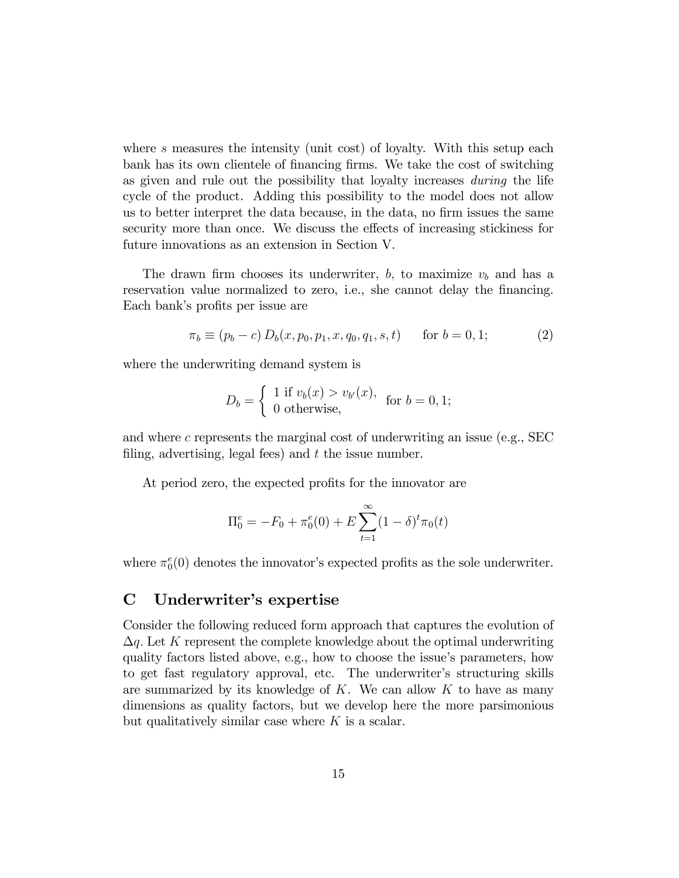where s measures the intensity (unit cost) of loyalty. With this setup each bank has its own clientele of financing firms. We take the cost of switching as given and rule out the possibility that loyalty increases during the life cycle of the product. Adding this possibility to the model does not allow us to better interpret the data because, in the data, no firm issues the same security more than once. We discuss the effects of increasing stickiness for future innovations as an extension in Section V.

The drawn firm chooses its underwriter, b, to maximize  $v<sub>b</sub>$  and has a reservation value normalized to zero, i.e., she cannot delay the financing. Each bank's profits per issue are

$$
\pi_b \equiv (p_b - c) D_b(x, p_0, p_1, x, q_0, q_1, s, t) \quad \text{for } b = 0, 1; \tag{2}
$$

where the underwriting demand system is

$$
D_b = \begin{cases} 1 \text{ if } v_b(x) > v_{b'}(x), \\ 0 \text{ otherwise,} \end{cases} \text{ for } b = 0, 1;
$$

and where c represents the marginal cost of underwriting an issue (e.g., SEC filing, advertising, legal fees) and  $t$  the issue number.

At period zero, the expected profits for the innovator are

$$
\Pi_0^e = -F_0 + \pi_0^e(0) + E \sum_{t=1}^{\infty} (1 - \delta)^t \pi_0(t)
$$

where  $\pi_0^e(0)$  denotes the innovator's expected profits as the sole underwriter.

#### C Underwriter's expertise

Consider the following reduced form approach that captures the evolution of  $\Delta q$ . Let K represent the complete knowledge about the optimal underwriting quality factors listed above, e.g., how to choose the issue's parameters, how to get fast regulatory approval, etc. The underwriter's structuring skills are summarized by its knowledge of  $K$ . We can allow  $K$  to have as many dimensions as quality factors, but we develop here the more parsimonious but qualitatively similar case where  $K$  is a scalar.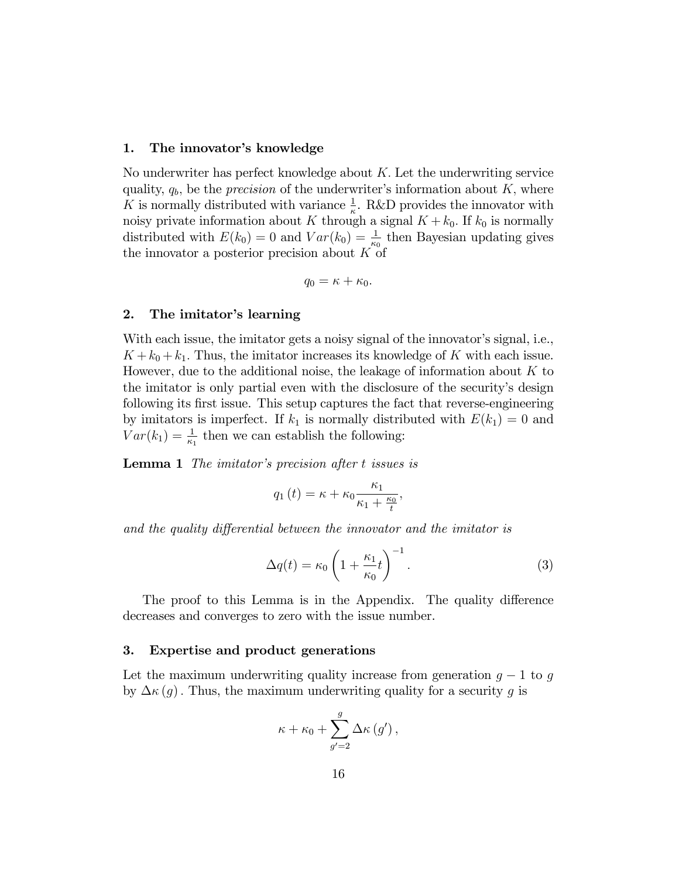#### 1. The innovator's knowledge

No underwriter has perfect knowledge about  $K$ . Let the underwriting service quality,  $q_b$ , be the *precision* of the underwriter's information about K, where K is normally distributed with variance  $\frac{1}{\kappa}$ . R&D provides the innovator with noisy private information about K through a signal  $K + k_0$ . If  $k_0$  is normally distributed with  $E(k_0) = 0$  and  $Var(k_0) = \frac{1}{k_0}$  then Bayesian updating gives the innovator a posterior precision about  $K$  of

$$
q_0 = \kappa + \kappa_0.
$$

#### 2. The imitator's learning

With each issue, the imitator gets a noisy signal of the innovator's signal, i.e.,  $K + k_0 + k_1$ . Thus, the imitator increases its knowledge of K with each issue. However, due to the additional noise, the leakage of information about  $K$  to the imitator is only partial even with the disclosure of the security's design following its first issue. This setup captures the fact that reverse-engineering by imitators is imperfect. If  $k_1$  is normally distributed with  $E(k_1) = 0$  and  $Var(k_1) = \frac{1}{\kappa_1}$  then we can establish the following:

**Lemma 1** The imitator's precision after t issues is

$$
q_1(t) = \kappa + \kappa_0 \frac{\kappa_1}{\kappa_1 + \frac{\kappa_0}{t}},
$$

and the quality differential between the innovator and the imitator is

$$
\Delta q(t) = \kappa_0 \left( 1 + \frac{\kappa_1}{\kappa_0} t \right)^{-1} . \tag{3}
$$

The proof to this Lemma is in the Appendix. The quality difference decreases and converges to zero with the issue number.

#### 3. Expertise and product generations

Let the maximum underwriting quality increase from generation  $g - 1$  to g by  $\Delta \kappa (q)$ . Thus, the maximum underwriting quality for a security g is

$$
\kappa + \kappa_0 + \sum_{g'=2}^{g} \Delta \kappa \left( g' \right),
$$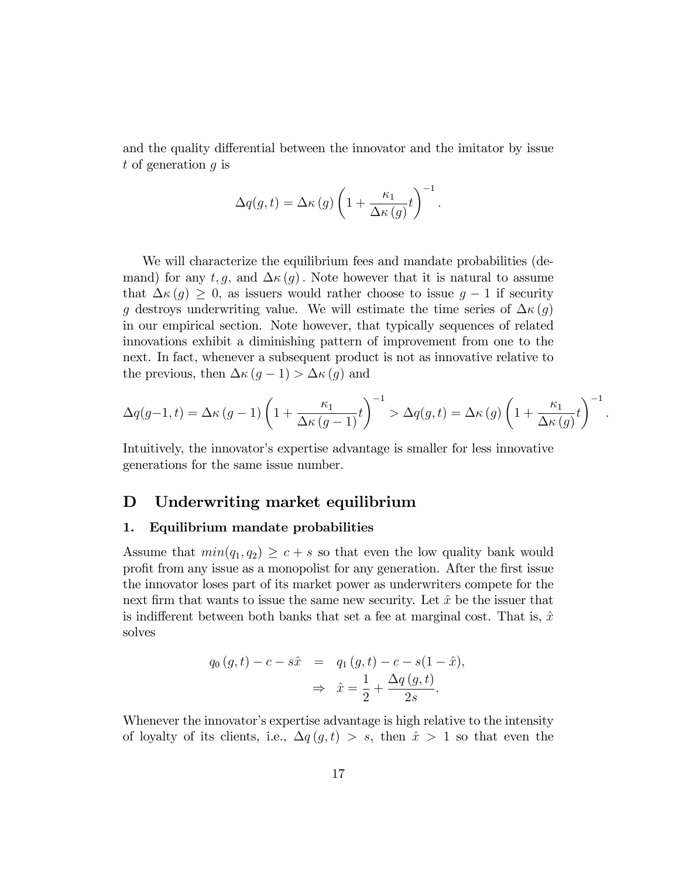and the quality differential between the innovator and the imitator by issue t of generation  $q$  is

$$
\Delta q(g, t) = \Delta \kappa(g) \left( 1 + \frac{\kappa_1}{\Delta \kappa(g)} t \right)^{-1}
$$

:

We will characterize the equilibrium fees and mandate probabilities (demand) for any t, g, and  $\Delta \kappa(g)$ . Note however that it is natural to assume that  $\Delta \kappa (g) \geq 0$ , as issuers would rather choose to issue  $g - 1$  if security g destroys underwriting value. We will estimate the time series of  $\Delta \kappa(g)$ in our empirical section. Note however, that typically sequences of related innovations exhibit a diminishing pattern of improvement from one to the next. In fact, whenever a subsequent product is not as innovative relative to the previous, then  $\Delta \kappa (g - 1) > \Delta \kappa (g)$  and

$$
\Delta q(g-1,t) = \Delta \kappa (g-1) \left( 1 + \frac{\kappa_1}{\Delta \kappa (g-1)} t \right)^{-1} > \Delta q(g,t) = \Delta \kappa (g) \left( 1 + \frac{\kappa_1}{\Delta \kappa (g)} t \right)^{-1}.
$$

Intuitively, the innovator's expertise advantage is smaller for less innovative generations for the same issue number.

#### D Underwriting market equilibrium

#### 1. Equilibrium mandate probabilities

Assume that  $min(q_1, q_2) \geq c + s$  so that even the low quality bank would profit from any issue as a monopolist for any generation. After the first issue the innovator loses part of its market power as underwriters compete for the next firm that wants to issue the same new security. Let  $\hat{x}$  be the issuer that is indifferent between both banks that set a fee at marginal cost. That is,  $\hat{x}$ solves

$$
q_0(g, t) - c - s\hat{x} = q_1(g, t) - c - s(1 - \hat{x}),
$$
  

$$
\Rightarrow \hat{x} = \frac{1}{2} + \frac{\Delta q(g, t)}{2s}.
$$

Whenever the innovator's expertise advantage is high relative to the intensity of loyalty of its clients, i.e.,  $\Delta q (g, t) > s$ , then  $\hat{x} > 1$  so that even the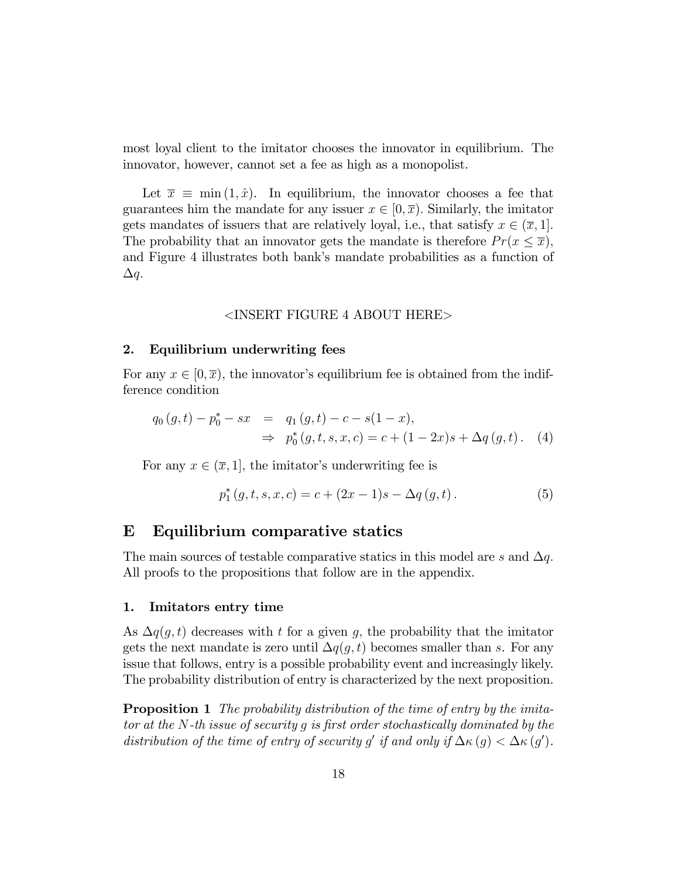most loyal client to the imitator chooses the innovator in equilibrium. The innovator, however, cannot set a fee as high as a monopolist.

Let  $\bar{x} \equiv \min(1, \hat{x})$ . In equilibrium, the innovator chooses a fee that guarantees him the mandate for any issuer  $x \in [0, \overline{x})$ . Similarly, the imitator gets mandates of issuers that are relatively loyal, i.e., that satisfy  $x \in (\overline{x}, 1]$ . The probability that an innovator gets the mandate is therefore  $Pr(x \leq \overline{x})$ , and Figure 4 illustrates both bank's mandate probabilities as a function of  $\Delta q$ .

#### <INSERT FIGURE 4 ABOUT HERE>

#### 2. Equilibrium underwriting fees

For any  $x \in [0, \overline{x})$ , the innovator's equilibrium fee is obtained from the indifference condition

$$
q_0(g,t) - p_0^* - sx = q_1(g,t) - c - s(1-x),
$$
  
\n
$$
\Rightarrow p_0^*(g,t,s,x,c) = c + (1-2x)s + \Delta q(g,t).
$$
 (4)

For any  $x \in (\overline{x}, 1]$ , the imitator's underwriting fee is

$$
p_1^*(g, t, s, x, c) = c + (2x - 1)s - \Delta q(g, t).
$$
 (5)

#### E Equilibrium comparative statics

The main sources of testable comparative statics in this model are s and  $\Delta q$ . All proofs to the propositions that follow are in the appendix.

#### 1. Imitators entry time

As  $\Delta q(g, t)$  decreases with t for a given g, the probability that the imitator gets the next mandate is zero until  $\Delta q(q, t)$  becomes smaller than s. For any issue that follows, entry is a possible probability event and increasingly likely. The probability distribution of entry is characterized by the next proposition.

**Proposition 1** The probability distribution of the time of entry by the imitator at the  $N$ -th issue of security g is first order stochastically dominated by the distribution of the time of entry of security g' if and only if  $\Delta \kappa (g) < \Delta \kappa (g')$ .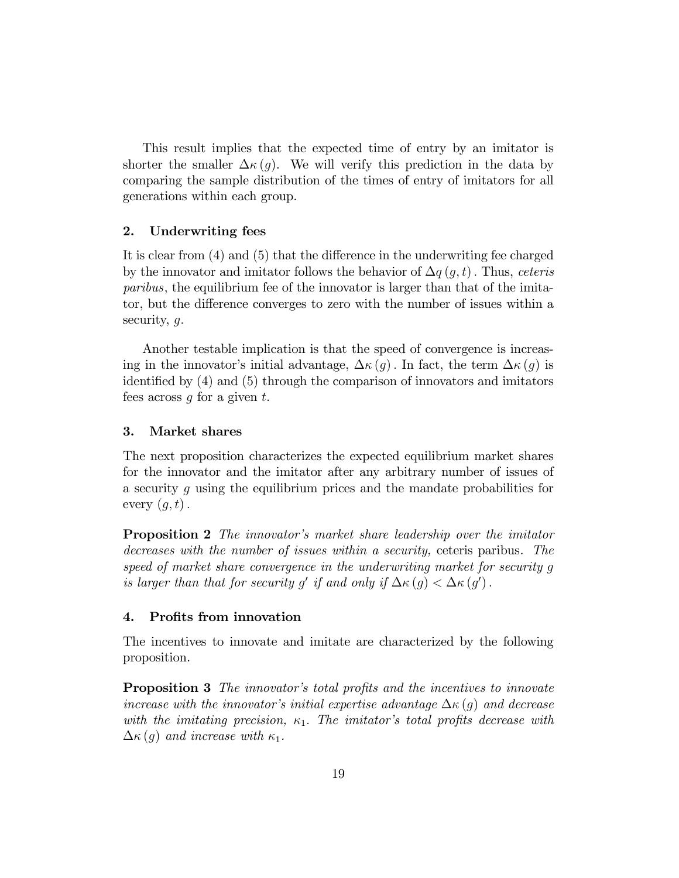This result implies that the expected time of entry by an imitator is shorter the smaller  $\Delta \kappa (g)$ . We will verify this prediction in the data by comparing the sample distribution of the times of entry of imitators for all generations within each group.

#### 2. Underwriting fees

It is clear from  $(4)$  and  $(5)$  that the difference in the underwriting fee charged by the innovator and imitator follows the behavior of  $\Delta q$  (g, t). Thus, ceteris paribus; the equilibrium fee of the innovator is larger than that of the imitator, but the difference converges to zero with the number of issues within a security, g.

Another testable implication is that the speed of convergence is increasing in the innovator's initial advantage,  $\Delta \kappa (g)$ . In fact, the term  $\Delta \kappa (g)$  is identified by  $(4)$  and  $(5)$  through the comparison of innovators and imitators fees across q for a given  $t$ .

#### 3. Market shares

The next proposition characterizes the expected equilibrium market shares for the innovator and the imitator after any arbitrary number of issues of a security g using the equilibrium prices and the mandate probabilities for every  $(q, t)$ .

**Proposition 2** The innovator's market share leadership over the imitator decreases with the number of issues within a security, ceteris paribus. The speed of market share convergence in the underwriting market for security g is larger than that for security g' if and only if  $\Delta \kappa (g) < \Delta \kappa (g')$ .

#### 4. Profits from innovation

The incentives to innovate and imitate are characterized by the following proposition.

**Proposition 3** The innovator's total profits and the incentives to innovate increase with the innovator's initial expertise advantage  $\Delta \kappa$  (g) and decrease with the imitating precision,  $\kappa_1$ . The imitator's total profits decrease with  $\Delta \kappa(g)$  and increase with  $\kappa_1$ .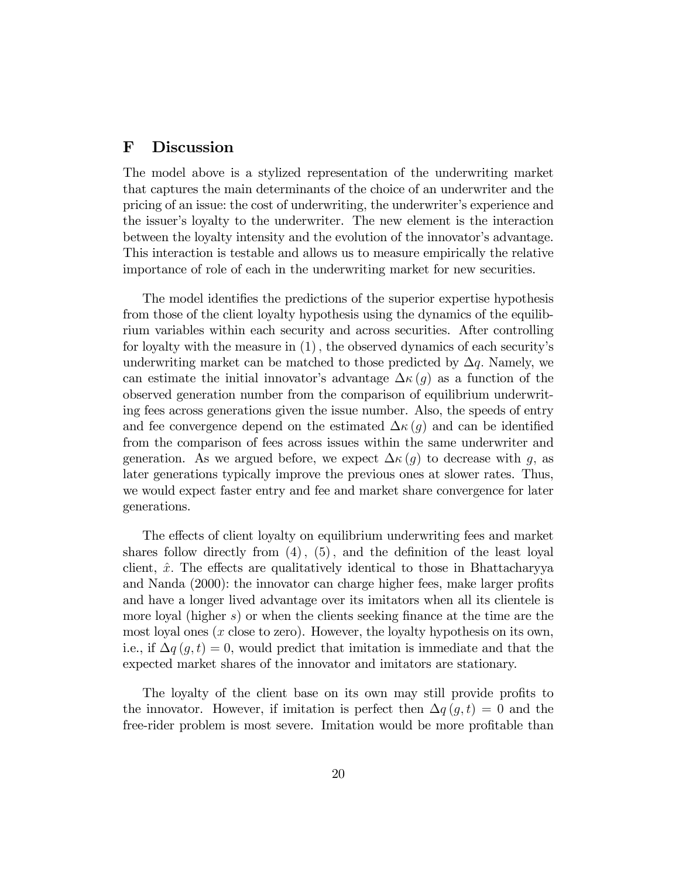#### F Discussion

The model above is a stylized representation of the underwriting market that captures the main determinants of the choice of an underwriter and the pricing of an issue: the cost of underwriting, the underwriter's experience and the issuer's loyalty to the underwriter. The new element is the interaction between the loyalty intensity and the evolution of the innovator's advantage. This interaction is testable and allows us to measure empirically the relative importance of role of each in the underwriting market for new securities.

The model identifies the predictions of the superior expertise hypothesis from those of the client loyalty hypothesis using the dynamics of the equilibrium variables within each security and across securities. After controlling for loyalty with the measure in  $(1)$ , the observed dynamics of each security's underwriting market can be matched to those predicted by  $\Delta q$ . Namely, we can estimate the initial innovator's advantage  $\Delta \kappa(q)$  as a function of the observed generation number from the comparison of equilibrium underwriting fees across generations given the issue number. Also, the speeds of entry and fee convergence depend on the estimated  $\Delta \kappa (g)$  and can be identified from the comparison of fees across issues within the same underwriter and generation. As we argued before, we expect  $\Delta \kappa(q)$  to decrease with q, as later generations typically improve the previous ones at slower rates. Thus, we would expect faster entry and fee and market share convergence for later generations.

The effects of client loyalty on equilibrium underwriting fees and market shares follow directly from  $(4)$ ,  $(5)$ , and the definition of the least loyal client,  $\hat{x}$ . The effects are qualitatively identical to those in Bhattacharyya and Nanda (2000): the innovator can charge higher fees, make larger profits and have a longer lived advantage over its imitators when all its clientele is more loyal (higher  $s$ ) or when the clients seeking finance at the time are the most loyal ones (x close to zero). However, the loyalty hypothesis on its own, i.e., if  $\Delta q (q, t) = 0$ , would predict that imitation is immediate and that the expected market shares of the innovator and imitators are stationary.

The loyalty of the client base on its own may still provide profits to the innovator. However, if imitation is perfect then  $\Delta q (g, t) = 0$  and the free-rider problem is most severe. Imitation would be more profitable than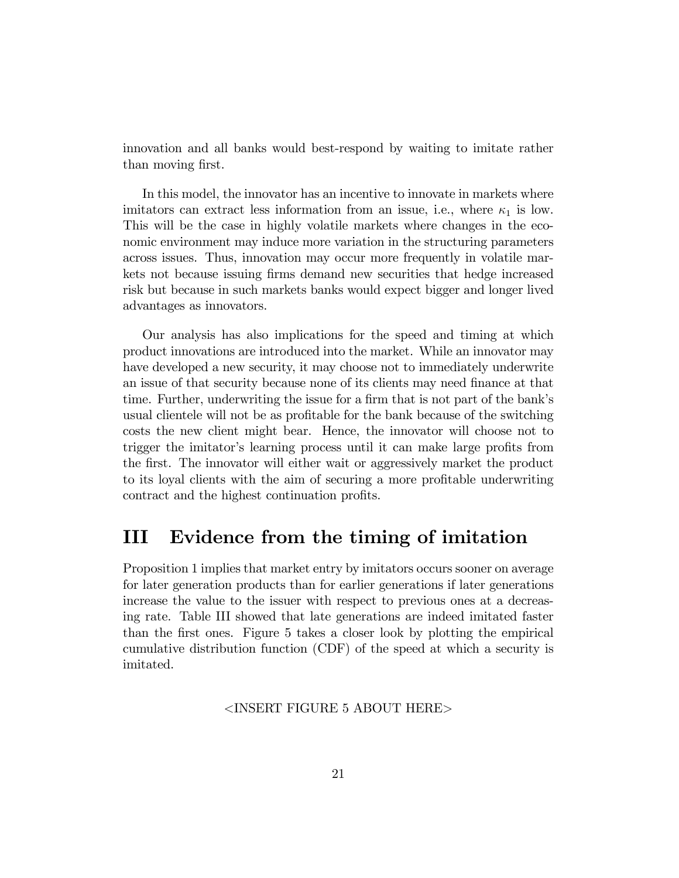innovation and all banks would best-respond by waiting to imitate rather than moving first.

In this model, the innovator has an incentive to innovate in markets where imitators can extract less information from an issue, i.e., where  $\kappa_1$  is low. This will be the case in highly volatile markets where changes in the economic environment may induce more variation in the structuring parameters across issues. Thus, innovation may occur more frequently in volatile markets not because issuing firms demand new securities that hedge increased risk but because in such markets banks would expect bigger and longer lived advantages as innovators.

Our analysis has also implications for the speed and timing at which product innovations are introduced into the market. While an innovator may have developed a new security, it may choose not to immediately underwrite an issue of that security because none of its clients may need finance at that time. Further, underwriting the issue for a firm that is not part of the bank's usual clientele will not be as profitable for the bank because of the switching costs the new client might bear. Hence, the innovator will choose not to trigger the imitator's learning process until it can make large profits from the Örst. The innovator will either wait or aggressively market the product to its loyal clients with the aim of securing a more profitable underwriting contract and the highest continuation profits.

# III Evidence from the timing of imitation

Proposition 1 implies that market entry by imitators occurs sooner on average for later generation products than for earlier generations if later generations increase the value to the issuer with respect to previous ones at a decreasing rate. Table III showed that late generations are indeed imitated faster than the first ones. Figure 5 takes a closer look by plotting the empirical cumulative distribution function (CDF) of the speed at which a security is imitated.

#### <INSERT FIGURE 5 ABOUT HERE>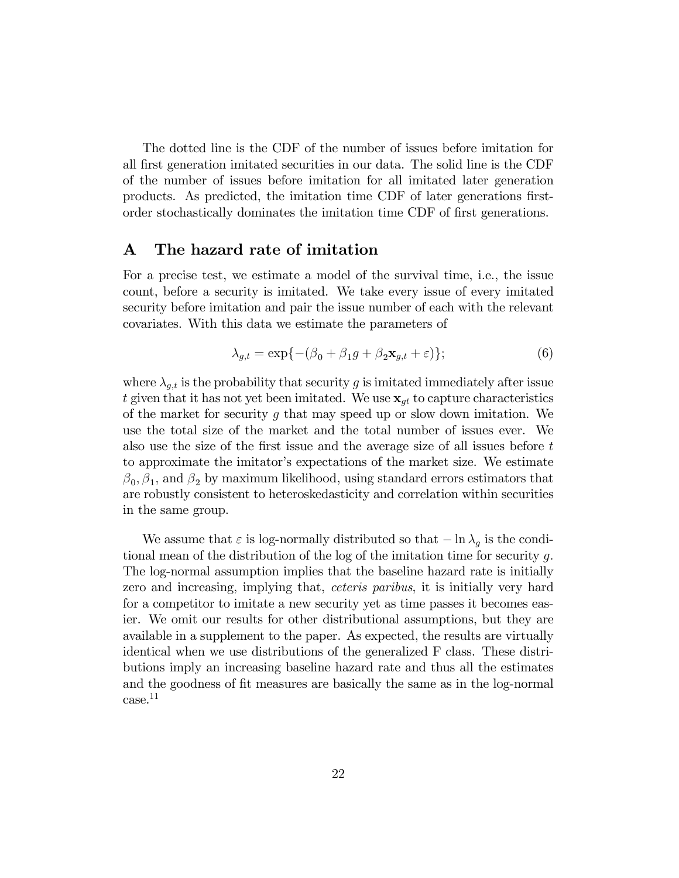The dotted line is the CDF of the number of issues before imitation for all Örst generation imitated securities in our data. The solid line is the CDF of the number of issues before imitation for all imitated later generation products. As predicted, the imitation time CDF of later generations firstorder stochastically dominates the imitation time CDF of first generations.

#### A The hazard rate of imitation

For a precise test, we estimate a model of the survival time, i.e., the issue count, before a security is imitated. We take every issue of every imitated security before imitation and pair the issue number of each with the relevant covariates. With this data we estimate the parameters of

$$
\lambda_{g,t} = \exp\{-\left(\beta_0 + \beta_1 g + \beta_2 \mathbf{x}_{g,t} + \varepsilon\right)\};\tag{6}
$$

where  $\lambda_{g,t}$  is the probability that security g is imitated immediately after issue t given that it has not yet been imitated. We use  $\mathbf{x}_{gt}$  to capture characteristics of the market for security g that may speed up or slow down imitation. We use the total size of the market and the total number of issues ever. We also use the size of the first issue and the average size of all issues before t to approximate the imitator's expectations of the market size. We estimate  $\beta_0$ ,  $\beta_1$ , and  $\beta_2$  by maximum likelihood, using standard errors estimators that are robustly consistent to heteroskedasticity and correlation within securities in the same group.

We assume that  $\varepsilon$  is log-normally distributed so that  $-\ln \lambda_g$  is the conditional mean of the distribution of the log of the imitation time for security g: The log-normal assumption implies that the baseline hazard rate is initially zero and increasing, implying that, ceteris paribus, it is initially very hard for a competitor to imitate a new security yet as time passes it becomes easier. We omit our results for other distributional assumptions, but they are available in a supplement to the paper. As expected, the results are virtually identical when we use distributions of the generalized F class. These distributions imply an increasing baseline hazard rate and thus all the estimates and the goodness of fit measures are basically the same as in the log-normal  $case.<sup>11</sup>$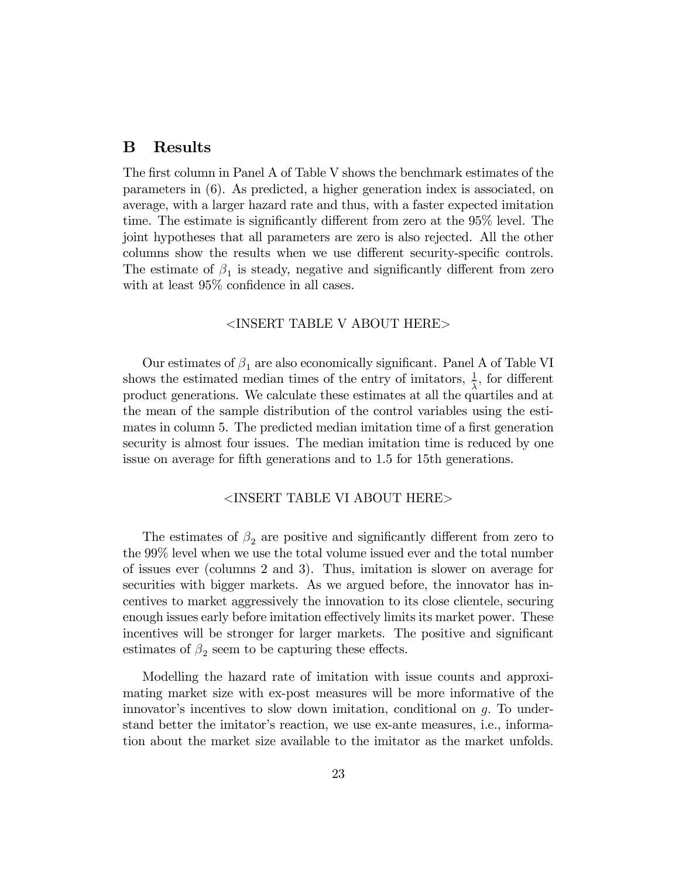#### B Results

The first column in Panel A of Table V shows the benchmark estimates of the parameters in (6). As predicted, a higher generation index is associated, on average, with a larger hazard rate and thus, with a faster expected imitation time. The estimate is significantly different from zero at the  $95\%$  level. The joint hypotheses that all parameters are zero is also rejected. All the other columns show the results when we use different security-specific controls. The estimate of  $\beta_1$  is steady, negative and significantly different from zero with at least  $95\%$  confidence in all cases.

#### <INSERT TABLE V ABOUT HERE>

Our estimates of  $\beta_1$  are also economically significant. Panel A of Table VI shows the estimated median times of the entry of imitators,  $\frac{1}{5}$ , for different product generations. We calculate these estimates at all the quartiles and at the mean of the sample distribution of the control variables using the estimates in column 5. The predicted median imitation time of a first generation security is almost four issues. The median imitation time is reduced by one issue on average for fifth generations and to 1.5 for 15th generations.

#### <INSERT TABLE VI ABOUT HERE>

The estimates of  $\beta_2$  are positive and significantly different from zero to the 99% level when we use the total volume issued ever and the total number of issues ever (columns 2 and 3). Thus, imitation is slower on average for securities with bigger markets. As we argued before, the innovator has incentives to market aggressively the innovation to its close clientele, securing enough issues early before imitation effectively limits its market power. These incentives will be stronger for larger markets. The positive and significant estimates of  $\beta_2$  seem to be capturing these effects.

Modelling the hazard rate of imitation with issue counts and approximating market size with ex-post measures will be more informative of the innovator's incentives to slow down imitation, conditional on  $q$ . To understand better the imitator's reaction, we use ex-ante measures, i.e., information about the market size available to the imitator as the market unfolds.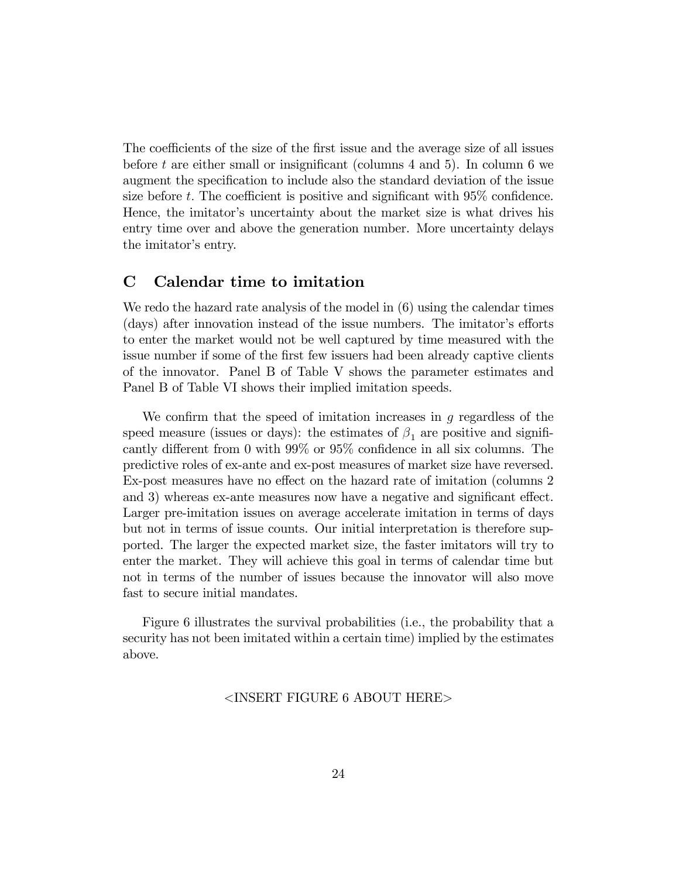The coefficients of the size of the first issue and the average size of all issues before t are either small or insignificant (columns  $4$  and  $5$ ). In column  $6$  we augment the specification to include also the standard deviation of the issue size before t. The coefficient is positive and significant with  $95\%$  confidence. Hence, the imitator's uncertainty about the market size is what drives his entry time over and above the generation number. More uncertainty delays the imitator's entry.

#### C Calendar time to imitation

We redo the hazard rate analysis of the model in (6) using the calendar times (days) after innovation instead of the issue numbers. The imitator's efforts to enter the market would not be well captured by time measured with the issue number if some of the first few issuers had been already captive clients of the innovator. Panel B of Table V shows the parameter estimates and Panel B of Table VI shows their implied imitation speeds.

We confirm that the speed of imitation increases in  $g$  regardless of the speed measure (issues or days): the estimates of  $\beta_1$  are positive and significantly different from 0 with  $99\%$  or  $95\%$  confidence in all six columns. The predictive roles of ex-ante and ex-post measures of market size have reversed. Ex-post measures have no effect on the hazard rate of imitation (columns 2) and 3) whereas ex-ante measures now have a negative and significant effect. Larger pre-imitation issues on average accelerate imitation in terms of days but not in terms of issue counts. Our initial interpretation is therefore supported. The larger the expected market size, the faster imitators will try to enter the market. They will achieve this goal in terms of calendar time but not in terms of the number of issues because the innovator will also move fast to secure initial mandates.

Figure 6 illustrates the survival probabilities (i.e., the probability that a security has not been imitated within a certain time) implied by the estimates above.

#### <INSERT FIGURE 6 ABOUT HERE>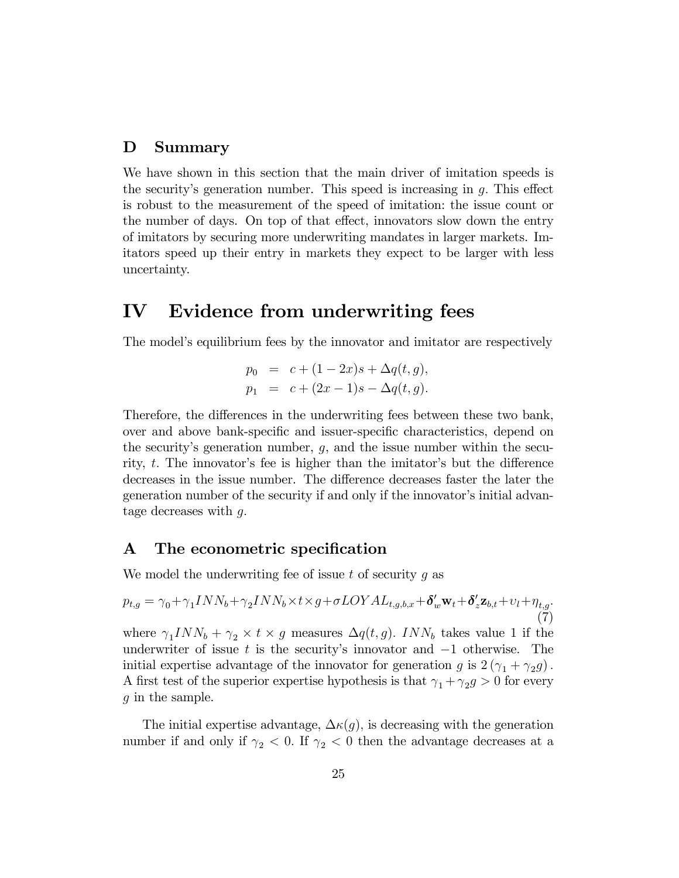#### D Summary

We have shown in this section that the main driver of imitation speeds is the security's generation number. This speed is increasing in  $q$ . This effect is robust to the measurement of the speed of imitation: the issue count or the number of days. On top of that effect, innovators slow down the entry of imitators by securing more underwriting mandates in larger markets. Imitators speed up their entry in markets they expect to be larger with less uncertainty.

## IV Evidence from underwriting fees

The model's equilibrium fees by the innovator and imitator are respectively

$$
p_0 = c + (1 - 2x)s + \Delta q(t, g),
$$
  
\n
$$
p_1 = c + (2x - 1)s - \Delta q(t, g).
$$

Therefore, the differences in the underwriting fees between these two bank, over and above bank-specific and issuer-specific characteristics, depend on the security's generation number,  $g$ , and the issue number within the security,  $t$ . The innovator's fee is higher than the imitator's but the difference decreases in the issue number. The difference decreases faster the later the generation number of the security if and only if the innovator's initial advantage decreases with  $g$ .

#### A The econometric specification

We model the underwriting fee of issue  $t$  of security  $g$  as

$$
p_{t,g} = \gamma_0 + \gamma_1 INN_b + \gamma_2 INN_b \times t \times g + \sigma LOYAL_{t,g,b,x} + \delta'_w \mathbf{w}_t + \delta'_z \mathbf{z}_{b,t} + \nu_l + \eta_{t,g}.
$$
\n(7)  
\nwhere  $\gamma_1 INN_b + \gamma_2 \times t \times g$  measures  $\Delta q(t, g)$ .  $INN_b$  takes value 1 if the  
\nunderwriter of issue *t* is the security's innovation and -1 otherwise. The  
\ninitial expertise advantage of the innovation for generation *g* is  $2(\gamma_1 + \gamma_2 g)$ .  
\nA first test of the superior expertise hypothesis is that  $\gamma_1 + \gamma_2 g > 0$  for every  
\n*g* in the sample.

The initial expertise advantage,  $\Delta \kappa(g)$ , is decreasing with the generation number if and only if  $\gamma_2$  < 0. If  $\gamma_2$  < 0 then the advantage decreases at a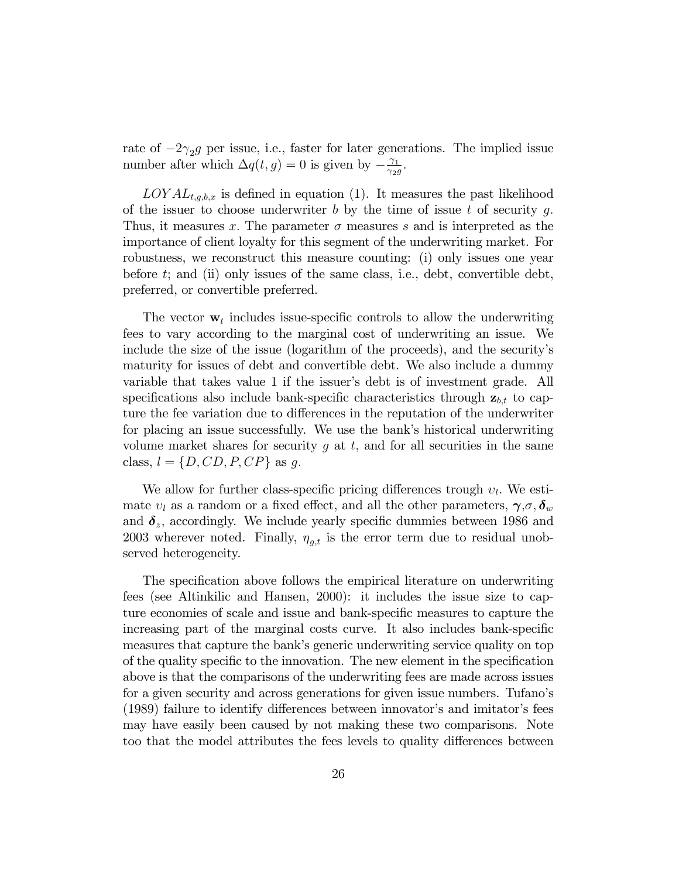rate of  $-2\gamma_2 g$  per issue, i.e., faster for later generations. The implied issue number after which  $\Delta q(t, g) = 0$  is given by  $-\frac{\gamma_1}{\gamma_2 g}$  $\frac{\gamma_1}{\gamma_2 g}.$ 

 $LOYAL_{t,g,b,x}$  is defined in equation (1). It measures the past likelihood of the issuer to choose underwriter b by the time of issue t of security g. Thus, it measures x. The parameter  $\sigma$  measures s and is interpreted as the importance of client loyalty for this segment of the underwriting market. For robustness, we reconstruct this measure counting: (i) only issues one year before t; and (ii) only issues of the same class, i.e., debt, convertible debt, preferred, or convertible preferred.

The vector  $\mathbf{w}_t$  includes issue-specific controls to allow the underwriting fees to vary according to the marginal cost of underwriting an issue. We include the size of the issue (logarithm of the proceeds), and the securityís maturity for issues of debt and convertible debt. We also include a dummy variable that takes value 1 if the issuer's debt is of investment grade. All specifications also include bank-specific characteristics through  $\mathbf{z}_{b,t}$  to capture the fee variation due to differences in the reputation of the underwriter for placing an issue successfully. We use the bank's historical underwriting volume market shares for security  $g$  at  $t$ , and for all securities in the same class,  $l = \{D, CD, P, CP\}$  as g.

We allow for further class-specific pricing differences trough  $v_l$ . We estimate  $v_l$  as a random or a fixed effect, and all the other parameters,  $\gamma, \sigma, \delta_w$ and  $\delta_z$ , accordingly. We include yearly specific dummies between 1986 and 2003 wherever noted. Finally,  $\eta_{q,t}$  is the error term due to residual unobserved heterogeneity.

The specification above follows the empirical literature on underwriting fees (see Altinkilic and Hansen, 2000): it includes the issue size to capture economies of scale and issue and bank-specific measures to capture the increasing part of the marginal costs curve. It also includes bank-specific measures that capture the bank's generic underwriting service quality on top of the quality specific to the innovation. The new element in the specification above is that the comparisons of the underwriting fees are made across issues for a given security and across generations for given issue numbers. Tufanoís  $(1989)$  failure to identify differences between innovator's and imitator's fees may have easily been caused by not making these two comparisons. Note too that the model attributes the fees levels to quality differences between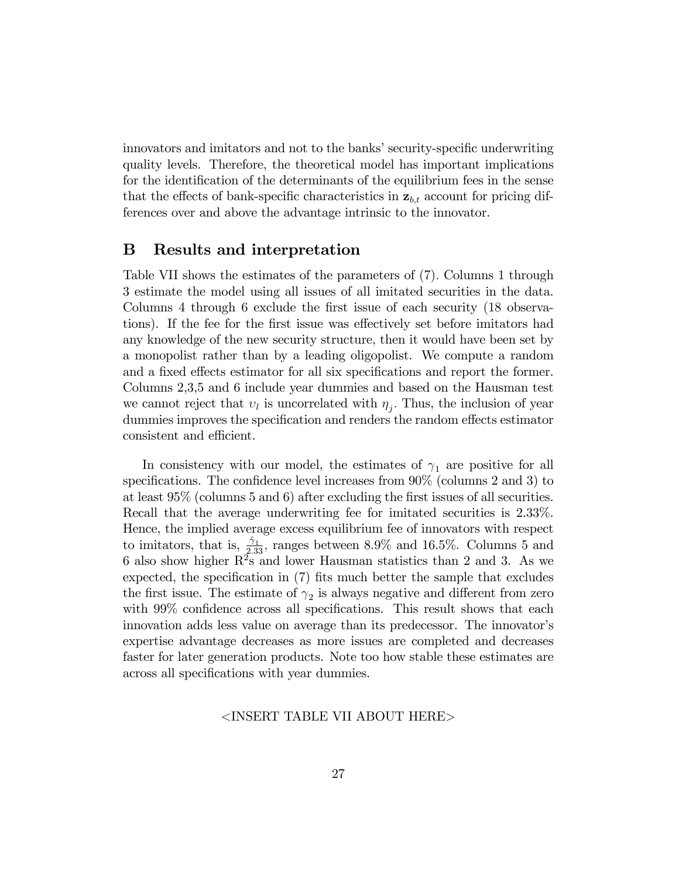innovators and imitators and not to the banks' security-specific underwriting quality levels. Therefore, the theoretical model has important implications for the identification of the determinants of the equilibrium fees in the sense that the effects of bank-specific characteristics in  $z_{b,t}$  account for pricing differences over and above the advantage intrinsic to the innovator.

#### B Results and interpretation

Table VII shows the estimates of the parameters of (7): Columns 1 through 3 estimate the model using all issues of all imitated securities in the data. Columns 4 through 6 exclude the first issue of each security (18 observations). If the fee for the first issue was effectively set before imitators had any knowledge of the new security structure, then it would have been set by a monopolist rather than by a leading oligopolist. We compute a random and a fixed effects estimator for all six specifications and report the former. Columns 2,3,5 and 6 include year dummies and based on the Hausman test we cannot reject that  $v_l$  is uncorrelated with  $\eta_j$ . Thus, the inclusion of year dummies improves the specification and renders the random effects estimator consistent and efficient.

In consistency with our model, the estimates of  $\gamma_1$  are positive for all specifications. The confidence level increases from  $90\%$  (columns 2 and 3) to at least  $95\%$  (columns 5 and 6) after excluding the first issues of all securities. Recall that the average underwriting fee for imitated securities is 2.33%. Hence, the implied average excess equilibrium fee of innovators with respect to imitators, that is,  $\frac{\hat{\gamma}_1}{2.33}$ , ranges between 8.9% and 16.5%. Columns 5 and 6 also show higher  $R^2$ s and lower Hausman statistics than 2 and 3. As we expected, the specification in  $(7)$  fits much better the sample that excludes the first issue. The estimate of  $\gamma_2$  is always negative and different from zero with 99% confidence across all specifications. This result shows that each innovation adds less value on average than its predecessor. The innovator's expertise advantage decreases as more issues are completed and decreases faster for later generation products. Note too how stable these estimates are across all specifications with year dummies.

#### <INSERT TABLE VII ABOUT HERE>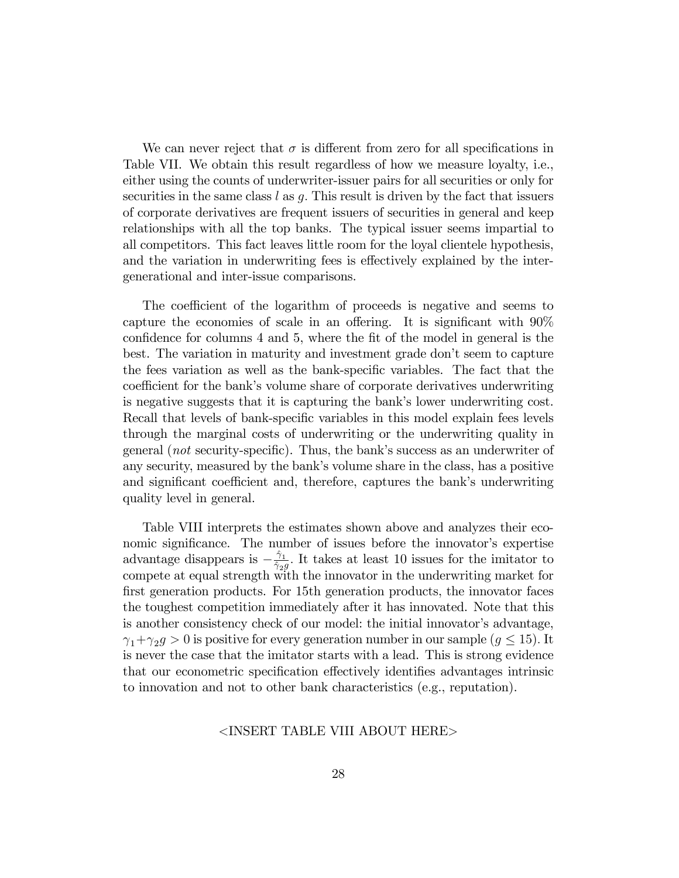We can never reject that  $\sigma$  is different from zero for all specifications in Table VII. We obtain this result regardless of how we measure loyalty, i.e., either using the counts of underwriter-issuer pairs for all securities or only for securities in the same class  $l$  as  $q$ . This result is driven by the fact that issuers of corporate derivatives are frequent issuers of securities in general and keep relationships with all the top banks. The typical issuer seems impartial to all competitors. This fact leaves little room for the loyal clientele hypothesis, and the variation in underwriting fees is effectively explained by the intergenerational and inter-issue comparisons.

The coefficient of the logarithm of proceeds is negative and seems to capture the economies of scale in an offering. It is significant with  $90\%$ confidence for columns 4 and 5, where the fit of the model in general is the best. The variation in maturity and investment grade don't seem to capture the fees variation as well as the bank-specific variables. The fact that the coefficient for the bank's volume share of corporate derivatives underwriting is negative suggests that it is capturing the bank's lower underwriting cost. Recall that levels of bank-specific variables in this model explain fees levels through the marginal costs of underwriting or the underwriting quality in general (not security-specific). Thus, the bank's success as an underwriter of any security, measured by the bank's volume share in the class, has a positive and significant coefficient and, therefore, captures the bank's underwriting quality level in general.

Table VIII interprets the estimates shown above and analyzes their economic significance. The number of issues before the innovator's expertise advantage disappears is  $-\frac{\hat{\gamma}_1}{\hat{\gamma}_2}$  $\frac{\gamma_1}{\gamma_2 g}$ . It takes at least 10 issues for the imitator to compete at equal strength with the innovator in the underwriting market for first generation products. For 15th generation products, the innovator faces the toughest competition immediately after it has innovated. Note that this is another consistency check of our model: the initial innovator's advantage,  $\gamma_1 + \gamma_2 g > 0$  is positive for every generation number in our sample  $(g \le 15)$ . It is never the case that the imitator starts with a lead. This is strong evidence that our econometric specification effectively identifies advantages intrinsic to innovation and not to other bank characteristics (e.g., reputation).

#### <INSERT TABLE VIII ABOUT HERE>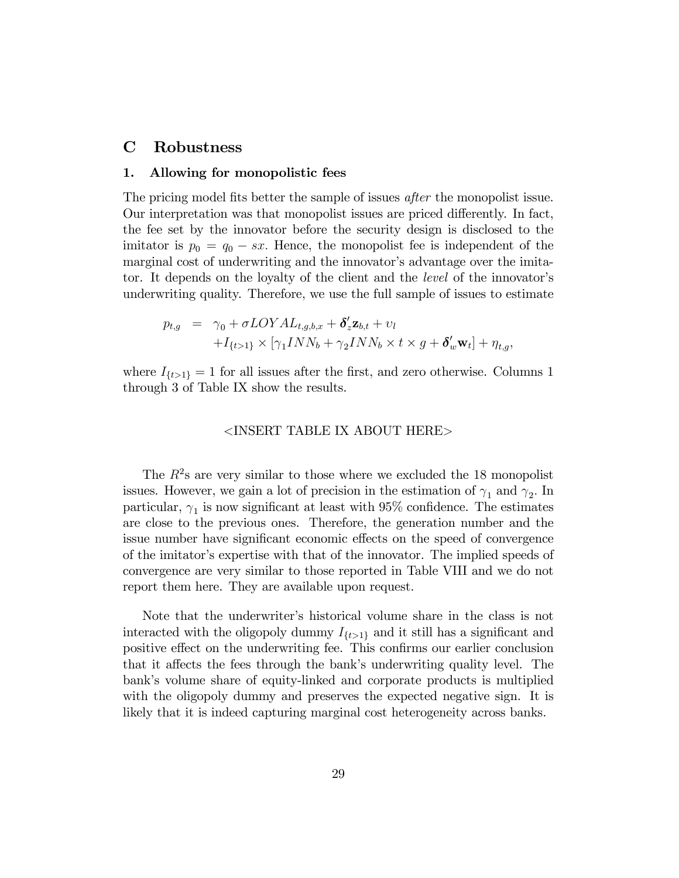#### C Robustness

#### 1. Allowing for monopolistic fees

The pricing model fits better the sample of issues *after* the monopolist issue. Our interpretation was that monopolist issues are priced differently. In fact, the fee set by the innovator before the security design is disclosed to the imitator is  $p_0 = q_0 - sx$ . Hence, the monopolist fee is independent of the marginal cost of underwriting and the innovator's advantage over the imitator. It depends on the loyalty of the client and the *level* of the innovator's underwriting quality. Therefore, we use the full sample of issues to estimate

$$
p_{t,g} = \gamma_0 + \sigma LOYAL_{t,g,b,x} + \delta'_z \mathbf{z}_{b,t} + v_l
$$
  
+ $I_{\{t>1\}} \times [\gamma_1 INN_b + \gamma_2 INN_b \times t \times g + \delta'_w \mathbf{w}_t] + \eta_{t,g},$ 

where  $I_{\{t>1\}} = 1$  for all issues after the first, and zero otherwise. Columns 1 through 3 of Table IX show the results.

#### <INSERT TABLE IX ABOUT HERE>

The  $R<sup>2</sup>$ s are very similar to those where we excluded the 18 monopolist issues. However, we gain a lot of precision in the estimation of  $\gamma_1$  and  $\gamma_2$ . In particular,  $\gamma_1$  is now significant at least with 95% confidence. The estimates are close to the previous ones. Therefore, the generation number and the issue number have significant economic effects on the speed of convergence of the imitatorís expertise with that of the innovator. The implied speeds of convergence are very similar to those reported in Table VIII and we do not report them here. They are available upon request.

Note that the underwriter's historical volume share in the class is not interacted with the oligopoly dummy  $I_{\{t>1\}}$  and it still has a significant and positive effect on the underwriting fee. This confirms our earlier conclusion that it affects the fees through the bank's underwriting quality level. The bank's volume share of equity-linked and corporate products is multiplied with the oligopoly dummy and preserves the expected negative sign. It is likely that it is indeed capturing marginal cost heterogeneity across banks.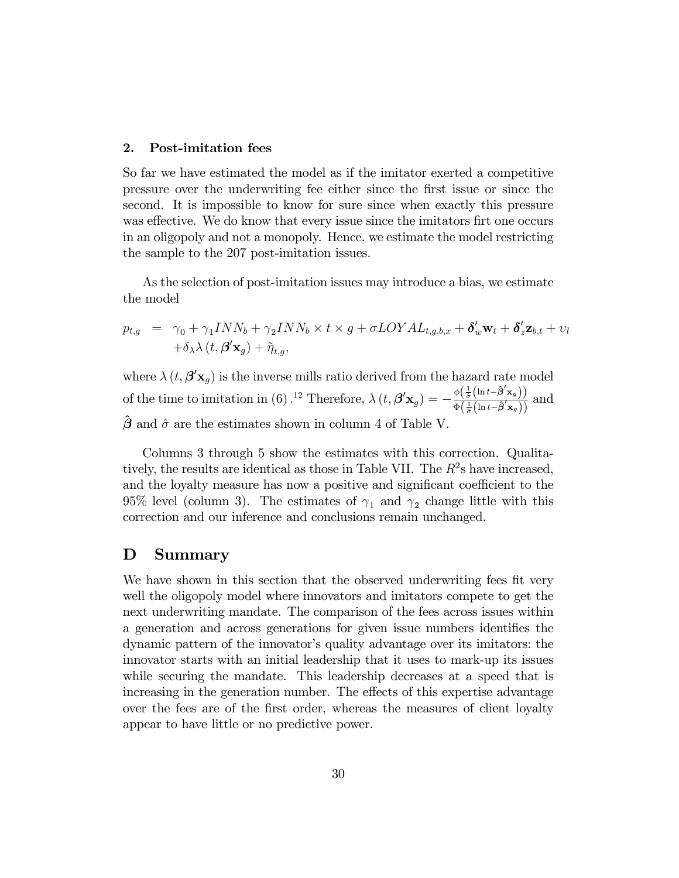#### 2. Post-imitation fees

So far we have estimated the model as if the imitator exerted a competitive pressure over the underwriting fee either since the Örst issue or since the second. It is impossible to know for sure since when exactly this pressure was effective. We do know that every issue since the imitators firt one occurs in an oligopoly and not a monopoly. Hence, we estimate the model restricting the sample to the 207 post-imitation issues.

As the selection of post-imitation issues may introduce a bias, we estimate the model

$$
p_{t,g} = \gamma_0 + \gamma_1 INN_b + \gamma_2 INN_b \times t \times g + \sigma LOYAL_{t,g,b,x} + \delta'_w \mathbf{w}_t + \delta'_z \mathbf{z}_{b,t} + v_t + \delta_\lambda \lambda(t, \beta' \mathbf{x}_g) + \tilde{\eta}_{t,g},
$$

where  $\lambda(t, \beta' \mathbf{x}_g)$  is the inverse mills ratio derived from the hazard rate model of the time to imitation in (6).<sup>12</sup> Therefore,  $\lambda(t, \beta' \mathbf{x}_g) = -\frac{\phi(\frac{1}{\hat{\sigma}}(\ln t - \hat{\beta}' \mathbf{x}_g))}{\Phi(\frac{1}{\hat{\sigma}}(\ln t - \hat{\beta}' \mathbf{x}_g))}$  $\frac{\varphi(\frac{\partial}{\partial}(\ln t - \hat{\boldsymbol{\beta}}' \mathbf{x}_{g}))}{\Phi(\frac{1}{\hat{\sigma}}(\ln t - \hat{\boldsymbol{\beta}}' \mathbf{x}_{g}))}$  and  $\hat{\boldsymbol{\beta}}$  and  $\hat{\sigma}$  are the estimates shown in column 4 of Table V.

Columns 3 through 5 show the estimates with this correction. Qualitatively, the results are identical as those in Table VII. The  $R^2$ s have increased, and the loyalty measure has now a positive and significant coefficient to the 95% level (column 3). The estimates of  $\gamma_1$  and  $\gamma_2$  change little with this correction and our inference and conclusions remain unchanged.

#### D Summary

We have shown in this section that the observed underwriting fees fit very well the oligopoly model where innovators and imitators compete to get the next underwriting mandate. The comparison of the fees across issues within a generation and across generations for given issue numbers identifies the dynamic pattern of the innovator's quality advantage over its imitators: the innovator starts with an initial leadership that it uses to mark-up its issues while securing the mandate. This leadership decreases at a speed that is increasing in the generation number. The effects of this expertise advantage over the fees are of the Örst order, whereas the measures of client loyalty appear to have little or no predictive power.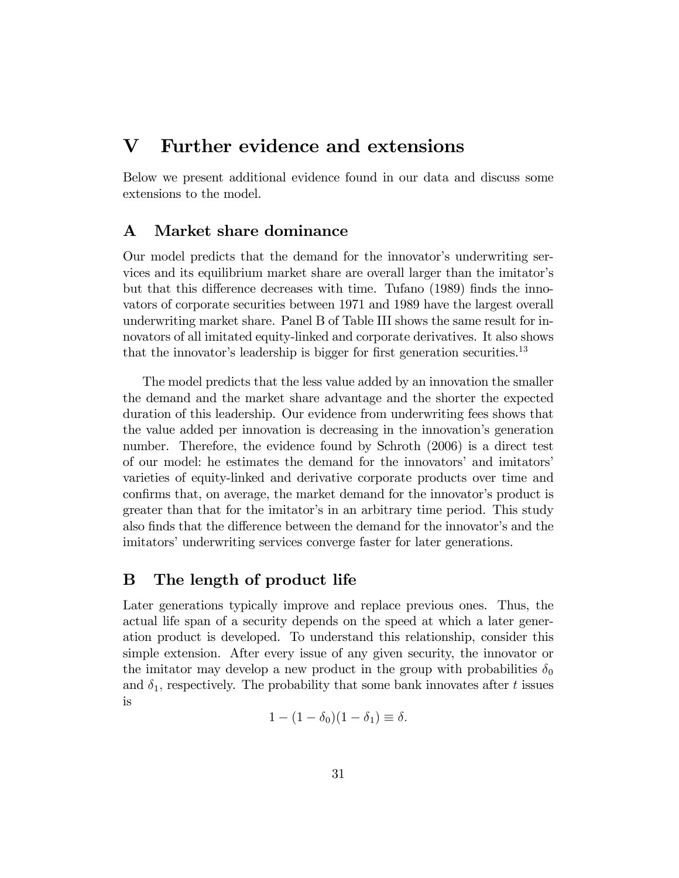# V Further evidence and extensions

Below we present additional evidence found in our data and discuss some extensions to the model.

#### A Market share dominance

Our model predicts that the demand for the innovator's underwriting services and its equilibrium market share are overall larger than the imitator's but that this difference decreases with time. Tufano (1989) finds the innovators of corporate securities between 1971 and 1989 have the largest overall underwriting market share. Panel B of Table III shows the same result for innovators of all imitated equity-linked and corporate derivatives. It also shows that the innovator's leadership is bigger for first generation securities.<sup>13</sup>

The model predicts that the less value added by an innovation the smaller the demand and the market share advantage and the shorter the expected duration of this leadership. Our evidence from underwriting fees shows that the value added per innovation is decreasing in the innovation's generation number. Therefore, the evidence found by Schroth (2006) is a direct test of our model: he estimates the demand for the innovators' and imitators' varieties of equity-linked and derivative corporate products over time and confirms that, on average, the market demand for the innovator's product is greater than that for the imitator's in an arbitrary time period. This study also finds that the difference between the demand for the innovator's and the imitators' underwriting services converge faster for later generations.

#### B The length of product life

Later generations typically improve and replace previous ones. Thus, the actual life span of a security depends on the speed at which a later generation product is developed. To understand this relationship, consider this simple extension. After every issue of any given security, the innovator or the imitator may develop a new product in the group with probabilities  $\delta_0$ and  $\delta_1$ , respectively. The probability that some bank innovates after t issues is

$$
1 - (1 - \delta_0)(1 - \delta_1) \equiv \delta.
$$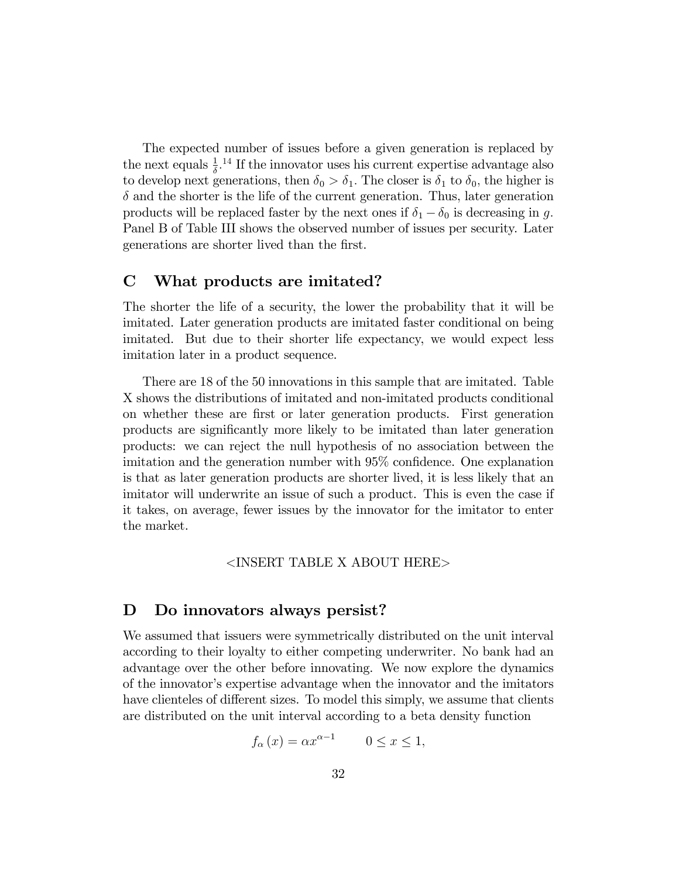The expected number of issues before a given generation is replaced by the next equals  $\frac{1}{\delta}$ .<sup>14</sup> If the innovator uses his current expertise advantage also to develop next generations, then  $\delta_0 > \delta_1$ . The closer is  $\delta_1$  to  $\delta_0$ , the higher is  $\delta$  and the shorter is the life of the current generation. Thus, later generation products will be replaced faster by the next ones if  $\delta_1 - \delta_0$  is decreasing in g. Panel B of Table III shows the observed number of issues per security. Later generations are shorter lived than the Örst.

#### C What products are imitated?

The shorter the life of a security, the lower the probability that it will be imitated. Later generation products are imitated faster conditional on being imitated. But due to their shorter life expectancy, we would expect less imitation later in a product sequence.

There are 18 of the 50 innovations in this sample that are imitated. Table X shows the distributions of imitated and non-imitated products conditional on whether these are Örst or later generation products. First generation products are significantly more likely to be imitated than later generation products: we can reject the null hypothesis of no association between the imitation and the generation number with  $95\%$  confidence. One explanation is that as later generation products are shorter lived, it is less likely that an imitator will underwrite an issue of such a product. This is even the case if it takes, on average, fewer issues by the innovator for the imitator to enter the market.

#### <INSERT TABLE X ABOUT HERE>

#### D Do innovators always persist?

We assumed that issuers were symmetrically distributed on the unit interval according to their loyalty to either competing underwriter. No bank had an advantage over the other before innovating. We now explore the dynamics of the innovator's expertise advantage when the innovator and the imitators have clienteles of different sizes. To model this simply, we assume that clients are distributed on the unit interval according to a beta density function

$$
f_{\alpha}(x) = \alpha x^{\alpha - 1} \qquad 0 \le x \le 1,
$$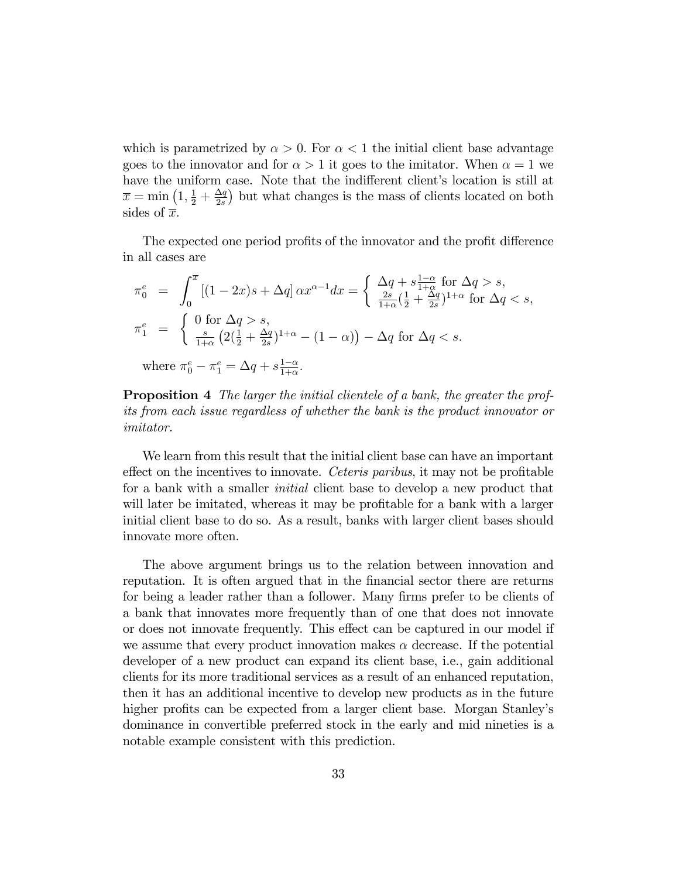which is parametrized by  $\alpha > 0$ . For  $\alpha < 1$  the initial client base advantage goes to the innovator and for  $\alpha > 1$  it goes to the imitator. When  $\alpha = 1$  we have the uniform case. Note that the indifferent client's location is still at  $\overline{x} = \min\left(1, \frac{1}{2} + \frac{\Delta q}{2s}\right)$  $\frac{\Delta q}{2s}$  but what changes is the mass of clients located on both sides of  $\overline{x}$ .

The expected one period profits of the innovator and the profit difference in all cases are

$$
\pi_0^e = \int_0^{\overline{x}} \left[ (1 - 2x)s + \Delta q \right] \alpha x^{\alpha - 1} dx = \begin{cases} \Delta q + s \frac{1 - \alpha}{1 + \alpha} \text{ for } \Delta q > s, \\ \frac{2s}{1 + \alpha} (\frac{1}{2} + \frac{\Delta q}{2s})^{1 + \alpha} \text{ for } \Delta q < s, \end{cases}
$$

$$
\pi_1^e = \begin{cases} 0 \text{ for } \Delta q > s, \\ \frac{s}{1 + \alpha} \left( 2(\frac{1}{2} + \frac{\Delta q}{2s})^{1 + \alpha} - (1 - \alpha) \right) - \Delta q \text{ for } \Delta q < s. \end{cases}
$$
  
where  $\pi_0^e - \pi_1^e = \Delta q + s \frac{1 - \alpha}{1 + \alpha}$ .

**Proposition 4** The larger the initial clientele of a bank, the greater the profits from each issue regardless of whether the bank is the product innovator or imitator.

We learn from this result that the initial client base can have an important effect on the incentives to innovate. Ceteris paribus, it may not be profitable for a bank with a smaller initial client base to develop a new product that will later be imitated, whereas it may be profitable for a bank with a larger initial client base to do so. As a result, banks with larger client bases should innovate more often.

The above argument brings us to the relation between innovation and reputation. It is often argued that in the financial sector there are returns for being a leader rather than a follower. Many firms prefer to be clients of a bank that innovates more frequently than of one that does not innovate or does not innovate frequently. This effect can be captured in our model if we assume that every product innovation makes  $\alpha$  decrease. If the potential developer of a new product can expand its client base, i.e., gain additional clients for its more traditional services as a result of an enhanced reputation, then it has an additional incentive to develop new products as in the future higher profits can be expected from a larger client base. Morgan Stanley's dominance in convertible preferred stock in the early and mid nineties is a notable example consistent with this prediction.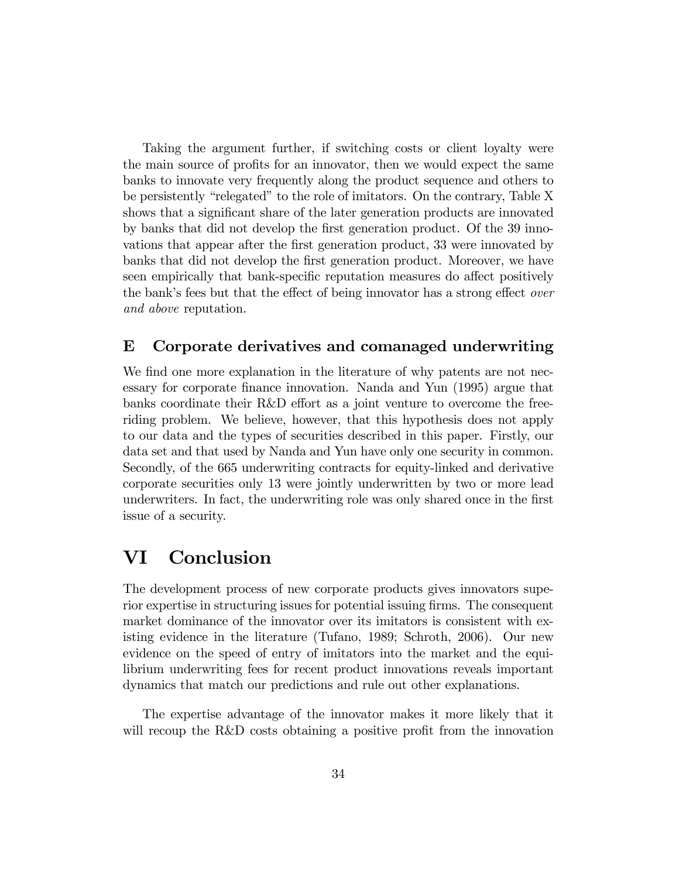Taking the argument further, if switching costs or client loyalty were the main source of profits for an innovator, then we would expect the same banks to innovate very frequently along the product sequence and others to be persistently "relegated" to the role of imitators. On the contrary, Table  $X$ shows that a significant share of the later generation products are innovated by banks that did not develop the Örst generation product. Of the 39 innovations that appear after the first generation product, 33 were innovated by banks that did not develop the first generation product. Moreover, we have seen empirically that bank-specific reputation measures do affect positively the bank's fees but that the effect of being innovator has a strong effect over and above reputation.

#### E Corporate derivatives and comanaged underwriting

We find one more explanation in the literature of why patents are not necessary for corporate Önance innovation. Nanda and Yun (1995) argue that banks coordinate their  $R\&D$  effort as a joint venture to overcome the freeriding problem. We believe, however, that this hypothesis does not apply to our data and the types of securities described in this paper. Firstly, our data set and that used by Nanda and Yun have only one security in common. Secondly, of the 665 underwriting contracts for equity-linked and derivative corporate securities only 13 were jointly underwritten by two or more lead underwriters. In fact, the underwriting role was only shared once in the first issue of a security.

# VI Conclusion

The development process of new corporate products gives innovators superior expertise in structuring issues for potential issuing firms. The consequent market dominance of the innovator over its imitators is consistent with existing evidence in the literature (Tufano, 1989; Schroth, 2006). Our new evidence on the speed of entry of imitators into the market and the equilibrium underwriting fees for recent product innovations reveals important dynamics that match our predictions and rule out other explanations.

The expertise advantage of the innovator makes it more likely that it will recoup the R&D costs obtaining a positive profit from the innovation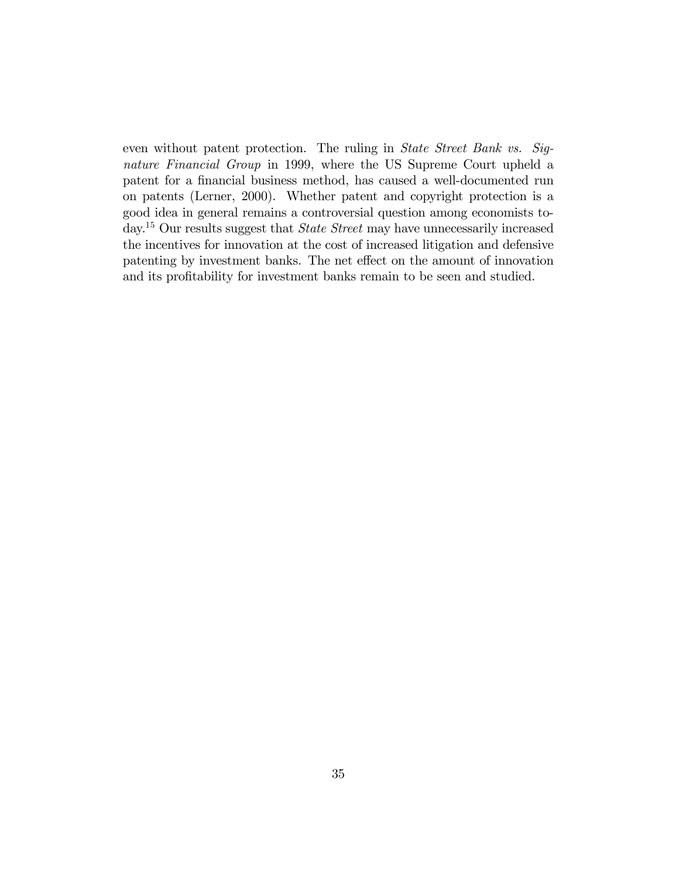even without patent protection. The ruling in *State Street Bank vs. Sig*nature Financial Group in 1999, where the US Supreme Court upheld a patent for a financial business method, has caused a well-documented run on patents (Lerner, 2000). Whether patent and copyright protection is a good idea in general remains a controversial question among economists today.<sup>15</sup> Our results suggest that *State Street* may have unnecessarily increased the incentives for innovation at the cost of increased litigation and defensive patenting by investment banks. The net effect on the amount of innovation and its profitability for investment banks remain to be seen and studied.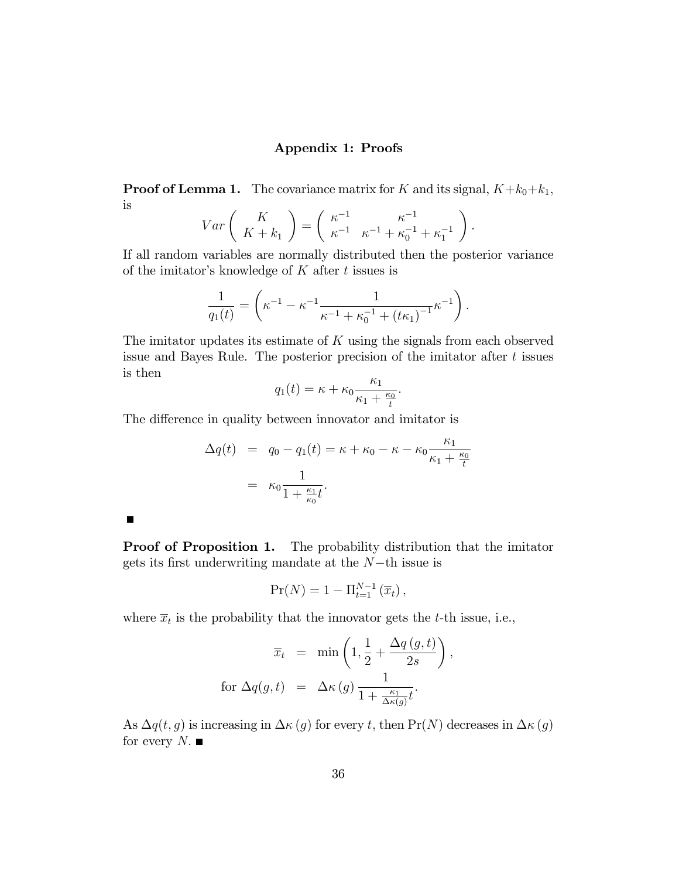#### Appendix 1: Proofs

**Proof of Lemma 1.** The covariance matrix for K and its signal,  $K+k_0+k_1$ , is  $\ddot{\phantom{1}}$  $\overline{ }$ 

$$
Var\left(\begin{array}{c} K \\ K + k_1 \end{array}\right) = \left(\begin{array}{cc} \kappa^{-1} & \kappa^{-1} \\ \kappa^{-1} & \kappa^{-1} + \kappa_0^{-1} + \kappa_1^{-1} \end{array}\right).
$$

If all random variables are normally distributed then the posterior variance of the imitator's knowledge of  $K$  after  $t$  issues is

$$
\frac{1}{q_1(t)} = \left( \kappa^{-1} - \kappa^{-1} \frac{1}{\kappa^{-1} + \kappa_0^{-1} + (t\kappa_1)^{-1}} \kappa^{-1} \right).
$$

The imitator updates its estimate of  $K$  using the signals from each observed issue and Bayes Rule. The posterior precision of the imitator after t issues is then

$$
q_1(t) = \kappa + \kappa_0 \frac{\kappa_1}{\kappa_1 + \frac{\kappa_0}{t}}.
$$

The difference in quality between innovator and imitator is

 $\blacksquare$ 

$$
\Delta q(t) = q_0 - q_1(t) = \kappa + \kappa_0 - \kappa - \kappa_0 \frac{\kappa_1}{\kappa_1 + \frac{\kappa_0}{t}}
$$

$$
= \kappa_0 \frac{1}{1 + \frac{\kappa_1}{\kappa_0} t}.
$$

**Proof of Proposition 1.** The probability distribution that the imitator gets its first underwriting mandate at the  $N$ -th issue is

$$
\Pr(N) = 1 - \Pi_{t=1}^{N-1}(\overline{x}_t),
$$

where  $\bar{x}_t$  is the probability that the innovator gets the t-th issue, i.e.,

$$
\overline{x}_t = \min\left(1, \frac{1}{2} + \frac{\Delta q(g, t)}{2s}\right)
$$
  
for  $\Delta q(g, t) = \Delta \kappa(g) \frac{1}{1 + \frac{\kappa_1}{\Delta \kappa(g)} t}.$ 

;

As  $\Delta q(t, g)$  is increasing in  $\Delta \kappa(g)$  for every t, then  $Pr(N)$  decreases in  $\Delta \kappa(g)$ for every  $N$ .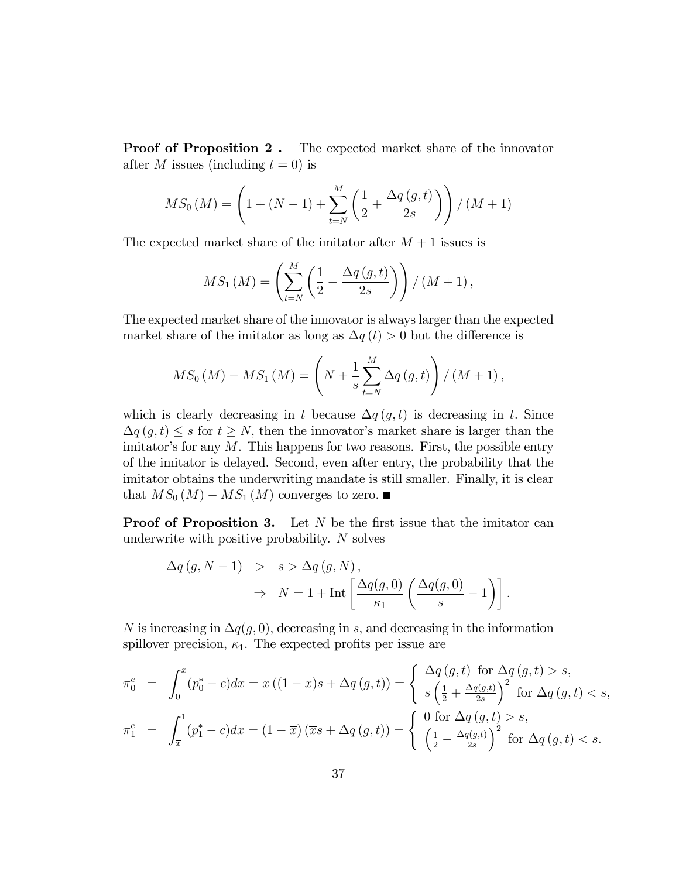Proof of Proposition 2. The expected market share of the innovator after M issues (including  $t = 0$ ) is

$$
MS_0(M) = \left(1 + (N - 1) + \sum_{t=N}^{M} \left(\frac{1}{2} + \frac{\Delta q(g, t)}{2s}\right)\right) / (M + 1)
$$

The expected market share of the imitator after  $M + 1$  issues is

$$
MS_{1}(M) = \left(\sum_{t=N}^{M} \left(\frac{1}{2} - \frac{\Delta q(g,t)}{2s}\right)\right) / (M+1),
$$

The expected market share of the innovator is always larger than the expected market share of the imitator as long as  $\Delta q(t) > 0$  but the difference is

$$
MS_0(M) - MS_1(M) = \left(N + \frac{1}{s} \sum_{t=N}^{M} \Delta q(g, t)\right) / (M + 1),
$$

which is clearly decreasing in t because  $\Delta q (g, t)$  is decreasing in t. Since  $\Delta q$   $(g, t) \leq s$  for  $t \geq N$ , then the innovator's market share is larger than the imitator's for any  $M$ . This happens for two reasons. First, the possible entry of the imitator is delayed. Second, even after entry, the probability that the imitator obtains the underwriting mandate is still smaller. Finally, it is clear that  $MS_0(M) - MS_1(M)$  converges to zero.

**Proof of Proposition 3.** Let  $N$  be the first issue that the imitator can underwrite with positive probability. N solves

$$
\Delta q(g, N-1) > s > \Delta q(g, N),
$$
  
\n
$$
\Rightarrow N = 1 + \text{Int}\left[\frac{\Delta q(g, 0)}{\kappa_1} \left(\frac{\Delta q(g, 0)}{s} - 1\right)\right].
$$

N is increasing in  $\Delta q(g, 0)$ , decreasing in s, and decreasing in the information spillover precision,  $\kappa_1$ . The expected profits per issue are

$$
\pi_0^e = \int_0^{\overline{x}} (p_0^* - c) dx = \overline{x} ((1 - \overline{x})s + \Delta q(g, t)) = \begin{cases} \Delta q(g, t) \text{ for } \Delta q(g, t) > s, \\ s \left(\frac{1}{2} + \frac{\Delta q(g, t)}{2s}\right)^2 \text{ for } \Delta q(g, t) < s, \end{cases}
$$

$$
\pi_1^e = \int_{\overline{x}}^1 (p_1^* - c) dx = (1 - \overline{x}) (\overline{x}s + \Delta q(g, t)) = \begin{cases} 0 \text{ for } \Delta q(g, t) > s, \\ \left(\frac{1}{2} - \frac{\Delta q(g, t)}{2s}\right)^2 \text{ for } \Delta q(g, t) < s. \end{cases}
$$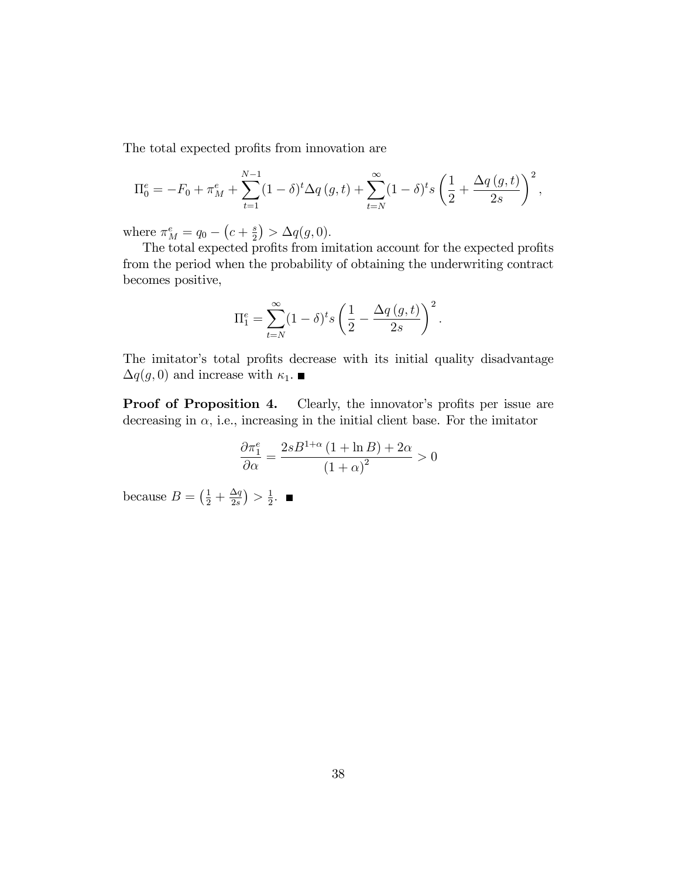The total expected profits from innovation are

$$
\Pi_0^e = -F_0 + \pi_M^e + \sum_{t=1}^{N-1} (1 - \delta)^t \Delta q(g, t) + \sum_{t=N}^{\infty} (1 - \delta)^t s \left(\frac{1}{2} + \frac{\Delta q(g, t)}{2s}\right)^2,
$$

where  $\pi_M^e = q_0 - (c + \frac{s}{2})$  $\frac{s}{2}$ ) >  $\Delta q(g, 0)$ .

The total expected profits from imitation account for the expected profits from the period when the probability of obtaining the underwriting contract becomes positive,

$$
\Pi_1^e = \sum_{t=N}^{\infty} (1-\delta)^t s \left(\frac{1}{2} - \frac{\Delta q\left(g, t\right)}{2s}\right)^2.
$$

The imitator's total profits decrease with its initial quality disadvantage  $\Delta q(g, 0)$  and increase with  $\kappa_1$ .

**Proof of Proposition 4.** Clearly, the innovator's profits per issue are decreasing in  $\alpha$ , i.e., increasing in the initial client base. For the imitator

$$
\frac{\partial \pi_1^e}{\partial \alpha} = \frac{2sB^{1+\alpha} (1 + \ln B) + 2\alpha}{(1 + \alpha)^2} > 0
$$

because  $B = \left(\frac{1}{2} + \frac{\Delta q}{2s}\right)$  $\frac{\Delta q}{2s}\big) > \frac{1}{2}$  $\frac{1}{2}$ .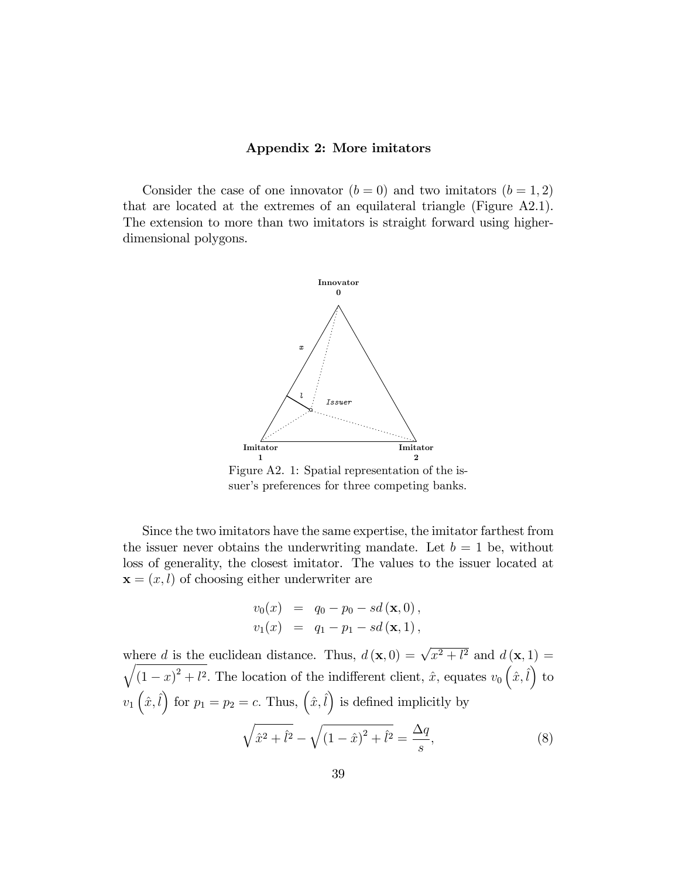#### Appendix 2: More imitators

Consider the case of one innovator  $(b = 0)$  and two imitators  $(b = 1, 2)$ that are located at the extremes of an equilateral triangle (Figure A2.1). The extension to more than two imitators is straight forward using higherdimensional polygons.



Figure A2. 1: Spatial representation of the issuer's preferences for three competing banks.

Since the two imitators have the same expertise, the imitator farthest from the issuer never obtains the underwriting mandate. Let  $b = 1$  be, without loss of generality, the closest imitator. The values to the issuer located at  $\mathbf{x} = (x, l)$  of choosing either underwriter are

$$
v_0(x) = q_0 - p_0 - sd(\mathbf{x}, 0),
$$
  
\n $v_1(x) = q_1 - p_1 - sd(\mathbf{x}, 1),$ 

where d is the euclidean distance. Thus,  $d(\mathbf{x},0) = \sqrt{x^2 + l^2}$  and  $d(\mathbf{x},1) =$  $\sqrt{ }$  $\sqrt{(1-x)^2 + l^2}$ . The location of the indifferent client,  $\hat{x}$ , equates  $v_0(\hat{x}, \hat{l})$  to  $v_1(\hat{x}, \hat{l})$  for  $p_1 = p_2 = c$ . Thus,  $(\hat{x}, \hat{l})$  is defined implicitly by  $\sqrt{ }$  $\hat{x}^2 + \hat{l}^2$  –  $\sqrt{ }$  $\sqrt{(1 - \hat{x})^2 + \hat{l}^2} = \frac{\Delta q}{s}$ s ; (8)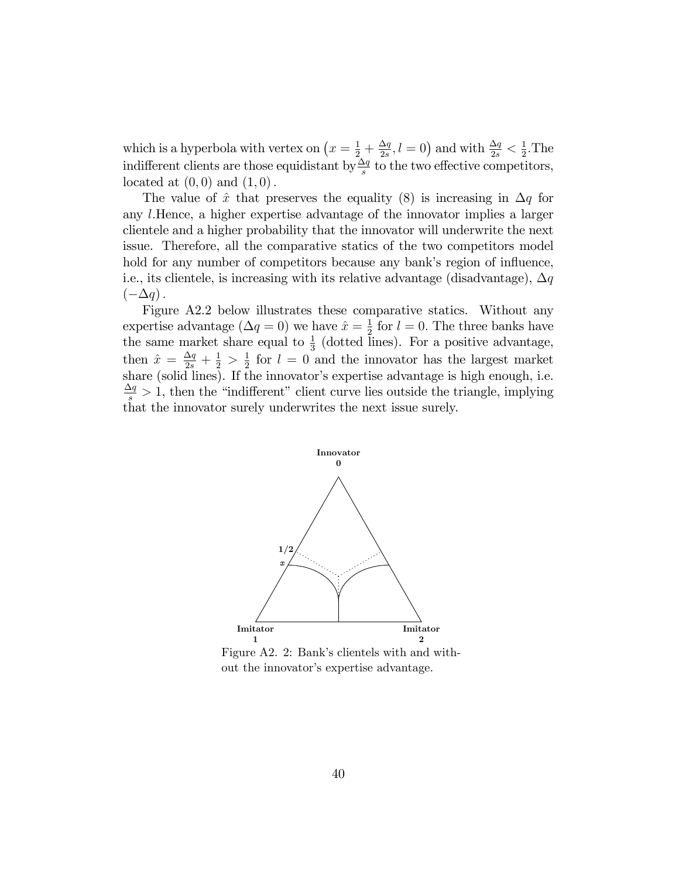which is a hyperbola with vertex on  $\left(x=\frac{1}{2}+\frac{\Delta q}{2s}\right)$  $\frac{\Delta q}{2s}$ ,  $l = 0$ ) and with  $\frac{\Delta q}{2s} < \frac{1}{2}$  $\frac{1}{2}$ . The indifferent clients are those equidistant by  $\frac{\Delta q}{s}$  to the two effective competitors, located at  $(0,0)$  and  $(1,0)$ .

The value of  $\hat{x}$  that preserves the equality (8) is increasing in  $\Delta q$  for any l:Hence, a higher expertise advantage of the innovator implies a larger clientele and a higher probability that the innovator will underwrite the next issue. Therefore, all the comparative statics of the two competitors model hold for any number of competitors because any bank's region of influence, i.e., its clientele, is increasing with its relative advantage (disadvantage),  $\Delta q$  $(-\Delta q)$ .

Figure A2.2 below illustrates these comparative statics. Without any expertise advantage  $(\Delta q = 0)$  we have  $\hat{x} = \frac{1}{2}$  $\frac{1}{2}$  for  $l = 0$ . The three banks have the same market share equal to  $\frac{1}{3}$  (dotted lines). For a positive advantage, then  $\hat{x} = \frac{\Delta q}{2s} + \frac{1}{2} > \frac{1}{2}$  $\frac{1}{2}$  for  $l = 0$  and the innovator has the largest market share (solid lines). If the innovator's expertise advantage is high enough, i.e.  $\frac{\Delta q}{s} > 1$ , then the "indifferent" client curve lies outside the triangle, implying that the innovator surely underwrites the next issue surely.



Figure A2. 2: Bank's clientels with and without the innovator's expertise advantage.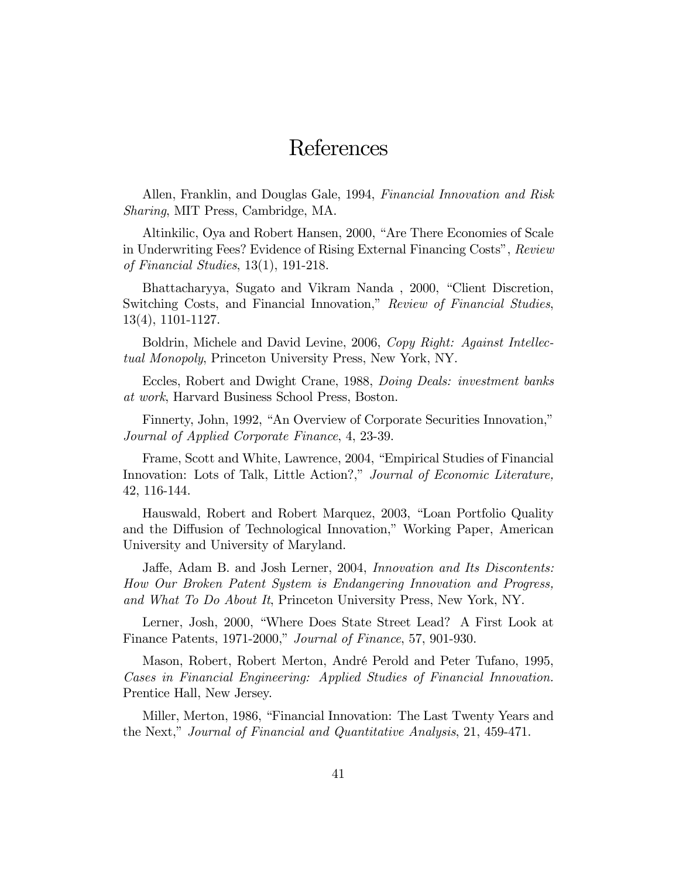# References

Allen, Franklin, and Douglas Gale, 1994, Financial Innovation and Risk Sharing, MIT Press, Cambridge, MA.

Altinkilic, Oya and Robert Hansen, 2000, "Are There Economies of Scale in Underwriting Fees? Evidence of Rising External Financing Costs", Review of Financial Studies, 13(1), 191-218.

Bhattacharyya, Sugato and Vikram Nanda, 2000, "Client Discretion, Switching Costs, and Financial Innovation," Review of Financial Studies, 13(4), 1101-1127.

Boldrin, Michele and David Levine, 2006, Copy Right: Against Intellectual Monopoly, Princeton University Press, New York, NY.

Eccles, Robert and Dwight Crane, 1988, Doing Deals: investment banks at work, Harvard Business School Press, Boston.

Finnerty, John, 1992, "An Overview of Corporate Securities Innovation," Journal of Applied Corporate Finance, 4, 23-39.

Frame, Scott and White, Lawrence, 2004, "Empirical Studies of Financial Innovation: Lots of Talk, Little Action?," Journal of Economic Literature, 42, 116-144.

Hauswald, Robert and Robert Marquez, 2003, "Loan Portfolio Quality and the Diffusion of Technological Innovation," Working Paper, American University and University of Maryland.

Jaffe, Adam B. and Josh Lerner, 2004, *Innovation and Its Discontents:* How Our Broken Patent System is Endangering Innovation and Progress, and What To Do About It, Princeton University Press, New York, NY.

Lerner, Josh, 2000, "Where Does State Street Lead? A First Look at Finance Patents, 1971-2000," Journal of Finance, 57, 901-930.

Mason, Robert, Robert Merton, AndrÈ Perold and Peter Tufano, 1995, Cases in Financial Engineering: Applied Studies of Financial Innovation. Prentice Hall, New Jersey.

Miller, Merton, 1986, "Financial Innovation: The Last Twenty Years and the Next," Journal of Financial and Quantitative Analysis, 21, 459-471.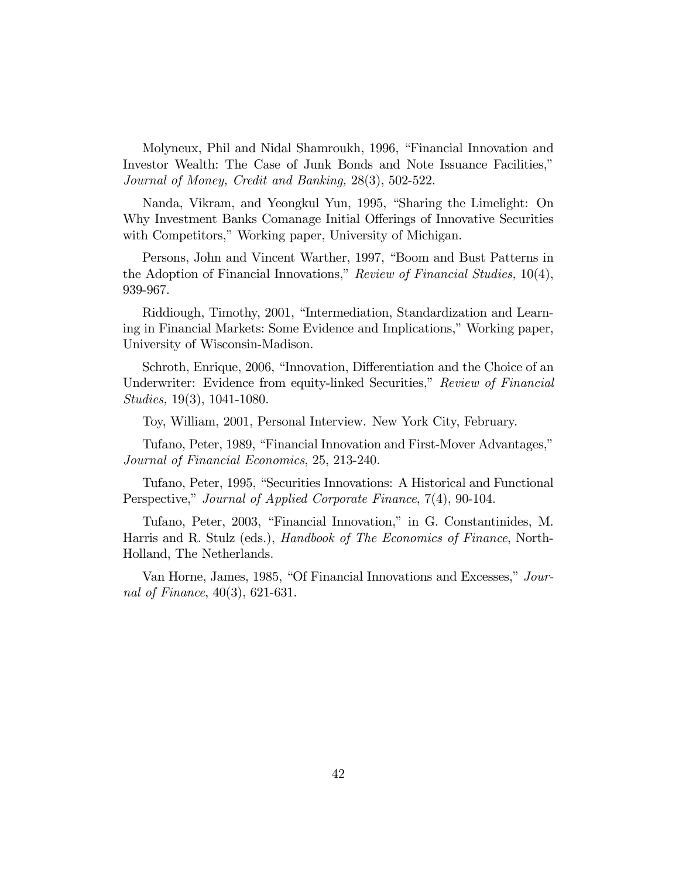Molyneux, Phil and Nidal Shamroukh, 1996, "Financial Innovation and Investor Wealth: The Case of Junk Bonds and Note Issuance Facilities," Journal of Money, Credit and Banking, 28(3), 502-522.

Nanda, Vikram, and Yeongkul Yun, 1995, "Sharing the Limelight: On Why Investment Banks Comanage Initial Offerings of Innovative Securities with Competitors," Working paper, University of Michigan.

Persons, John and Vincent Warther, 1997, "Boom and Bust Patterns in the Adoption of Financial Innovations," Review of Financial Studies,  $10(4)$ , 939-967.

Riddiough, Timothy, 2001, "Intermediation, Standardization and Learning in Financial Markets: Some Evidence and Implications," Working paper, University of Wisconsin-Madison.

Schroth, Enrique, 2006, "Innovation, Differentiation and the Choice of an Underwriter: Evidence from equity-linked Securities," Review of Financial Studies, 19(3), 1041-1080.

Toy, William, 2001, Personal Interview. New York City, February.

Tufano, Peter, 1989, "Financial Innovation and First-Mover Advantages," Journal of Financial Economics, 25, 213-240.

Tufano, Peter, 1995, "Securities Innovations: A Historical and Functional Perspective," Journal of Applied Corporate Finance, 7(4), 90-104.

Tufano, Peter, 2003, "Financial Innovation," in G. Constantinides, M. Harris and R. Stulz (eds.), Handbook of The Economics of Finance, North-Holland, The Netherlands.

Van Horne, James, 1985, "Of Financial Innovations and Excesses," Journal of Finance, 40(3), 621-631.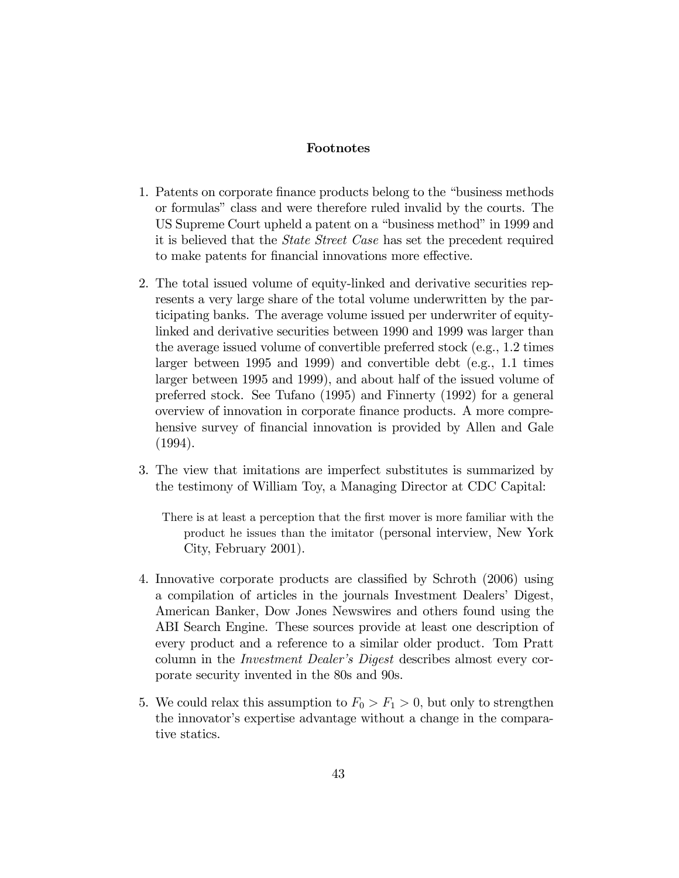#### Footnotes

- 1. Patents on corporate finance products belong to the "business methods" or formulas" class and were therefore ruled invalid by the courts. The US Supreme Court upheld a patent on a "business method" in 1999 and it is believed that the State Street Case has set the precedent required to make patents for financial innovations more effective.
- 2. The total issued volume of equity-linked and derivative securities represents a very large share of the total volume underwritten by the participating banks. The average volume issued per underwriter of equitylinked and derivative securities between 1990 and 1999 was larger than the average issued volume of convertible preferred stock (e.g., 1.2 times larger between 1995 and 1999) and convertible debt (e.g., 1.1 times larger between 1995 and 1999), and about half of the issued volume of preferred stock. See Tufano (1995) and Finnerty (1992) for a general overview of innovation in corporate Önance products. A more comprehensive survey of financial innovation is provided by Allen and Gale (1994).
- 3. The view that imitations are imperfect substitutes is summarized by the testimony of William Toy, a Managing Director at CDC Capital:

There is at least a perception that the first mover is more familiar with the product he issues than the imitator (personal interview, New York City, February 2001).

- 4. Innovative corporate products are classified by Schroth (2006) using a compilation of articles in the journals Investment Dealersí Digest, American Banker, Dow Jones Newswires and others found using the ABI Search Engine. These sources provide at least one description of every product and a reference to a similar older product. Tom Pratt column in the *Investment Dealer's Digest* describes almost every corporate security invented in the 80s and 90s.
- 5. We could relax this assumption to  $F_0 > F_1 > 0$ , but only to strengthen the innovator's expertise advantage without a change in the comparative statics.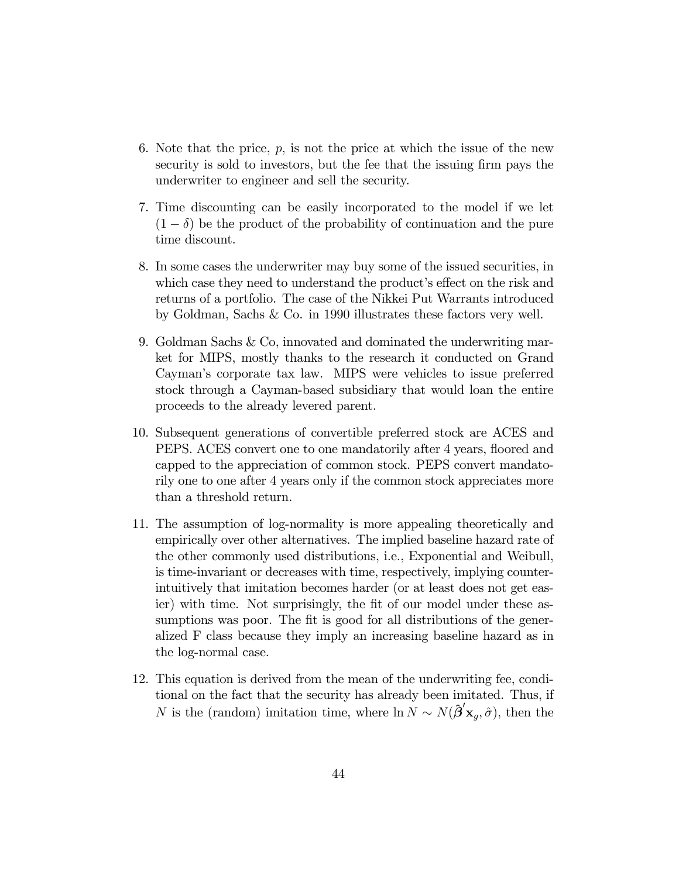- 6. Note that the price,  $p$ , is not the price at which the issue of the new security is sold to investors, but the fee that the issuing firm pays the underwriter to engineer and sell the security.
- 7. Time discounting can be easily incorporated to the model if we let  $(1 - \delta)$  be the product of the probability of continuation and the pure time discount.
- 8. In some cases the underwriter may buy some of the issued securities, in which case they need to understand the product's effect on the risk and returns of a portfolio. The case of the Nikkei Put Warrants introduced by Goldman, Sachs & Co. in 1990 illustrates these factors very well.
- 9. Goldman Sachs & Co, innovated and dominated the underwriting market for MIPS, mostly thanks to the research it conducted on Grand Caymanís corporate tax law. MIPS were vehicles to issue preferred stock through a Cayman-based subsidiary that would loan the entire proceeds to the already levered parent.
- 10. Subsequent generations of convertible preferred stock are ACES and PEPS. ACES convert one to one mandatorily after 4 years, floored and capped to the appreciation of common stock. PEPS convert mandatorily one to one after 4 years only if the common stock appreciates more than a threshold return.
- 11. The assumption of log-normality is more appealing theoretically and empirically over other alternatives. The implied baseline hazard rate of the other commonly used distributions, i.e., Exponential and Weibull, is time-invariant or decreases with time, respectively, implying counterintuitively that imitation becomes harder (or at least does not get easier) with time. Not surprisingly, the fit of our model under these assumptions was poor. The fit is good for all distributions of the generalized F class because they imply an increasing baseline hazard as in the log-normal case.
- 12. This equation is derived from the mean of the underwriting fee, conditional on the fact that the security has already been imitated. Thus, if N is the (random) imitation time, where  $\ln N \sim N(\hat{\boldsymbol{\beta}}' \mathbf{x}_{g}, \hat{\sigma})$ , then the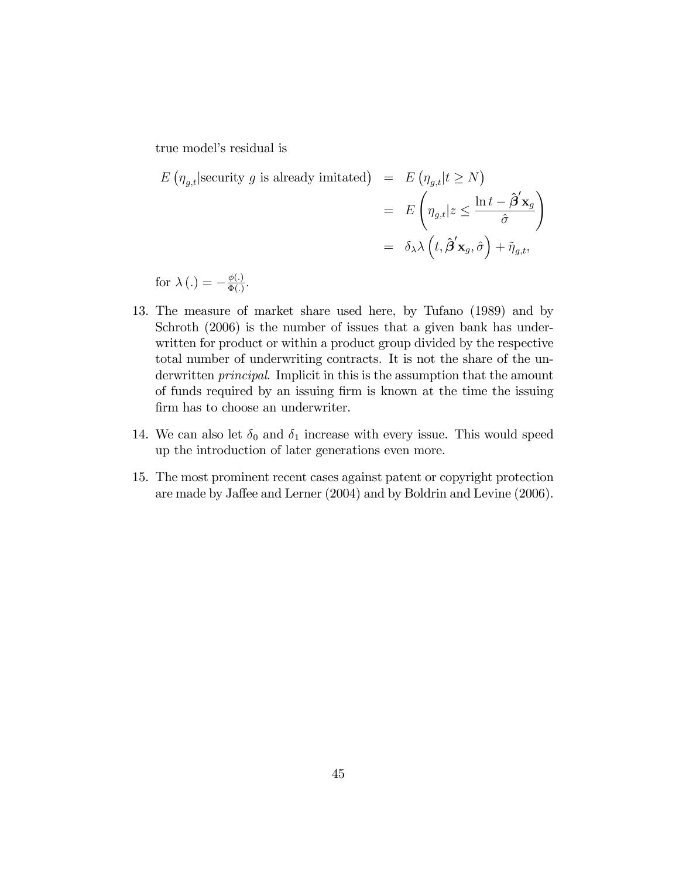true model's residual is

$$
E(\eta_{g,t}|\text{security } g \text{ is already initiated}) = E(\eta_{g,t}|t \ge N)
$$
  
= 
$$
E\left(\eta_{g,t}|z \le \frac{\ln t - \hat{\beta}'\mathbf{x}_g}{\hat{\sigma}}\right)
$$
  
= 
$$
\delta_{\lambda}\lambda\left(t, \hat{\beta}'\mathbf{x}_g, \hat{\sigma}\right) + \tilde{\eta}_{g,t},
$$

for  $\lambda(.) = -\frac{\phi(.)}{\Phi(.)}$  $\frac{\phi(.)}{\Phi(.)}$ .

- 13. The measure of market share used here, by Tufano (1989) and by Schroth (2006) is the number of issues that a given bank has underwritten for product or within a product group divided by the respective total number of underwriting contracts. It is not the share of the underwritten *principal*. Implicit in this is the assumption that the amount of funds required by an issuing firm is known at the time the issuing firm has to choose an underwriter.
- 14. We can also let  $\delta_0$  and  $\delta_1$  increase with every issue. This would speed up the introduction of later generations even more.
- 15. The most prominent recent cases against patent or copyright protection are made by Jaffee and Lerner (2004) and by Boldrin and Levine (2006).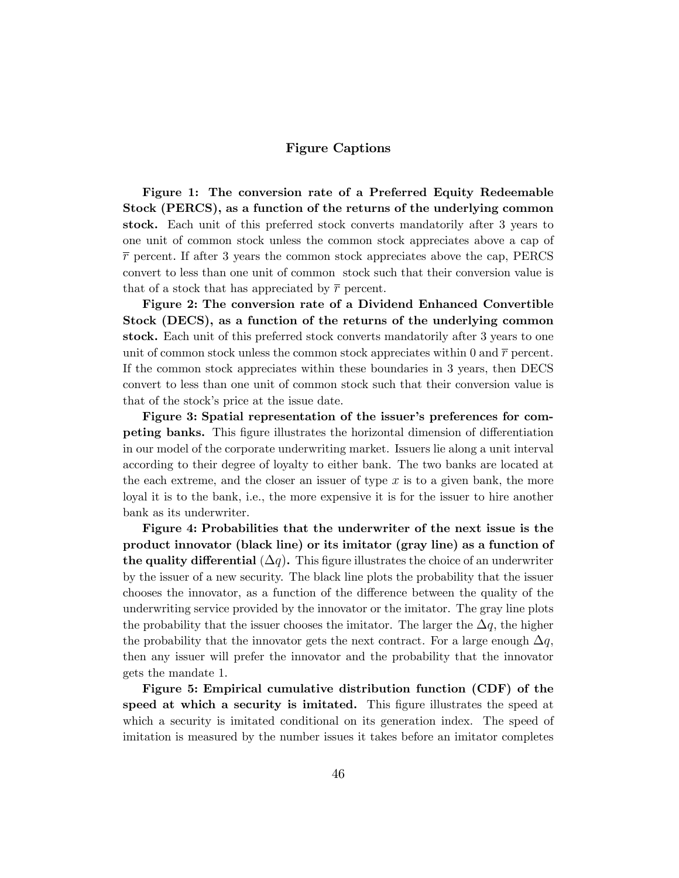#### Figure Captions

Figure 1: The conversion rate of a Preferred Equity Redeemable Stock (PERCS), as a function of the returns of the underlying common stock. Each unit of this preferred stock converts mandatorily after 3 years to one unit of common stock unless the common stock appreciates above a cap of  $\bar{r}$  percent. If after 3 years the common stock appreciates above the cap, PERCS convert to less than one unit of common stock such that their conversion value is that of a stock that has appreciated by  $\bar{r}$  percent.

Figure 2: The conversion rate of a Dividend Enhanced Convertible Stock (DECS), as a function of the returns of the underlying common stock. Each unit of this preferred stock converts mandatorily after 3 years to one unit of common stock unless the common stock appreciates within 0 and  $\bar{r}$  percent. If the common stock appreciates within these boundaries in 3 years, then DECS convert to less than one unit of common stock such that their conversion value is that of the stock's price at the issue date.

Figure 3: Spatial representation of the issuer's preferences for competing banks. This figure illustrates the horizontal dimension of differentiation in our model of the corporate underwriting market. Issuers lie along a unit interval according to their degree of loyalty to either bank. The two banks are located at the each extreme, and the closer an issuer of type  $x$  is to a given bank, the more loyal it is to the bank, i.e., the more expensive it is for the issuer to hire another bank as its underwriter.

Figure 4: Probabilities that the underwriter of the next issue is the product innovator (black line) or its imitator (gray line) as a function of the quality differential  $(\Delta q)$ . This figure illustrates the choice of an underwriter by the issuer of a new security. The black line plots the probability that the issuer chooses the innovator, as a function of the difference between the quality of the underwriting service provided by the innovator or the imitator. The gray line plots the probability that the issuer chooses the imitator. The larger the  $\Delta q$ , the higher the probability that the innovator gets the next contract. For a large enough  $\Delta q$ , then any issuer will prefer the innovator and the probability that the innovator gets the mandate 1.

Figure 5: Empirical cumulative distribution function (CDF) of the speed at which a security is imitated. This figure illustrates the speed at which a security is imitated conditional on its generation index. The speed of imitation is measured by the number issues it takes before an imitator completes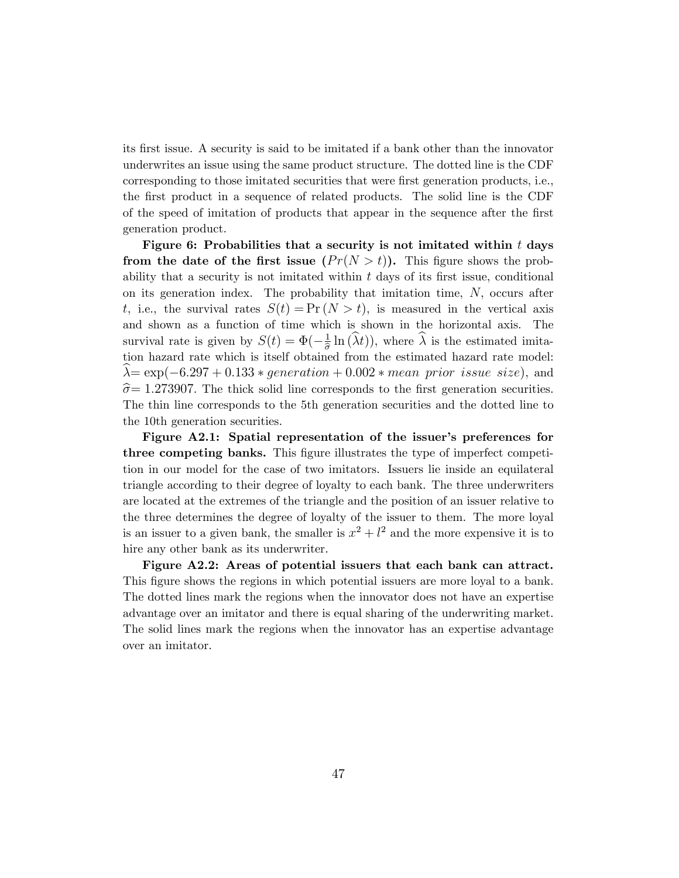its Örst issue. A security is said to be imitated if a bank other than the innovator underwrites an issue using the same product structure. The dotted line is the CDF corresponding to those imitated securities that were first generation products, i.e., the Örst product in a sequence of related products. The solid line is the CDF of the speed of imitation of products that appear in the sequence after the first generation product.

Figure 6: Probabilities that a security is not imitated within  $t$  days from the date of the first issue  $(Pr(N > t))$ . This figure shows the probability that a security is not imitated within  $t$  days of its first issue, conditional on its generation index. The probability that imitation time,  $N$ , occurs after t, i.e., the survival rates  $S(t) = Pr(N > t)$ , is measured in the vertical axis and shown as a function of time which is shown in the horizontal axis. The survival rate is given by  $S(t) = \Phi(-\frac{1}{\hat{\sigma}} \ln(\hat{\lambda}t))$ , where  $\hat{\lambda}$  is the estimated imitabut vival rate is given by  $D(v) = \mathbf{F}(\frac{\partial}{\partial u}(w))$ , where  $\lambda$  is the estimated influention hazard rate which is itself obtained from the estimated hazard rate model:  $\lambda = \exp(-6.297 + 0.133 * generation + 0.002 * mean prior issue size)$ , and  $\hat{\sigma}$ = 1.273907. The thick solid line corresponds to the first generation securities. The thin line corresponds to the 5th generation securities and the dotted line to the 10th generation securities.

Figure A2.1: Spatial representation of the issuer's preferences for three competing banks. This figure illustrates the type of imperfect competition in our model for the case of two imitators. Issuers lie inside an equilateral triangle according to their degree of loyalty to each bank. The three underwriters are located at the extremes of the triangle and the position of an issuer relative to the three determines the degree of loyalty of the issuer to them. The more loyal is an issuer to a given bank, the smaller is  $x^2 + l^2$  and the more expensive it is to hire any other bank as its underwriter.

Figure A2.2: Areas of potential issuers that each bank can attract. This figure shows the regions in which potential issuers are more loyal to a bank. The dotted lines mark the regions when the innovator does not have an expertise advantage over an imitator and there is equal sharing of the underwriting market. The solid lines mark the regions when the innovator has an expertise advantage over an imitator.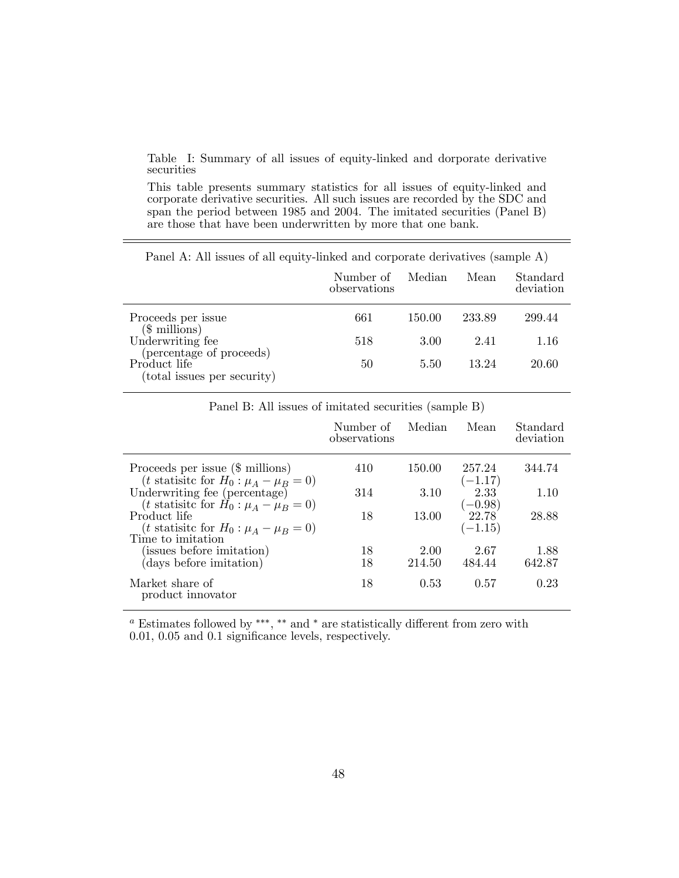Table I: Summary of all issues of equity-linked and dorporate derivative securities

This table presents summary statistics for all issues of equity-linked and corporate derivative securities. All such issues are recorded by the SDC and span the period between 1985 and 2004. The imitated securities (Panel B) are those that have been underwritten by more that one bank.

Panel A: All issues of all equity-linked and corporate derivatives (sample A)

|                                              | Number of<br>observations | Median | Mean   | Standard<br>deviation |
|----------------------------------------------|---------------------------|--------|--------|-----------------------|
| Proceeds per issue<br>$($$ millions)         | 661                       | 150.00 | 233.89 | 299.44                |
| Underwriting fee<br>(percentage of proceeds) | 518                       | 3.00   | 2.41   | 1.16                  |
| Product life<br>(total issues per security)  | 50                        | 5.50   | 13.24  | 20.60                 |

| Panel B: All issues of imitated securities (sample B) |  |  |
|-------------------------------------------------------|--|--|
|-------------------------------------------------------|--|--|

|                                                                                                                                                 | Number of<br>observations | Median         | Mean                            | Standard<br>deviation |
|-------------------------------------------------------------------------------------------------------------------------------------------------|---------------------------|----------------|---------------------------------|-----------------------|
| Proceeds per issue (\$ millions)                                                                                                                | 410                       | 150.00         | 257.24<br>$(-1.17)$             | 344.74                |
| ( <i>t</i> statisite for $H_0: \mu_A - \mu_B = 0$ )<br>Underwriting fee (percentage)                                                            | 314                       | 3.10           | 2.33                            | 1.10                  |
| ( <i>t</i> statisite for $H_0: \mu_A - \mu_B = 0$ )<br>Product life<br>( <i>t</i> statisite for $H_0: \mu_A - \mu_B = 0$ )<br>Time to imitation | 18                        | 13.00          | $(-0.98)$<br>22.78<br>$(-1.15)$ | 28.88                 |
| (issues before imitation)<br>(days before imitation)                                                                                            | 18<br>18                  | 2.00<br>214.50 | 2.67<br>484.44                  | 1.88<br>642.87        |
| Market share of<br>product innovator                                                                                                            | 18                        | 0.53           | 0.57                            | 0.23                  |

 $a$  Estimates followed by \*\*\*, \*\* and \* are statistically different from zero with  $0.01, 0.05$  and  $0.1$  significance levels, respectively.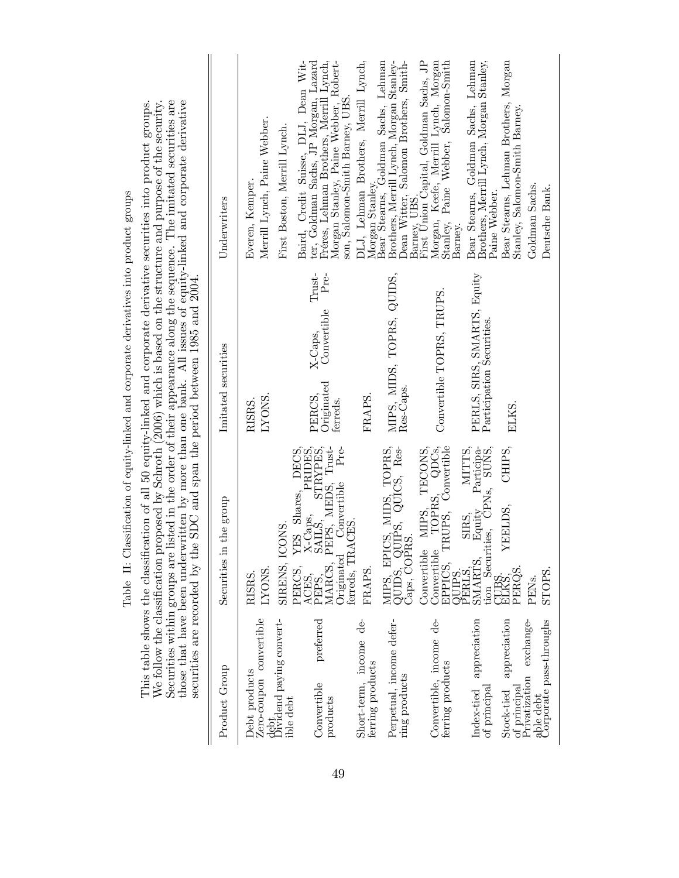| Securities within groups are l                                                                                 | We follow the classification proposed by Schroth $(2006)$ which is based on the structure and purpose of the security.<br>those that have been underwritten by more than one bank. All issues of equity-linked and corporate derivative<br>This table shows the classification of all 50 equity-linked and corporate derivative securities into product groups.<br>securities are recorded by the SDC and span the period between 1985 and $2004$ . | isted in the order of their appearance along the sequence. The imitated securities are |                                                                                                                                                                                                                                        |
|----------------------------------------------------------------------------------------------------------------|-----------------------------------------------------------------------------------------------------------------------------------------------------------------------------------------------------------------------------------------------------------------------------------------------------------------------------------------------------------------------------------------------------------------------------------------------------|----------------------------------------------------------------------------------------|----------------------------------------------------------------------------------------------------------------------------------------------------------------------------------------------------------------------------------------|
| Product Group                                                                                                  | the group<br>Securities in                                                                                                                                                                                                                                                                                                                                                                                                                          | Imitated securities                                                                    | Underwriters                                                                                                                                                                                                                           |
| Zero-coupon convertible<br>$\det^{\text{left}}_{\text{hvidend}}$ paying convert-<br>Debt products<br>ible debt | SIRENS, ICONS.<br>LYONS.<br>RISRS.                                                                                                                                                                                                                                                                                                                                                                                                                  | LYONS.<br>RISRS.                                                                       | Merrill Lynch, Paine Webber.<br>First Boston, Merrill Lynch.<br>Everen, Kemper.                                                                                                                                                        |
| preferred<br>Convertible<br>products                                                                           | $\begin{tabular}{cc} YES & Shares, & DECS, \\ X-Caps, & PRIDES, \\ SAILS, & STRYPES, \\ , PEPS, MEDS, & Truet- \end{tabular}$<br>$Pr_{\theta}$<br>Convertible<br>ferreds, TRACES.<br>Originated<br>PERCS,<br>ACES,<br>PEPS,<br>MARCS,                                                                                                                                                                                                               | Trust-<br>Pre-<br>Convertible<br>X-Caps,<br>Originated<br>PERCS,<br>ferreds.           | Fréres, Lehman Brothers, Merrill Lynch,<br>Baird, Credit Suisse, DLJ, Dean Wit-<br>ter, Goldman Sachs, JP Morgan, Lazard<br>Morgan Stanley, Paine Webber, Robert-<br>son, Salomon-Smith Barney, UBS                                    |
| Short-term, income de-<br>ferring products                                                                     | FRAPS.                                                                                                                                                                                                                                                                                                                                                                                                                                              | FRAPS.                                                                                 | DLJ, Lehman Brothers, Merrill Lynch,                                                                                                                                                                                                   |
| Perpetual, income defer-<br>ring products                                                                      | MIPS, EPICS, MIDS, TOPRS,<br>QUIDS, QUIPS, QUICS, Res-<br>Caps, COPRS.                                                                                                                                                                                                                                                                                                                                                                              | MIPS, MIDS, TOPRS, QUIDS,<br>Res-Caps.                                                 | Morgan Stanley.<br>Bear Stearns, Goldman Sachs, Lehman<br>Bear Stearns, Goldman<br>Brothers, Merrill Lynch, Morgan Stanley-Dean Witter, Salomon Brothers, Smith-Barney, UBS.<br>Barney, UBS.<br>First Union Capital, Goldman Sachs, JP |
| Convertible, income de-<br>ferring products                                                                    | MIPS, TECONS,<br>TOPRS, QDCs,<br>TRUPS, Convertible<br>Convertible<br>Convertible<br>EPPICS,                                                                                                                                                                                                                                                                                                                                                        | Convertible TOPRS, TRUPS.                                                              | Morgan, Keefe, Merrill Lynch, Morgan<br>Stanley, Paine Webber, Salomon-Smith                                                                                                                                                           |
| appreciation<br>of principal<br>Index-tied                                                                     | MITTS,<br>Equity Participa-<br>ties, CPNs, SUNS,<br>SIRS,<br>tion Securi<br>SMARTS,<br>QUIPS.<br>PERLS,                                                                                                                                                                                                                                                                                                                                             | PERLS, SIRS, SMARTS, Equity<br>Participation Securities.                               | Brothers, Merrill Lynch, Morgan Stanley,<br>Bear Stearns, Goldman Sachs, Lehman<br>Paine Webber.<br>Barney.                                                                                                                            |
| appreciation<br>Privatization exchange-<br>of principal<br>Stock-tied                                          | CHIPS,<br>YEELDS,<br>PERQS<br>CUBS.<br>ELIKS.                                                                                                                                                                                                                                                                                                                                                                                                       | ELKS.                                                                                  | Bear Stearns, Lehman Brothers, Morgan<br>Stanley, Salomon-Smith Barney.                                                                                                                                                                |
| able debt<br>Corporate pass-throughs                                                                           | STOPS.<br>PENs.                                                                                                                                                                                                                                                                                                                                                                                                                                     |                                                                                        | Goldman Sachs.<br>Deutsche Bank.                                                                                                                                                                                                       |

Table II: Classification of equity-linked and corporate derivatives into product groups Į rate derivatives into product Table II: Classification of equity-linked and co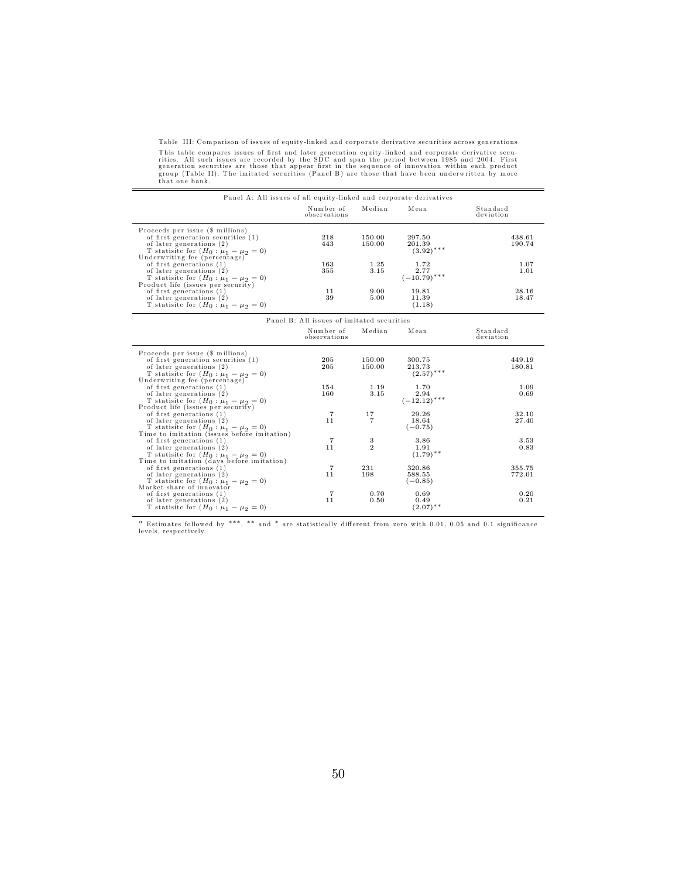Table III: Comparison of issues of equity-linked and corporate derivative securities across generations This table compares issues of first and later generation equity-linked and corporate derivative securities. All such issues are recorded by the SDC and span the period between 1985 and 2004. First generation securities are

|                                            | Panel A: All issues of all equity-linked and corporate derivatives |        |                |                       |
|--------------------------------------------|--------------------------------------------------------------------|--------|----------------|-----------------------|
|                                            | Number of<br>observations                                          | Median | Mean           | Standard<br>deviation |
| Proceeds per issue (\$ millions)           |                                                                    |        |                |                       |
| of first generation securities (1)         | 218                                                                | 150.00 | 297.50         | 438.61                |
| of later generations (2)                   | 443                                                                | 150.00 | 201.39         | 190.74                |
| T statisite for $(H_0: \mu_1 - \mu_2 = 0)$ |                                                                    |        | $(3.92)$ ***   |                       |
| Underwriting fee (percentage)              |                                                                    |        |                |                       |
| of first generations (1)                   | 163                                                                | 1.25   | 1.72           | 1.07                  |
| of later generations (2)                   | 355                                                                | 3.15   | 2.77           | 1.01                  |
| T statisite for $(H_0: \mu_1 - \mu_2 = 0)$ |                                                                    |        | $(-10.79)$ *** |                       |
| Product life (issues per security)         |                                                                    |        |                |                       |
| of first generations (1)                   | 11                                                                 | 9.00   | 19.81          | 28.16                 |
| of later generations (2)                   | 39                                                                 | 5.00   | 11.39          | 18.47                 |
| T statisite for $(H_0: \mu_1 - \mu_2 = 0)$ |                                                                    |        | (1.18)         |                       |

#### Panel B: All issues of imitated securities

|                                             | Number of<br>observations | Median         | Mean           | Standard<br>deviation |
|---------------------------------------------|---------------------------|----------------|----------------|-----------------------|
| Proceeds per issue (\$ millions)            |                           |                |                |                       |
| of first generation securities (1)          | 205                       | 150.00         | 300.75         | 449.19                |
| of later generations (2)                    | 205                       | 150.00         | 213.73         | 180.81                |
| T statisite for $(H_0: \mu_1 - \mu_2 = 0)$  |                           |                | $(2.57)$ ***   |                       |
| Underwriting fee (percentage)               |                           |                |                |                       |
| of first generations (1)                    | 154                       | 1.19           | 1.70           | 1.09                  |
| of later generations (2)                    | 160                       | 3.15           | 2.94           | 0.69                  |
| T statisite for $(H_0: \mu_1 - \mu_2 = 0)$  |                           |                | $(-12.12)$ *** |                       |
| Product life (issues per security)          |                           |                |                |                       |
| of first generations (1)                    | $\overline{7}$            | 17             | 29.26          | 32.10                 |
| of later generations (2)                    | 11                        | $\overline{7}$ | 18.64          | 27.40                 |
| T statisite for $(H_0: \mu_1 - \mu_2 = 0)$  |                           |                | $(-0.75)$      |                       |
| Time to imitation (issues before imitation) |                           |                |                |                       |
| of first generations (1)                    | 7                         | $\frac{3}{2}$  | 3.86           | 3.53                  |
| of later generations (2)                    | 11                        |                | 1.91           | 0.83                  |
| T statisite for $(H_0: \mu_1 - \mu_2 = 0)$  |                           |                | $(1.79)$ **    |                       |
| Time to imitation (days before imitation)   |                           |                |                |                       |
| of first generations (1)                    | $\overline{7}$            | 231            | 320.86         | 355.75                |
| of later generations (2)                    | 11                        | 198            | 588.55         | 772.01                |
| T statisite for $(H_0: \mu_1 - \mu_2 = 0)$  |                           |                | $(-0.85)$      |                       |
| Market share of innovator                   |                           |                |                |                       |
| of first generations (1)                    | 7                         | 0.70           | 0.69           | 0.20                  |
| of later generations (2)                    | 11                        | 0.50           | 0.49           | 0.21                  |
| T statisite for $(H_0: \mu_1 - \mu_2 = 0)$  |                           |                | $(2.07)$ **    |                       |

 $a$  Estimates followed by \*\*\*, \*\* and \* are statistically different from zero with 0.01, 0.05 and 0.1 significance levels, respectively.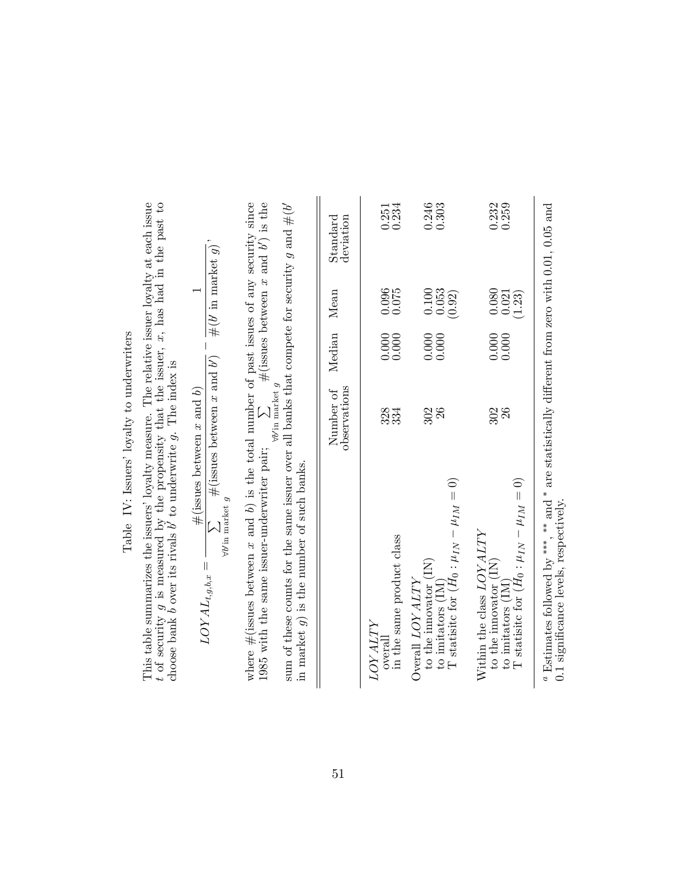# Table IV: Issuers' loyalty to underwriters Table IV: Issuers' loyalty to underwriters

This table summarizes the issuersíloyalty measure. The relative issuer loyalty at each issue This table summarizes the issuers' loyalty measure. The relative issuer loyalty at each issue t of security  $g$  is measured by the propensity that the issuer,  $x$ , has had in the past to choose bank  $b$  over its rivals  $b$  of security g is measured by the propensity that the issuer, x, has had in the past to choose bank b over its rivals b<sup> $\ell$ </sup> to underwrite g. The index is

$$
LOYA_{t,g,b,x} = \frac{\#(\text{issues between } x \text{ and } b)}{\sum_{\forall b' \text{in market } g} \#(\text{issues between } x \text{ and } b')} - \frac{1}{\#(b' \text{ in market } g)},
$$

where  $#$  (issues between x and b) is the total number of past issues of any security since 1985 with the same issuer-underwriter pair;  $\Sigma$  $\forall b'$ in market  $\frac{4}{g}$ issues between x and  $b'$ ) is the

sum of these counts for the same issuer over all banks that compete for security g and  $#(b'$  in market g) is the number of such banks. sum of these counts for the same issuer over all banks that compete for security g and  $\#(b')$ in market  $g$ ) is the number of such banks.

|                                                                                                                                 | Number of Median Mean<br>bservations |                |                                                         | Standard<br>deviation |
|---------------------------------------------------------------------------------------------------------------------------------|--------------------------------------|----------------|---------------------------------------------------------|-----------------------|
| in the same product class<br><i>LOYALTY</i><br>overall                                                                          | 334                                  | 0.000          | 0.096                                                   | 0.251                 |
| T statisite for $(H_0: \mu_{IN} - \mu_{IM} = 0)$<br>to the innovator (IN)<br>Overall LOYALTY<br>to imitators (IM)               | $\frac{302}{26}$                     | 0.000          | $\begin{array}{c} 0.100 \\ 0.053 \\ (0.92) \end{array}$ | 0.246                 |
| T statisite for $(H_0: \mu_{IN} - \mu_{IM} = 0)$<br>Within the class LOY ALTY<br>to the innovator $(IN)$<br>to imitators $(IM)$ | $\frac{302}{26}$                     | 0.000<br>0.000 | $\begin{array}{c} 0.080 \\ 0.021 \\ (1.23) \end{array}$ | 0.232<br>0.259        |

 $^a$  Estimates followed by \*\*\*, \*\* and \* are statistically different from zero with 0.01, 0.05 and a Estimates followed by \*\*\*,  $^*$  and \* are statistically different from zero with 0.01, 0.05 and  $\alpha$ , 1 0.1 significance levels, respectively.  $0.1$  significance levels, respectively.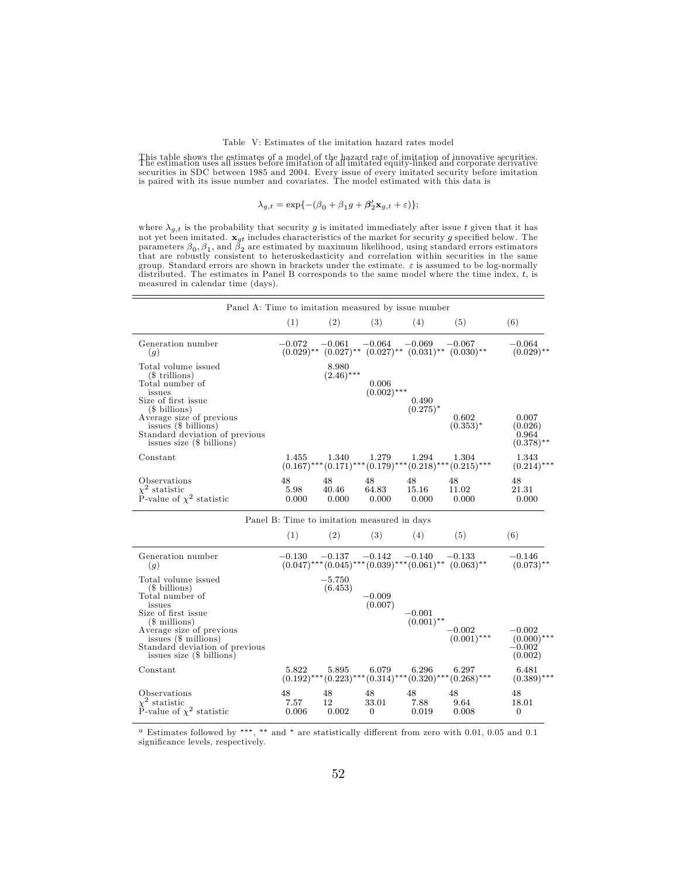This table shows the estimates of a model of the hazard rate of imitation of innovative securities. The estimation uses all issues before imitation of all imitated equity-linked and corporate derivative securities in SDC between 1985 and 2004. Every issue of every imitated security before imitation is paired with its issue number and covariates. The model estimated with this data is

$$
\lambda_{g,t} = \exp\{-(\beta_0 + \beta_1 g + \beta_2' \mathbf{x}_{g,t} + \varepsilon)\};
$$

where  $\lambda_{q,t}$  is the probability that security g is imitated immediately after issue t given that it has not yet been imitated.  $\mathbf{x}_{gt}$  includes characteristics of the market for security g specified below. The parameters  $\beta_0, \beta_1$ , and  $\beta_2$  are estimated by maximum likelihood, using standard errors estimators that are robustly consistent to heteroskedasticity and correlation within securities in the same group. Standard errors are shown in brackets under the estimate.  $\varepsilon$  is assumed to be log-normally distributed. The estimates in Panel B corresponds to the same model where the time index,  $t$ , is measured in calendar time (days).

| Panel A: Time to imitation measured by issue number                                                                                          |                                             |                       |                                                                                                   |                      |                                                                                |                                                  |
|----------------------------------------------------------------------------------------------------------------------------------------------|---------------------------------------------|-----------------------|---------------------------------------------------------------------------------------------------|----------------------|--------------------------------------------------------------------------------|--------------------------------------------------|
|                                                                                                                                              | (1)                                         | (2)                   | (3)                                                                                               | (4)                  | (5)                                                                            | (6)                                              |
| Generation number<br>(g)                                                                                                                     | $-0.072$                                    | $-0.061$              | $-0.064$<br>$(0.029)$ ** $(0.027)$ ** $(0.027)$ ** $(0.031)$ ** $(0.030)$ **                      | $-0.069$             | $-0.067$                                                                       | $-0.064$<br>$(0.029)$ **                         |
| Total volume issued<br>(\$ trillions)<br>Total number of<br>issues<br>Size of first issue<br>(\$ billions)                                   |                                             | 8.980<br>$(2.46)$ *** | 0.006<br>$(0.002)$ ***                                                                            | 0.490<br>$(0.275)^*$ |                                                                                |                                                  |
| Average size of previous<br>issues (\$ billions)<br>Standard deviation of previous<br>issues size $(\$$ billions)                            |                                             |                       |                                                                                                   |                      | 0.602<br>$(0.353)^*$                                                           | 0.007<br>(0.026)<br>0.964<br>$(0.378)$ **        |
| Constant                                                                                                                                     | 1.455                                       | 1.340                 | 1.279                                                                                             | 1.294                | 1.304<br>$(0.167)$ *** $(0.171)$ *** $(0.179)$ *** $(0.218)$ *** $(0.215)$ *** | 1.343<br>$(0.214)$ ***                           |
| Observations<br>$\chi^2$ statistic<br>P-value of $\chi^2$ statistic                                                                          | 48<br>5.98<br>0.000                         | 48<br>40.46<br>0.000  | 48<br>64.83<br>0.000                                                                              | 48<br>15.16<br>0.000 | 48<br>11.02<br>0.000                                                           | 48<br>21.31<br>0.000                             |
|                                                                                                                                              | Panel B: Time to imitation measured in days |                       |                                                                                                   |                      |                                                                                |                                                  |
|                                                                                                                                              | (1)                                         | (2)                   | (3)                                                                                               | (4)                  | (5)                                                                            | (6)                                              |
| Generation number<br>(g)                                                                                                                     | $-0.130\,$                                  |                       | $-0.137$ $-0.142$ $-0.140$<br>$(0.047)$ *** $(0.045)$ *** $(0.039)$ *** $(0.061)$ ** $(0.063)$ ** |                      | $-0.133$                                                                       | $-0.146$<br>$(0.073)$ **                         |
| Total volume issued<br>(\$ billions)<br>Total number of<br>issues<br>Size of first issue                                                     |                                             | $-5.750$<br>(6.453)   | $-0.009$<br>(0.007)                                                                               | $-0.001$             |                                                                                |                                                  |
| $($$ millions)<br>Average size of previous<br>issues $(\text{\$}$ millions)<br>Standard deviation of previous<br>issues size $(\$$ billions) |                                             |                       |                                                                                                   | $(0.001)$ **         | $-0.002$<br>$(0.001)$ ***                                                      | $-0.002$<br>$(0.000)$ ***<br>$-0.002$<br>(0.002) |
| Constant                                                                                                                                     | 5.822                                       | 5.895                 | 6.079                                                                                             | 6.296                | 6.297<br>$(0.192)$ *** $(0.223)$ *** $(0.314)$ *** $(0.320)$ *** $(0.268)$ *** | 6.481<br>$(0.389)$ ***                           |
| Observations<br>$\chi^2$ statistic P-value of $\chi^2$ statistic                                                                             | 48<br>7.57<br>0.006                         | 48<br>12<br>0.002     | 48<br>33.01<br>$\mathbf{0}$                                                                       | 48<br>7.88<br>0.019  | 48<br>9.64<br>0.008                                                            | 48<br>18.01<br>$\overline{0}$                    |

 $a$  Estimates followed by \*\*\*, \*\* and \* are statistically different from zero with 0.01, 0.05 and 0.1 significance levels, respectively.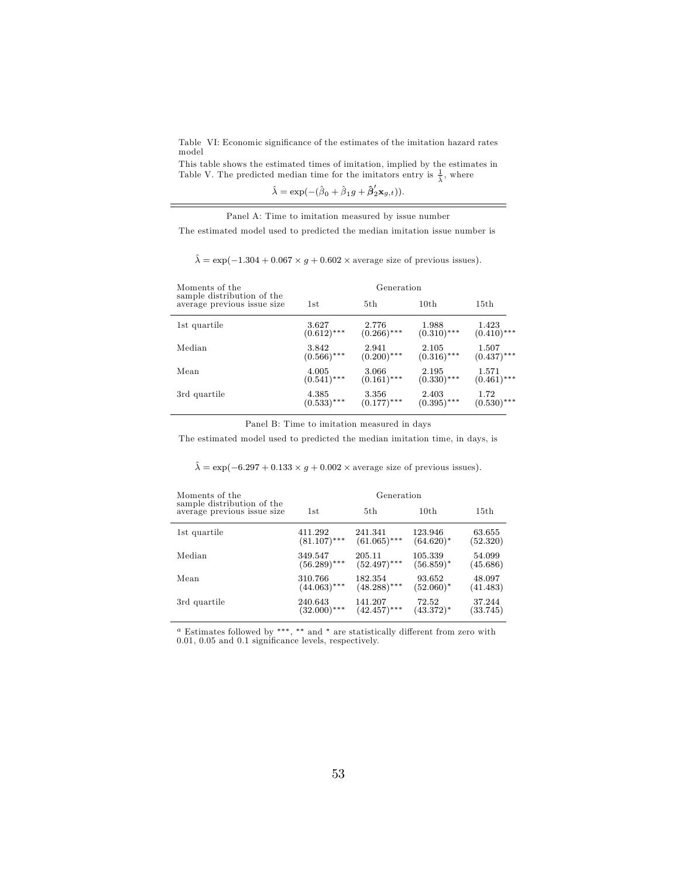Table VI: Economic significance of the estimates of the imitation hazard rates model

This table shows the estimated times of imitation, implied by the estimates in Table V. The predicted median time for the imitators entry is  $\frac{1}{\lambda}$ , where

 $\hat{\lambda} = \exp(-(\hat{\beta}_0 + \hat{\beta}_1 g + \hat{\beta}'_2 \mathbf{x}_{g,t})).$ 

Panel A: Time to imitation measured by issue number

The estimated model used to predicted the median imitation issue number is

 $\hat{\lambda} = \exp(-1.304 + 0.067 \times g + 0.602 \times \text{average size of previous issues}).$ 

| Moments of the                                            |               |               |               |               |
|-----------------------------------------------------------|---------------|---------------|---------------|---------------|
| sample distribution of the<br>average previous issue size | 1st           | 5th           | 10th          | 15th          |
| 1st quartile                                              | 3.627         | 2.776         | 1.988         | 1.423         |
|                                                           | $(0.612)$ *** | $(0.266)$ *** | $(0.310)$ *** | $(0.410)$ *** |
| Median                                                    | 3.842         | 2.941         | 2.105         | 1.507         |
|                                                           | $(0.566)$ *** | $(0.200)$ *** | $(0.316)$ *** | $(0.437)$ *** |
| Mean                                                      | 4.005         | 3.066         | 2.195         | 1.571         |
|                                                           | $(0.541)$ *** | $(0.161)$ *** | $(0.330)$ *** | $(0.461)$ *** |
| 3rd quartile                                              | 4.385         | 3.356         | 2.403         | 1.72          |
|                                                           | $(0.533)$ *** | $(0.177)$ *** | $(0.395)$ *** | $(0.530)$ *** |

|  |  |  |  |  | Panel B: Time to imitation measured in days |  |  |
|--|--|--|--|--|---------------------------------------------|--|--|
|--|--|--|--|--|---------------------------------------------|--|--|

The estimated model used to predicted the median imitation time, in days, is

| $\lambda = \exp(-6.297 + 0.133 \times g + 0.002 \times \text{average size of previous issues}).$ |  |  |
|--------------------------------------------------------------------------------------------------|--|--|
|                                                                                                  |  |  |
|                                                                                                  |  |  |
|                                                                                                  |  |  |

| Moments of the<br>sample distribution of the | Generation     |                |              |          |  |  |
|----------------------------------------------|----------------|----------------|--------------|----------|--|--|
| average previous issue size                  | 1st            | 5th            | 10th         | 15th     |  |  |
| 1st quartile                                 | 411.292        | 241.341        | 123.946      | 63.655   |  |  |
|                                              | $(81.107)$ *** | $(61.065)$ *** | $(64.620)^*$ | (52.320) |  |  |
| Median                                       | 349.547        | 205.11         | 105.339      | 54.099   |  |  |
|                                              | $(56.289)$ *** | $(52.497)$ *** | $(56.859)^*$ | (45.686) |  |  |
| Mean                                         | 310.766        | 182.354        | 93.652       | 48.097   |  |  |
|                                              | $(44.063)$ *** | $(48.288)$ *** | $(52.060)^*$ | (41.483) |  |  |
| 3rd quartile                                 | 240.643        | 141.207        | 72.52        | 37.244   |  |  |
|                                              | $(32.000)$ *** | $(42.457)$ *** | $(43.372)^*$ | (33.745) |  |  |

 $a$  Estimates followed by \*\*\*, \*\* and \* are statistically different from zero with  $0.01$ ,  $0.05$  and  $0.1$  significance levels, respectively.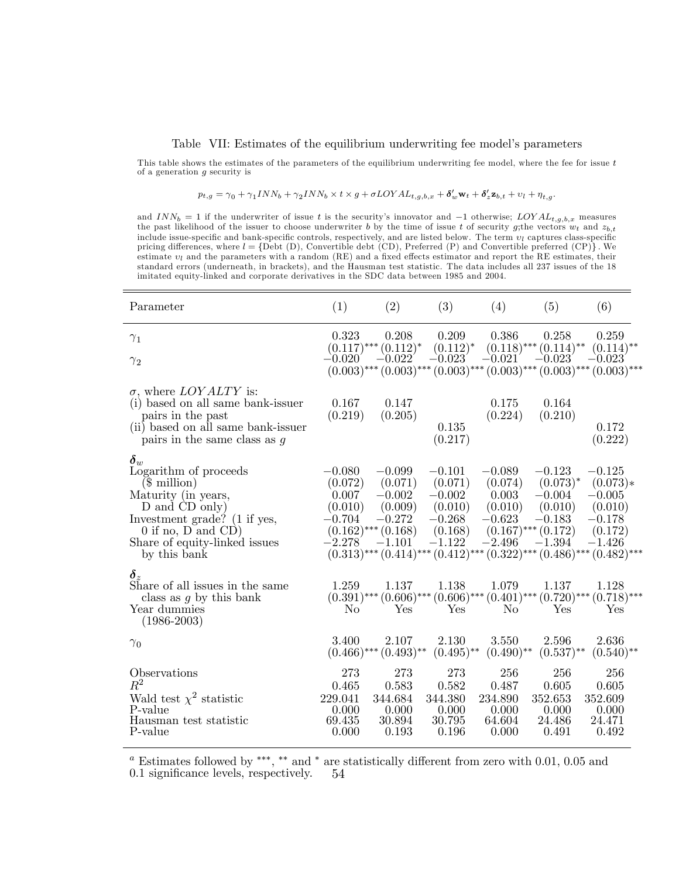#### Table VII: Estimates of the equilibrium underwriting fee model's parameters

This table shows the estimates of the parameters of the equilibrium underwriting fee model, where the fee for issue  $t$ of a generation g security is

$$
p_{t,g} = \gamma_0 + \gamma_1 INN_b + \gamma_2 INN_b \times t \times g + \sigma LOYAL_{t,g,b,x} + \delta'_w \mathbf{w}_t + \delta'_z \mathbf{z}_{b,t} + v_l + \eta_{t,g}.
$$

and  $INN_b = 1$  if the underwriter of issue t is the security's innovator and  $-1$  otherwise;  $LOYAL_{t,g,b,x}$  measures the past likelihood of the issuer to choose underwriter b by the time of issue t of security g;the vectors  $w_t$  and  $z_{b,t}$ include issue-specific and bank-specific controls, respectively, and are listed below. The term  $v_l$  captures class-specific pricing differences, where  $l = \{ \text{Debt (D)}, \text{ Convertible debt (CD)}, \text{Preferred (P) and Convertible preferred (CP)} \}$ . We estimate  $v_l$  and the parameters with a random (RE) and a fixed effects estimator and report the RE estimates, their standard errors (underneath, in brackets), and the Hausman test statistic. The data includes all 237 issues of the 18 imitated equity-linked and corporate derivatives in the SDC data between 1985 and 2004.

| Parameter                                                                                                                                                                                                                        | (1)                                                             | (2)                                                                                           | (3)                                                                           | (4)                                                             | (5)                                                                                               | (6)                                                                                                                                                                     |
|----------------------------------------------------------------------------------------------------------------------------------------------------------------------------------------------------------------------------------|-----------------------------------------------------------------|-----------------------------------------------------------------------------------------------|-------------------------------------------------------------------------------|-----------------------------------------------------------------|---------------------------------------------------------------------------------------------------|-------------------------------------------------------------------------------------------------------------------------------------------------------------------------|
| $\gamma_1$<br>$\gamma_2$                                                                                                                                                                                                         | 0.323<br>$-0.020^\circ$                                         | 0.208<br>$(0.117)$ *** $(0.112)$ *<br>$-0.022$                                                | 0.209<br>$(0.112)^*$<br>$-0.023$                                              | 0.386<br>$-0.021$                                               | 0.258<br>$(0.118)$ *** $(0.114)$ **<br>$-0.023$                                                   | 0.259<br>$(0.114)$ <sup>**</sup><br>$-0.023$<br>$(0.003)$ *** $(0.003)$ *** $(0.003)$ *** $(0.003)$ *** $(0.003)$ *** $(0.003)$ *** $(0.003)$ ***                       |
| $\sigma$ , where <i>LOYALTY</i> is:<br>(i) based on all same bank-issuer<br>pairs in the past<br>(ii) based on all same bank-issuer<br>pairs in the same class as $g$                                                            | 0.167<br>(0.219)                                                | 0.147<br>(0.205)                                                                              | 0.135<br>(0.217)                                                              | 0.175<br>(0.224)                                                | 0.164<br>(0.210)                                                                                  | 0.172<br>(0.222)                                                                                                                                                        |
| $\boldsymbol{\delta}_w$<br>Logarithm of proceeds<br>$($$ million $)$<br>Maturity (in years,<br>D and CD only)<br>Investment grade? $(1 \text{ if yes},$<br>$0$ if no, D and CD)<br>Share of equity-linked issues<br>by this bank | $-0.080$<br>(0.072)<br>0.007<br>(0.010)<br>$-0.704$<br>$-2.278$ | $-0.099$<br>(0.071)<br>$-0.002$<br>(0.009)<br>$-0.272$<br>$(0.162)$ *** $(0.168)$<br>$-1.101$ | $-0.101$<br>(0.071)<br>$-0.002$<br>(0.010)<br>$-0.268$<br>(0.168)<br>$-1.122$ | $-0.089$<br>(0.074)<br>0.003<br>(0.010)<br>$-0.623$<br>$-2.496$ | $-0.123$<br>$(0.073)^*$<br>$-0.004$<br>(0.010)<br>$-0.183$<br>$(0.167)$ *** $(0.172)$<br>$-1.394$ | $-0.125$<br>$(0.073)*$<br>$-0.005$<br>(0.010)<br>$-0.178$<br>(0.172)<br>$-1.426$<br>$(0.313)$ *** $(0.414)$ *** $(0.412)$ *** $(0.322)$ *** $(0.486)$ *** $(0.482)$ *** |
| $\delta_z$<br>Share of all issues in the same<br>class as $g$ by this bank<br>Year dummies<br>$(1986 - 2003)$                                                                                                                    | 1.259<br>No                                                     | 1.137<br>Yes                                                                                  | 1.138<br><b>Yes</b>                                                           | 1.079<br>No                                                     | 1.137<br>Yes                                                                                      | 1.128<br>$(0.391)$ *** $(0.606)$ *** $(0.606)$ *** $(0.401)$ *** $(0.720)$ *** $(0.718)$ ***<br>Yes                                                                     |
| $\gamma_0$                                                                                                                                                                                                                       | 3.400                                                           | 2.107<br>$(0.466)$ *** $(0.493)$ **                                                           | 2.130<br>$(0.495)$ **                                                         | 3.550<br>$(0.490)$ **                                           | 2.596<br>$(0.537)$ **                                                                             | 2.636<br>$(0.540)$ **                                                                                                                                                   |
| Observations<br>$R^2$<br>Wald test $\chi^2$ statistic<br>P-value<br>Hausman test statistic<br>P-value                                                                                                                            | 273<br>0.465<br>229.041<br>0.000<br>69.435<br>0.000             | 273<br>0.583<br>344.684<br>0.000<br>30.894<br>0.193                                           | 273<br>0.582<br>344.380<br>0.000<br>30.795<br>0.196                           | 256<br>0.487<br>234.890<br>0.000<br>64.604<br>0.000             | 256<br>0.605<br>352.653<br>0.000<br>24.486<br>0.491                                               | 256<br>0.605<br>352.609<br>0.000<br>24.471<br>0.492                                                                                                                     |

 $a$  Estimates followed by \*\*\*, \*\* and \* are statistically different from zero with 0.01, 0.05 and  $0.1$  significance levels, respectively.  $54$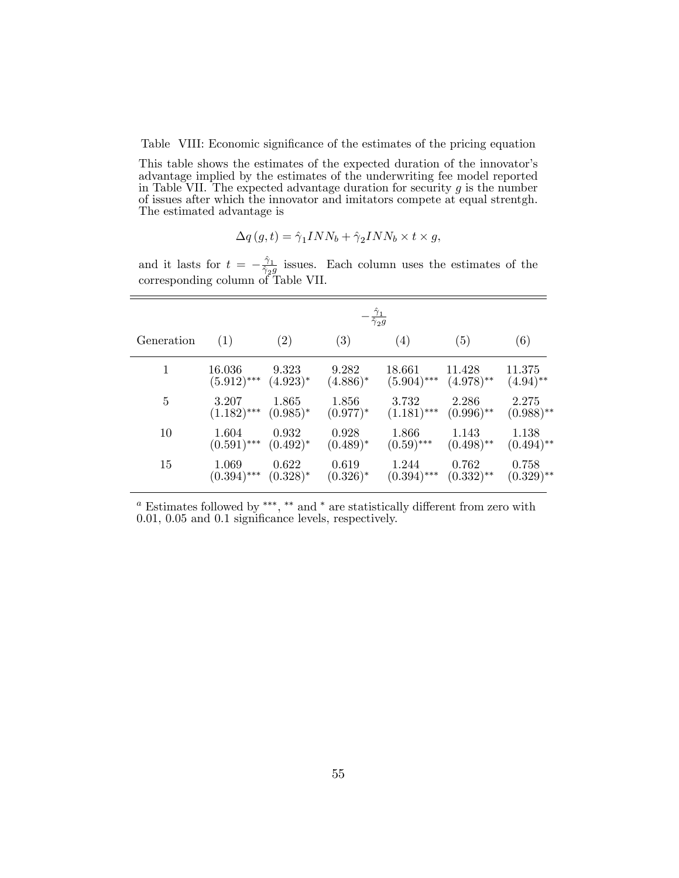Table VIII: Economic significance of the estimates of the pricing equation

This table shows the estimates of the expected duration of the innovator's advantage implied by the estimates of the underwriting fee model reported in Table VII. The expected advantage duration for security  $g$  is the number of issues after which the innovator and imitators compete at equal strentgh. The estimated advantage is

$$
\Delta q(g, t) = \hat{\gamma}_1 INN_b + \hat{\gamma}_2 INN_b \times t \times g,
$$

and it lasts for  $t = -\frac{\hat{\gamma}_1}{\hat{\gamma}_2}$  $\frac{\gamma_1}{\hat{\gamma}_2 g}$  issues. Each column uses the estimates of the corresponding column of Table VII.

|                |               | $\frac{\hat{\gamma}_1}{\hat{\gamma}_2 g}$ |             |               |              |              |  |  |
|----------------|---------------|-------------------------------------------|-------------|---------------|--------------|--------------|--|--|
| Generation     | (1)           | (2)                                       | (3)         | (4)           | (5)          | (6)          |  |  |
| 1              | 16.036        | 9.323                                     | 9.282       | 18.661        | 11.428       | 11.375       |  |  |
|                | $(5.912)$ *** | $(4.923)^*$                               | $(4.886)^*$ | $(5.904)$ *** | $(4.978)$ ** | $(4.94)$ **  |  |  |
| $\overline{5}$ | 3.207         | 1.865                                     | 1.856       | 3.732         | 2.286        | 2.275        |  |  |
|                | $(1.182)$ *** | $(0.985)^*$                               | $(0.977)^*$ | $(1.181)$ *** | $(0.996)$ ** | $(0.988)$ ** |  |  |
| 10             | 1.604         | 0.932                                     | 0.928       | 1.866         | 1.143        | 1.138        |  |  |
|                | $(0.591)$ *** | $(0.492)^*$                               | $(0.489)^*$ | $(0.59)$ ***  | $(0.498)$ ** | $(0.494)$ ** |  |  |
| 15             | 1.069         | 0.622                                     | 0.619       | 1.244         | 0.762        | 0.758        |  |  |
|                | $(0.394)$ *** | $(0.328)^*$                               | $(0.326)^*$ | $(0.394)$ *** | $(0.332)$ ** | $(0.329)$ ** |  |  |

 $a$  Estimates followed by \*\*\*, \*\* and \* are statistically different from zero with  $0.01, 0.05$  and  $0.1$  significance levels, respectively.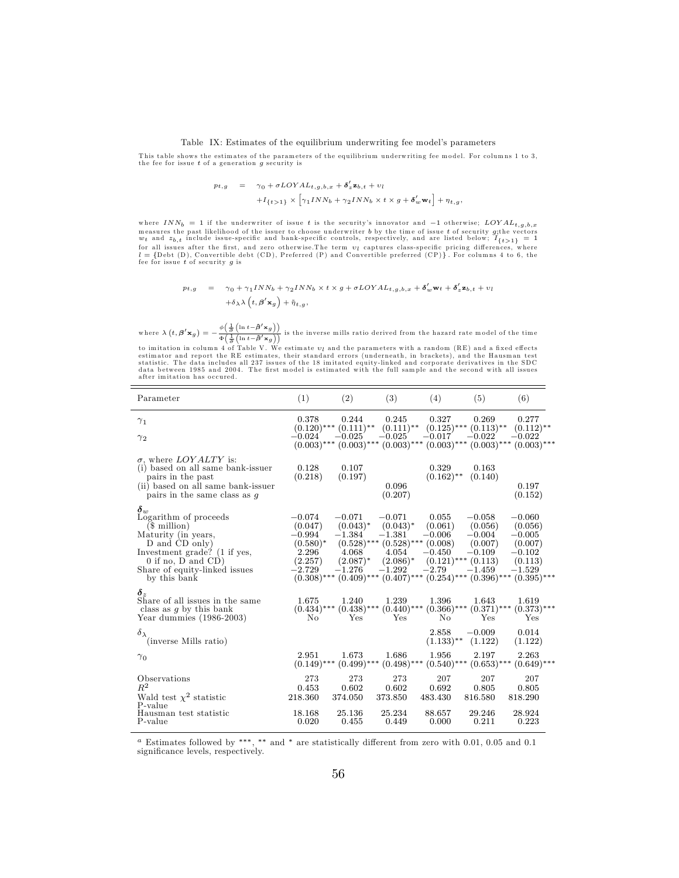#### Table IX: Estimates of the equilibrium underwriting fee model's parameters

This table shows the estimates of the parameters of the equilibrium underwriting fee model. For columns 1 to 3, the fee for issue  $t$  of a generation  $g$  security is

$$
p_{t,g} = \gamma_0 + \sigma LOYAL_{t,g,b,x} + \delta'_z \mathbf{z}_{b,t} + v_l
$$
  
+  $I_{\{t>1\}} \times [\gamma_1 INN_b + \gamma_2 INN_b \times t \times g + \delta'_w \mathbf{w}_t] + \eta_{t,g},$ 

where  $INN_b = 1$  if the underwriter of issue t is the security's innovator and  $-1$  otherwise;  $LOYAL_{t,g,b,x}$ <br>measures the past likelihood of the issuer to choose underwriter b by the time of issue t of security g;<br>the vectors fee for issue  $t$  of security  $g$  is

$$
p_{t,g} = \gamma_0 + \gamma_1 INN_b + \gamma_2 INN_b \times t \times g + \sigma LOYAL_{t,g,b,x} + \delta'_w \mathbf{w}_t + \delta'_z \mathbf{z}_{b,t} + v_l
$$
  
+  $\delta_\lambda \lambda \left( t, \beta' \mathbf{x}_g \right) + \tilde{\eta}_{t,g},$ 

where  $\lambda \left( t, \beta' \mathbf{x}_g \right) = -\frac{\phi\left( \frac{1}{\hat{\sigma}} \left( \ln t - \hat{\beta}' \mathbf{x}_g \right) \right)}{\phi\left( 1 \left( \ln t - \hat{\beta}' \mathbf{x}_g \right) \right)}$  $\frac{1}{\Phi\left(\frac{1}{\hat{\sigma}}\left(\ln t - \hat{\boldsymbol{\beta}}' \mathbf{x}_g\right)\right)}$  is the inverse mills ratio derived from the hazard rate model of the time

to imitation in column 4 of Table V. We estimate  $v_l$  and the parameters with a random (RE) and a fixed effects<br>setimator and report the RE estimates, their standard errors (underneath, in brackets), and the Hausman test<br>s after imitation has occured.

| Parameter                                                                                                                                                                                                    | (1)                                                                           | (2)                                                                                                                    | (3)                                                                                                    | (4)                                                                                                                      | (5)                                                                | (6)                                                                                            |
|--------------------------------------------------------------------------------------------------------------------------------------------------------------------------------------------------------------|-------------------------------------------------------------------------------|------------------------------------------------------------------------------------------------------------------------|--------------------------------------------------------------------------------------------------------|--------------------------------------------------------------------------------------------------------------------------|--------------------------------------------------------------------|------------------------------------------------------------------------------------------------|
| $\gamma_1$<br>$\gamma_2$                                                                                                                                                                                     | 0.378<br>$(0.120)$ ***<br>$-0.024$                                            | 0.244<br>$(0.111)$ <sup>**</sup><br>$-0.025$<br>$(0.003)$ *** $(0.003)$ ***                                            | 0.245<br>$(0.111)$ <sup>**</sup><br>$-0.025$<br>$(0.003)$ ***                                          | 0.327<br>$(0.125)$ *** $(0.113)$ **<br>$-0.017$<br>$(0.003)$ *** $(0.003)$ ***                                           | 0.269<br>$-0.022$                                                  | 0.277<br>$(0.112)$ <sup>**</sup><br>$-0.022$<br>$(0.003)$ ***                                  |
| $\sigma$ , where <i>LOYALTY</i> is:<br>(i) based on all same bank-issuer<br>pairs in the past<br>(ii) based on all same bank-issuer<br>pairs in the same class as $q$                                        | 0.128<br>(0.218)                                                              | 0.107<br>(0.197)                                                                                                       | 0.096<br>(0.207)                                                                                       | 0.329<br>$(0.162)$ **                                                                                                    | 0.163<br>(0.140)                                                   | 0.197<br>(0.152)                                                                               |
| $\delta_w$<br>Logarithm of proceeds<br>$(\$$ million $)$<br>Maturity (in years,<br>D and CD only)<br>Investment grade? (1 if yes,<br>$0$ if no, D and $CD)$<br>Share of equity-linked issues<br>by this bank | $-0.074$<br>(0.047)<br>$-0.994$<br>$(0.580)*$<br>2.296<br>(2.257)<br>$-2.729$ | $-0.071$<br>$(0.043)^*$<br>$-1.384$<br>4.068<br>$(2.087)^*$<br>$-1.276\,$<br>$(0.308)$ *** $(0.409)$ *** $(0.407)$ *** | $-0.071$<br>$(0.043)^*$<br>$-1.381$<br>$(0.528)$ *** $(0.528)$ ***<br>4.054<br>$(2.086)^*$<br>$-1.292$ | 0.055<br>(0.061)<br>$-0.006$<br>(0.008)<br>$-0.450$<br>$(0.121)$ *** $(0.113)$<br>$-2.79$<br>$(0.254)$ *** $(0.396)$ *** | $-0.058$<br>(0.056)<br>$-0.004$<br>(0.007)<br>$-0.109$<br>$-1.459$ | $-0.060$<br>(0.056)<br>$-0.005$<br>(0.007)<br>$-0.102$<br>(0.113)<br>$-1.529$<br>$(0.395)$ *** |
| $\delta$ $\alpha$<br>Share of all issues in the same<br>class as $g$ by this bank<br>Year dummies $(1986-2003)$                                                                                              | 1.675<br>$(0.434)$ ***<br>No                                                  | 1.240<br>$(0.438)$ ***<br>Yes                                                                                          | 1.239<br>$(0.440)$ ***<br>Yes                                                                          | 1.396<br>$(0.366)$ ***<br>No                                                                                             | 1.643<br>$(0.371)$ ***<br>Yes                                      | 1.619<br>$(0.373)^{***}$<br>Yes                                                                |
| $\delta_{\lambda}$<br>(inverse Mills ratio)                                                                                                                                                                  |                                                                               |                                                                                                                        |                                                                                                        | 2.858<br>$(1.133)$ **                                                                                                    | $-0.009$<br>(1.122)                                                | 0.014<br>(1.122)                                                                               |
| $\gamma_0$                                                                                                                                                                                                   | 2.951                                                                         | 1.673<br>$(0.149)$ *** $(0.499)$ ***                                                                                   | 1.686<br>$(0.498)$ ***                                                                                 | 1.956<br>$(0.540)$ *** $(0.653)$ ***                                                                                     | 2.197                                                              | 2.263<br>$(0.649)$ ***                                                                         |
| Observations<br>$R^2$<br>Wald test $\chi^2$ statistic<br>P-value                                                                                                                                             | 273<br>0.453<br>218.360                                                       | 273<br>0.602<br>374.050                                                                                                | 273<br>0.602<br>373.850                                                                                | 207<br>0.692<br>483.430                                                                                                  | 207<br>0.805<br>816.580                                            | 207<br>0.805<br>818.290                                                                        |
| Hausman test statistic<br>P-value                                                                                                                                                                            | 18.168<br>0.020                                                               | 25.136<br>0.455                                                                                                        | 25.234<br>0.449                                                                                        | 88.657<br>0.000                                                                                                          | 29.246<br>0.211                                                    | 28.924<br>0.223                                                                                |

 $a$  Estimates followed by \*\*\*, \*\* and \* are statistically different from zero with 0.01, 0.05 and 0.1 significance levels, respectively.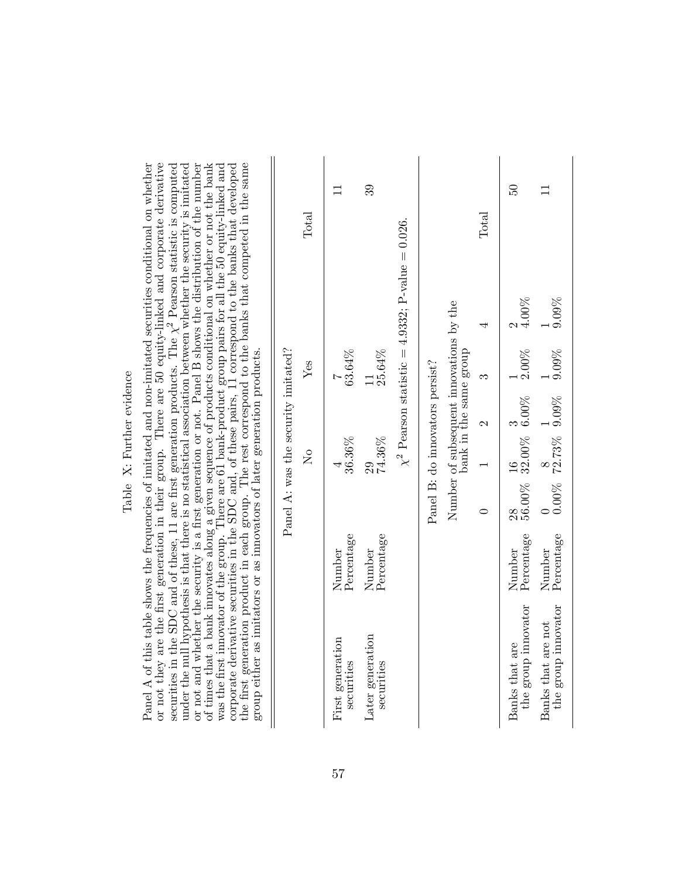# Table X: Further evidence Table X: Further evidence

or not they are the first generation in their group. There are 50 equity-linked and corporate derivative of times that a bank innovates along a given sequence of products conditional on whether or not the bank was the first innovator of the group. There are 61 bank-product group pairs for all the 50 equity-linked and corpora the first generation product in each group. The rest correspond to the banks that competed in the same Panel A of this table shows the frequencies of imitated and non-imitated securities conditional on whether under the null hypothesis is that there is no statistical association between whether the security is imitated or not and whether the security is a first generation or not. Panel B shows the distribution of the number Panel A of this table shows the frequencies of imitated and non-imitated securities conditional on whether or not they are the Örst generation in their group. There are 50 equity-linked and corporate derivative securities in the SDC and of these, 11 are first generation products. The  $\chi^2$  Pearson statistic is computed securities in the SDC and of these, 11 are first generation products. The  $\chi^2$  Pearson statistic is computed under the null hypothesis is that there is no statistical association between whether the security is imitated or not and whether the security is a Örst generation or not. Panel B shows the distribution of the number of times that a bank innovates along a given sequence of products conditional on whether or not the bank was the first innovator of the group. There are 61 bank-product group pairs for all the 50 equity-linked and  $\frac{1}{2}$ corporate derivative securities in the SDC and, of these pairs, 11 correspond to the banks that developed the first generation product in each group. The rest correspond to the banks that competed in the same group either as imitators or as innovators of later generation products. group either as imitators or as innovators of later generation products.

 $\overline{11}$ 

|                                     |       |                                | 39                             |                                                       |                                 |                                                                   |               | $\frac{6}{2}$                                                |                                                                                 |
|-------------------------------------|-------|--------------------------------|--------------------------------|-------------------------------------------------------|---------------------------------|-------------------------------------------------------------------|---------------|--------------------------------------------------------------|---------------------------------------------------------------------------------|
|                                     | Total |                                |                                |                                                       |                                 |                                                                   | Total         |                                                              |                                                                                 |
|                                     |       |                                |                                | $\chi^2$ Pearson statistic = 4.9332; P-value = 0.026. |                                 |                                                                   |               | $4.00\%$                                                     | $9.09\%$                                                                        |
|                                     | Yes   | 63.64%                         | 25.64%<br>$\equiv$             |                                                       |                                 | Number of subsequent innovations by the<br>bank in the same group |               | $2.00\%$                                                     | $\begin{array}{ccc} 0 & 8 & 1 \ 0.00\% & 72.73\% & 9.09\% & 9.09\% \end{array}$ |
|                                     |       |                                |                                |                                                       |                                 |                                                                   | $\mathcal{C}$ | $\frac{28}{56.00\%}$ $\frac{16}{32.00\%}$ $\frac{3}{6.00\%}$ |                                                                                 |
|                                     | Σó    | 36.36%                         | $^{29}_{74.36\%}$              |                                                       |                                 |                                                                   |               |                                                              |                                                                                 |
| Panel A: was the security imitated? |       |                                |                                |                                                       | Panel B: do innovators persist? |                                                                   |               |                                                              |                                                                                 |
|                                     |       | Percentage<br>Number           | Percentage<br>Number           |                                                       |                                 |                                                                   |               | Percentage<br>Number                                         | Percentage<br>Number                                                            |
|                                     |       | First generation<br>securities | Later generation<br>securities |                                                       |                                 |                                                                   |               | the group innovator<br>Banks that are                        | the group innovator<br>Banks that are not                                       |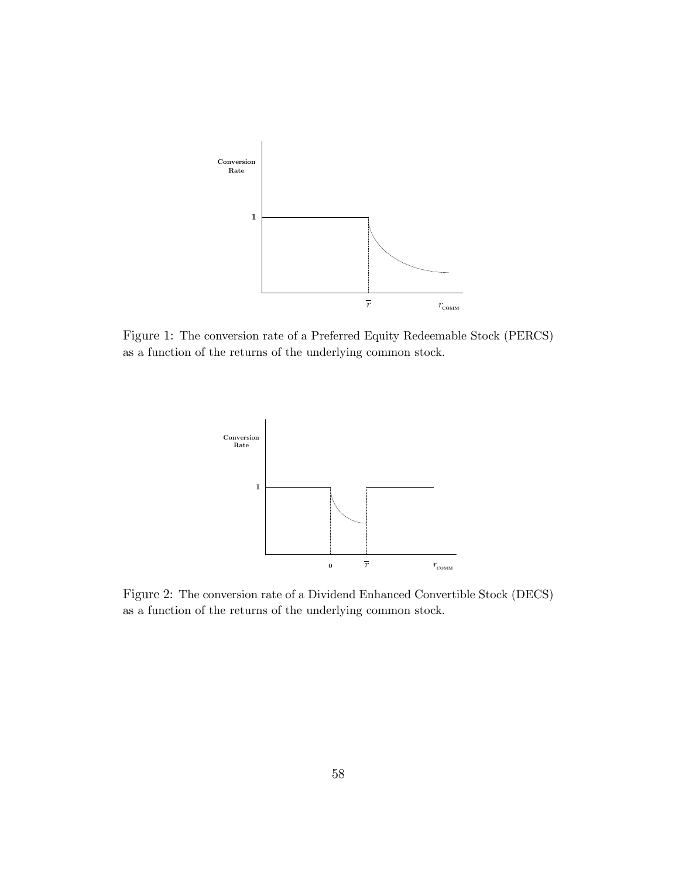

Figure 1: The conversion rate of a Preferred Equity Redeemable Stock (PERCS) as a function of the returns of the underlying common stock.



Figure 2: The conversion rate of a Dividend Enhanced Convertible Stock (DECS) as a function of the returns of the underlying common stock.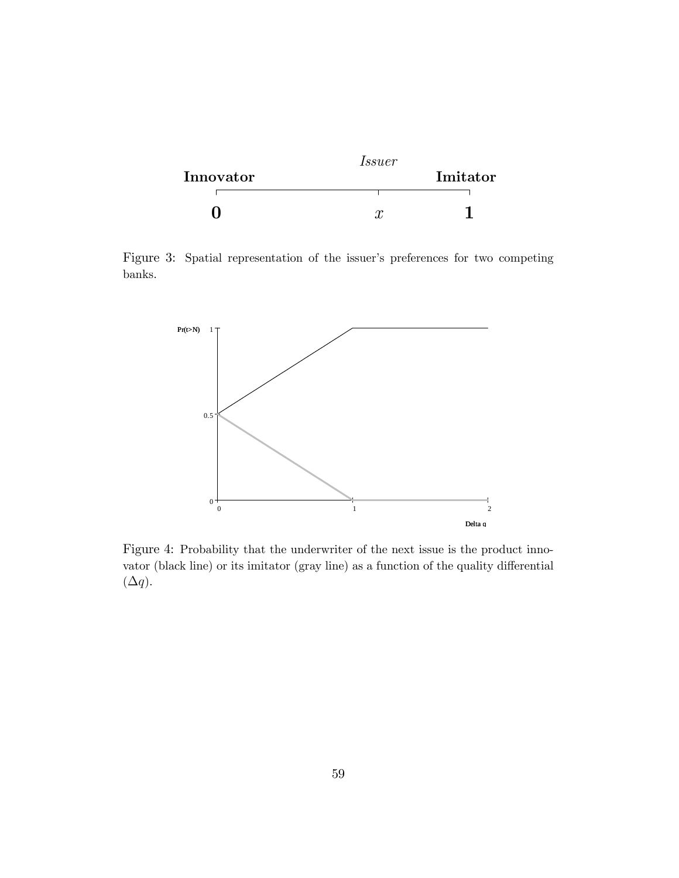

Figure 3: Spatial representation of the issuer's preferences for two competing banks.



Figure 4: Probability that the underwriter of the next issue is the product innovator (black line) or its imitator (gray line) as a function of the quality differential  $(\Delta q)$ .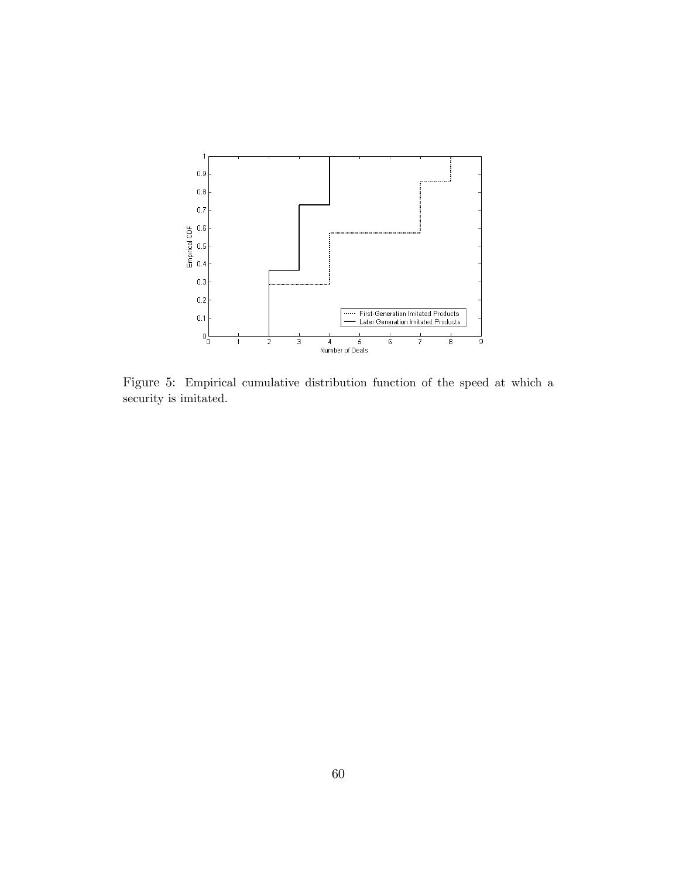

Figure 5: Empirical cumulative distribution function of the speed at which a security is imitated.